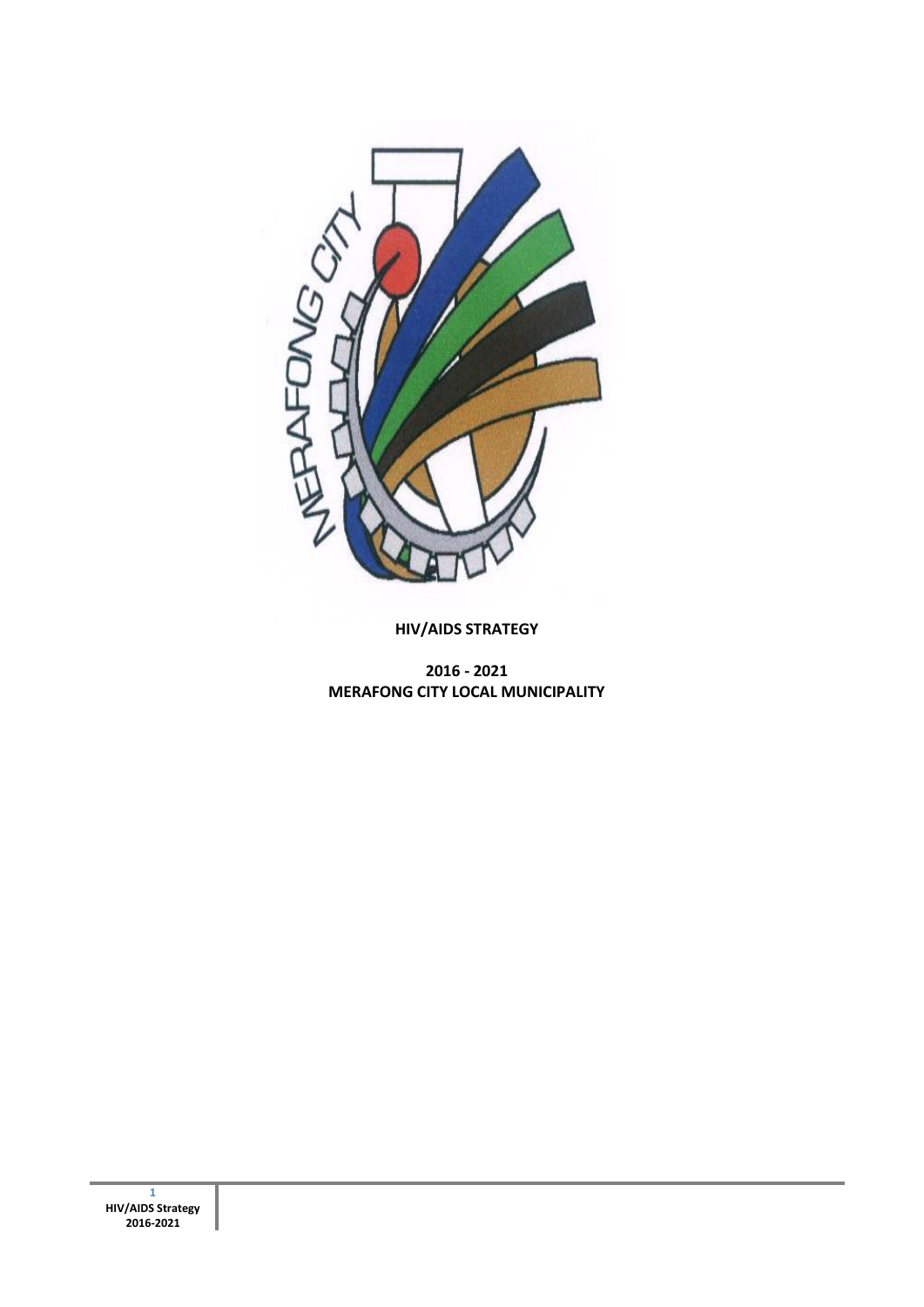

**HIV/AIDS STRATEGY**

**2016 - 2021 MERAFONG CITY LOCAL MUNICIPALITY**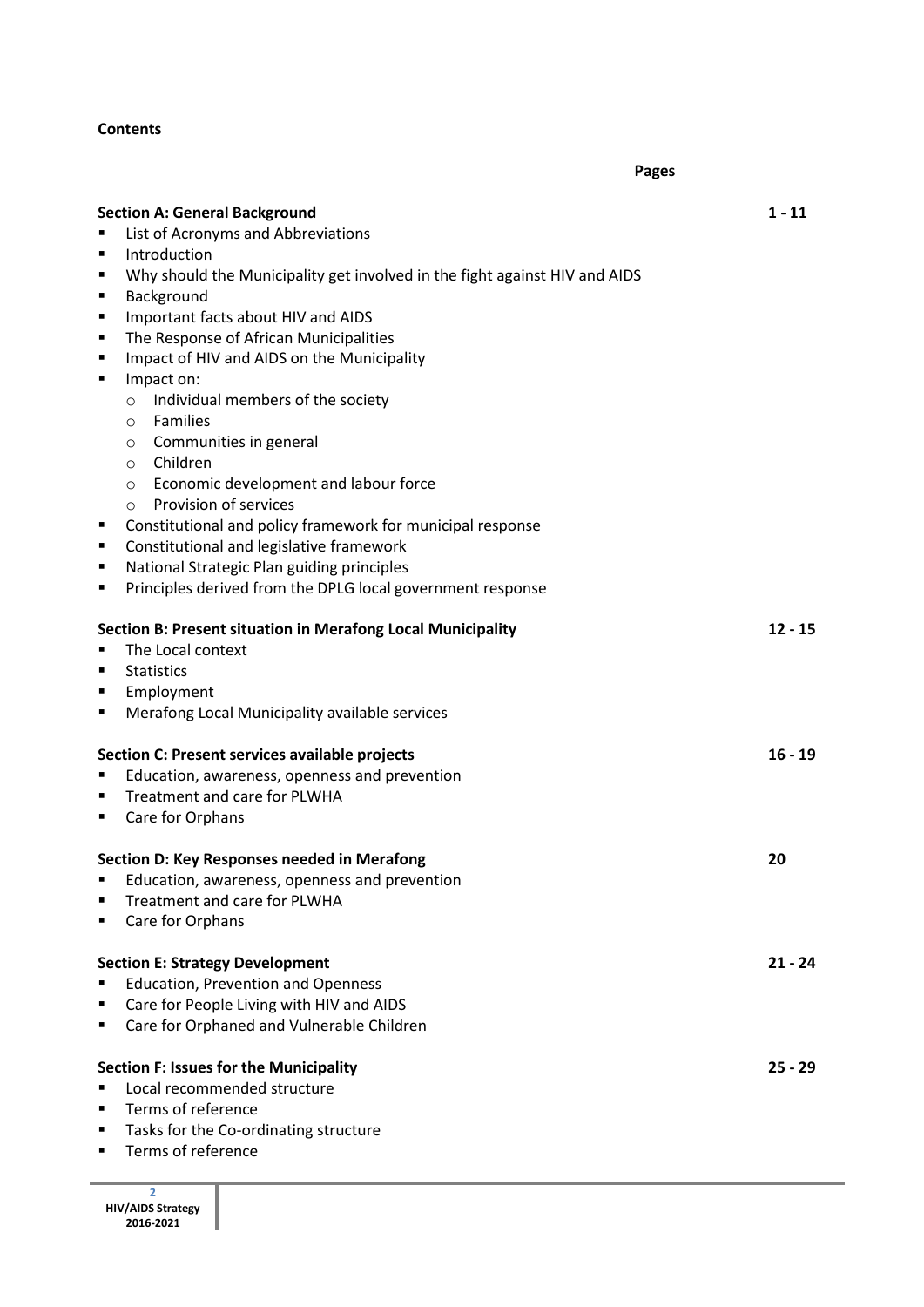## **Contents**

|                                                                                                                                                                                                                                                                                                                                                                                                                                                                                                                                                                                                                                                                                                                                                                                                                                                                                                                                                                                  | <b>Pages</b>          |
|----------------------------------------------------------------------------------------------------------------------------------------------------------------------------------------------------------------------------------------------------------------------------------------------------------------------------------------------------------------------------------------------------------------------------------------------------------------------------------------------------------------------------------------------------------------------------------------------------------------------------------------------------------------------------------------------------------------------------------------------------------------------------------------------------------------------------------------------------------------------------------------------------------------------------------------------------------------------------------|-----------------------|
| <b>Section A: General Background</b><br>List of Acronyms and Abbreviations<br>٠<br>Introduction<br>$\blacksquare$<br>Why should the Municipality get involved in the fight against HIV and AIDS<br>٠<br>Background<br>$\blacksquare$<br>Important facts about HIV and AIDS<br>٠<br>The Response of African Municipalities<br>$\blacksquare$<br>Impact of HIV and AIDS on the Municipality<br>٠<br>Impact on:<br>$\blacksquare$<br>Individual members of the society<br>$\circ$<br><b>Families</b><br>$\circ$<br>Communities in general<br>$\circ$<br>Children<br>$\circ$<br>Economic development and labour force<br>$\circ$<br>Provision of services<br>$\circ$<br>Constitutional and policy framework for municipal response<br>٠<br>Constitutional and legislative framework<br>٠<br>National Strategic Plan guiding principles<br>٠<br>Principles derived from the DPLG local government response<br>п<br><b>Section B: Present situation in Merafong Local Municipality</b> | $1 - 11$<br>$12 - 15$ |
| The Local context<br><b>Statistics</b><br>п<br>Employment<br>٠<br>Merafong Local Municipality available services<br>$\blacksquare$<br>Section C: Present services available projects                                                                                                                                                                                                                                                                                                                                                                                                                                                                                                                                                                                                                                                                                                                                                                                             | $16 - 19$             |
| Education, awareness, openness and prevention<br>п<br>Treatment and care for PLWHA<br>п<br>Care for Orphans<br>$\blacksquare$<br>Section D: Key Responses needed in Merafong<br>Education, awareness, openness and prevention                                                                                                                                                                                                                                                                                                                                                                                                                                                                                                                                                                                                                                                                                                                                                    | 20                    |
| Treatment and care for PLWHA<br>Care for Orphans<br>٠<br><b>Section E: Strategy Development</b><br><b>Education, Prevention and Openness</b><br>Care for People Living with HIV and AIDS<br>п                                                                                                                                                                                                                                                                                                                                                                                                                                                                                                                                                                                                                                                                                                                                                                                    | $21 - 24$             |
| Care for Orphaned and Vulnerable Children<br>п<br><b>Section F: Issues for the Municipality</b><br>Local recommended structure<br>Terms of reference<br>п<br>Tasks for the Co-ordinating structure<br>п<br>Terms of reference<br>п                                                                                                                                                                                                                                                                                                                                                                                                                                                                                                                                                                                                                                                                                                                                               | $25 - 29$             |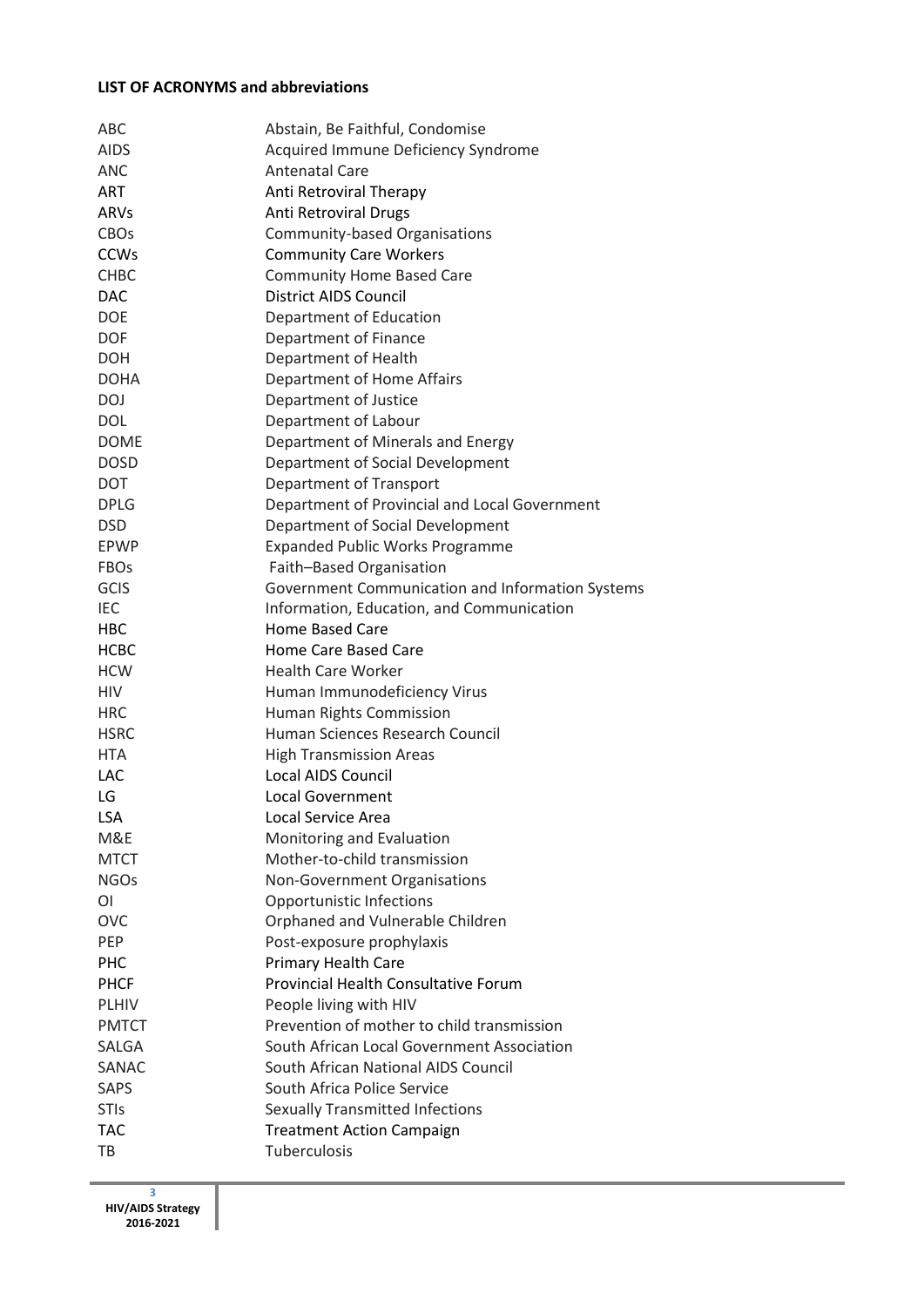### **LIST OF ACRONYMS and abbreviations**

| ABC          | Abstain, Be Faithful, Condomise                                     |
|--------------|---------------------------------------------------------------------|
| <b>AIDS</b>  | Acquired Immune Deficiency Syndrome                                 |
| <b>ANC</b>   | <b>Antenatal Care</b>                                               |
| <b>ART</b>   | Anti Retroviral Therapy                                             |
| ARVs         | Anti Retroviral Drugs                                               |
| <b>CBOs</b>  | Community-based Organisations                                       |
| <b>CCWs</b>  | <b>Community Care Workers</b>                                       |
| <b>CHBC</b>  | <b>Community Home Based Care</b>                                    |
| <b>DAC</b>   | <b>District AIDS Council</b>                                        |
| <b>DOE</b>   | Department of Education                                             |
| <b>DOF</b>   | Department of Finance                                               |
| DOH          | Department of Health                                                |
| <b>DOHA</b>  | Department of Home Affairs                                          |
| DOJ          | Department of Justice                                               |
| <b>DOL</b>   | Department of Labour                                                |
| <b>DOME</b>  | Department of Minerals and Energy                                   |
| <b>DOSD</b>  | Department of Social Development                                    |
| DOT          | Department of Transport                                             |
| <b>DPLG</b>  | Department of Provincial and Local Government                       |
| <b>DSD</b>   | Department of Social Development                                    |
| EPWP         | <b>Expanded Public Works Programme</b>                              |
| <b>FBOs</b>  | Faith-Based Organisation                                            |
| <b>GCIS</b>  | Government Communication and Information Systems                    |
| <b>IEC</b>   |                                                                     |
| HBC          | Information, Education, and Communication<br><b>Home Based Care</b> |
|              |                                                                     |
| <b>HCBC</b>  | Home Care Based Care                                                |
| <b>HCW</b>   | <b>Health Care Worker</b>                                           |
| <b>HIV</b>   | Human Immunodeficiency Virus                                        |
| <b>HRC</b>   | Human Rights Commission<br><b>Human Sciences Research Council</b>   |
| <b>HSRC</b>  |                                                                     |
| <b>HTA</b>   | <b>High Transmission Areas</b>                                      |
| LAC          | <b>Local AIDS Council</b>                                           |
| LG           | Local Government                                                    |
| <b>LSA</b>   | Local Service Area                                                  |
| M&E          | Monitoring and Evaluation                                           |
| <b>MTCT</b>  | Mother-to-child transmission                                        |
| <b>NGOs</b>  | Non-Government Organisations                                        |
| ΟI           | Opportunistic Infections                                            |
| <b>OVC</b>   | Orphaned and Vulnerable Children                                    |
| <b>PEP</b>   | Post-exposure prophylaxis                                           |
| <b>PHC</b>   | <b>Primary Health Care</b>                                          |
| <b>PHCF</b>  | <b>Provincial Health Consultative Forum</b>                         |
| <b>PLHIV</b> | People living with HIV                                              |
| <b>PMTCT</b> | Prevention of mother to child transmission                          |
| SALGA        | South African Local Government Association                          |
| SANAC        | South African National AIDS Council                                 |
| <b>SAPS</b>  | South Africa Police Service                                         |
| <b>STIs</b>  | <b>Sexually Transmitted Infections</b>                              |
| <b>TAC</b>   | <b>Treatment Action Campaign</b>                                    |
| TB           | Tuberculosis                                                        |

**3 HIV/AIDS Strategy 2016-2021**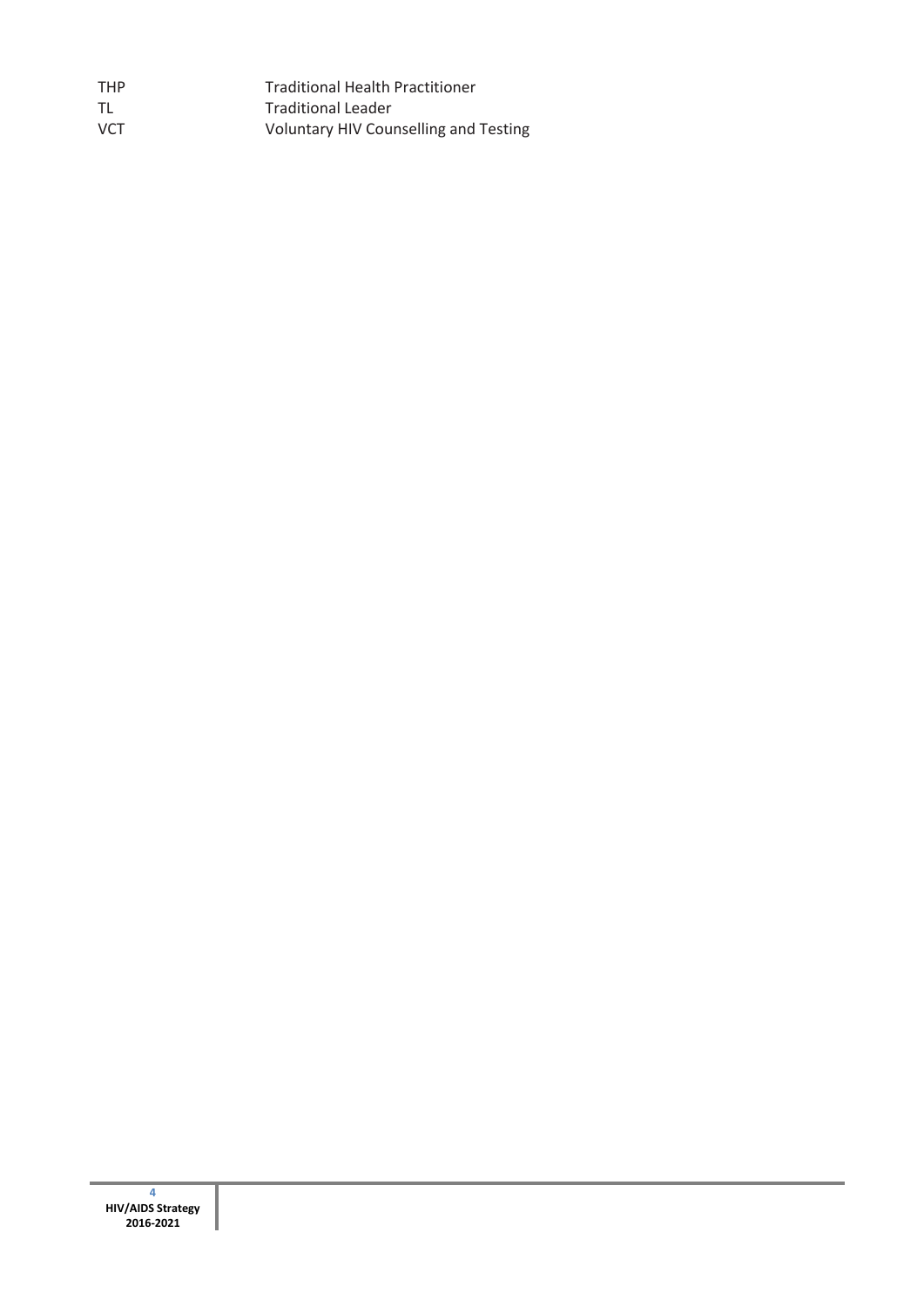| <b>THP</b> | <b>Traditional Health Practitioner</b> |
|------------|----------------------------------------|
| TL         | <b>Traditional Leader</b>              |
| <b>VCT</b> | Voluntary HIV Counselling and Testing  |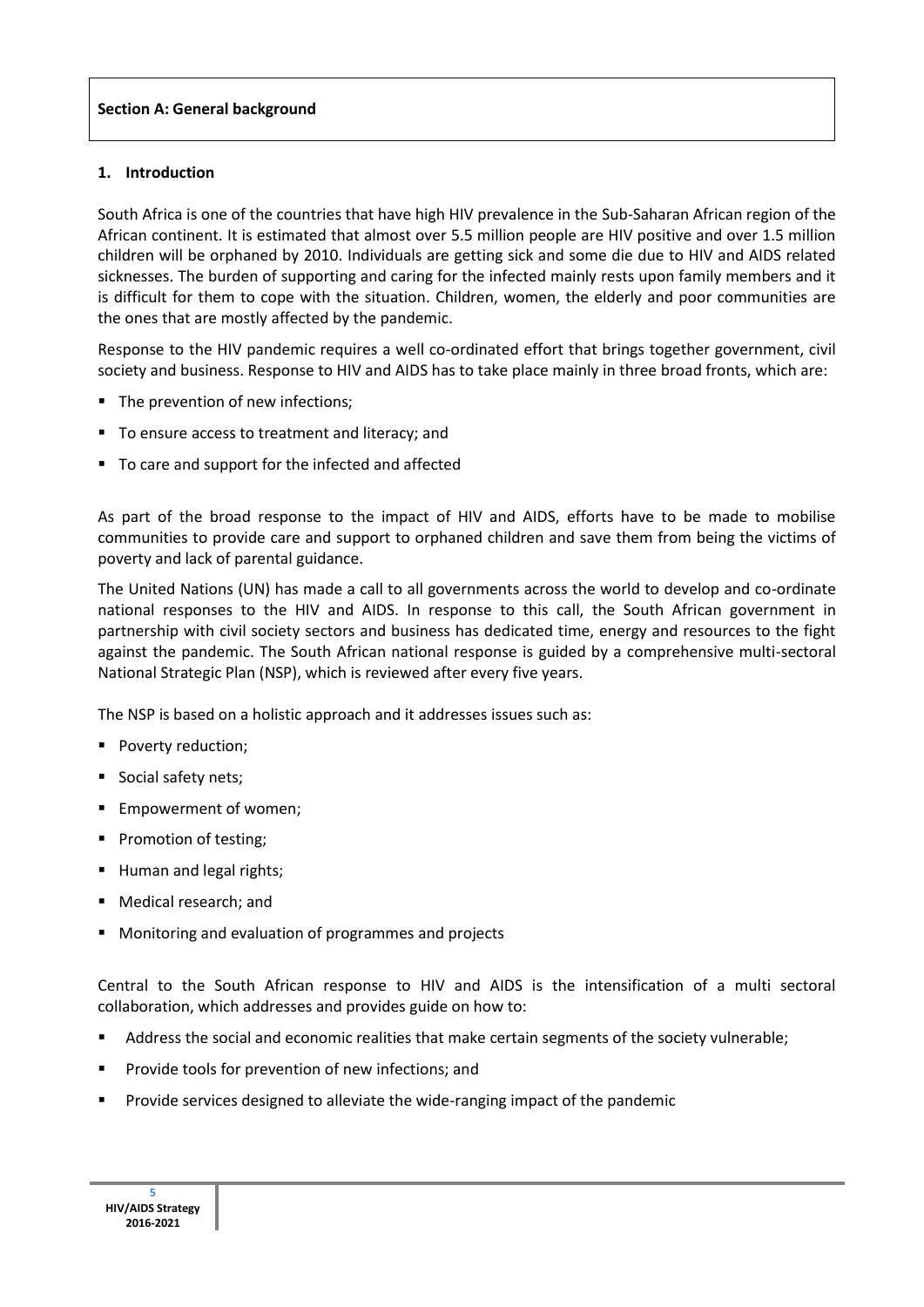## **1. Introduction**

South Africa is one of the countries that have high HIV prevalence in the Sub-Saharan African region of the African continent. It is estimated that almost over 5.5 million people are HIV positive and over 1.5 million children will be orphaned by 2010. Individuals are getting sick and some die due to HIV and AIDS related sicknesses. The burden of supporting and caring for the infected mainly rests upon family members and it is difficult for them to cope with the situation. Children, women, the elderly and poor communities are the ones that are mostly affected by the pandemic.

Response to the HIV pandemic requires a well co-ordinated effort that brings together government, civil society and business. Response to HIV and AIDS has to take place mainly in three broad fronts, which are:

- The prevention of new infections;
- To ensure access to treatment and literacy; and
- To care and support for the infected and affected

As part of the broad response to the impact of HIV and AIDS, efforts have to be made to mobilise communities to provide care and support to orphaned children and save them from being the victims of poverty and lack of parental guidance.

The United Nations (UN) has made a call to all governments across the world to develop and co-ordinate national responses to the HIV and AIDS. In response to this call, the South African government in partnership with civil society sectors and business has dedicated time, energy and resources to the fight against the pandemic. The South African national response is guided by a comprehensive multi-sectoral National Strategic Plan (NSP), which is reviewed after every five years.

The NSP is based on a holistic approach and it addresses issues such as:

- **Poverty reduction;**
- Social safety nets;
- **Empowerment of women:**
- **Promotion of testing;**
- **Human and legal rights;**
- **Medical research; and**
- **Monitoring and evaluation of programmes and projects**

Central to the South African response to HIV and AIDS is the intensification of a multi sectoral collaboration, which addresses and provides guide on how to:

- Address the social and economic realities that make certain segments of the society vulnerable;
- Provide tools for prevention of new infections; and
- Provide services designed to alleviate the wide-ranging impact of the pandemic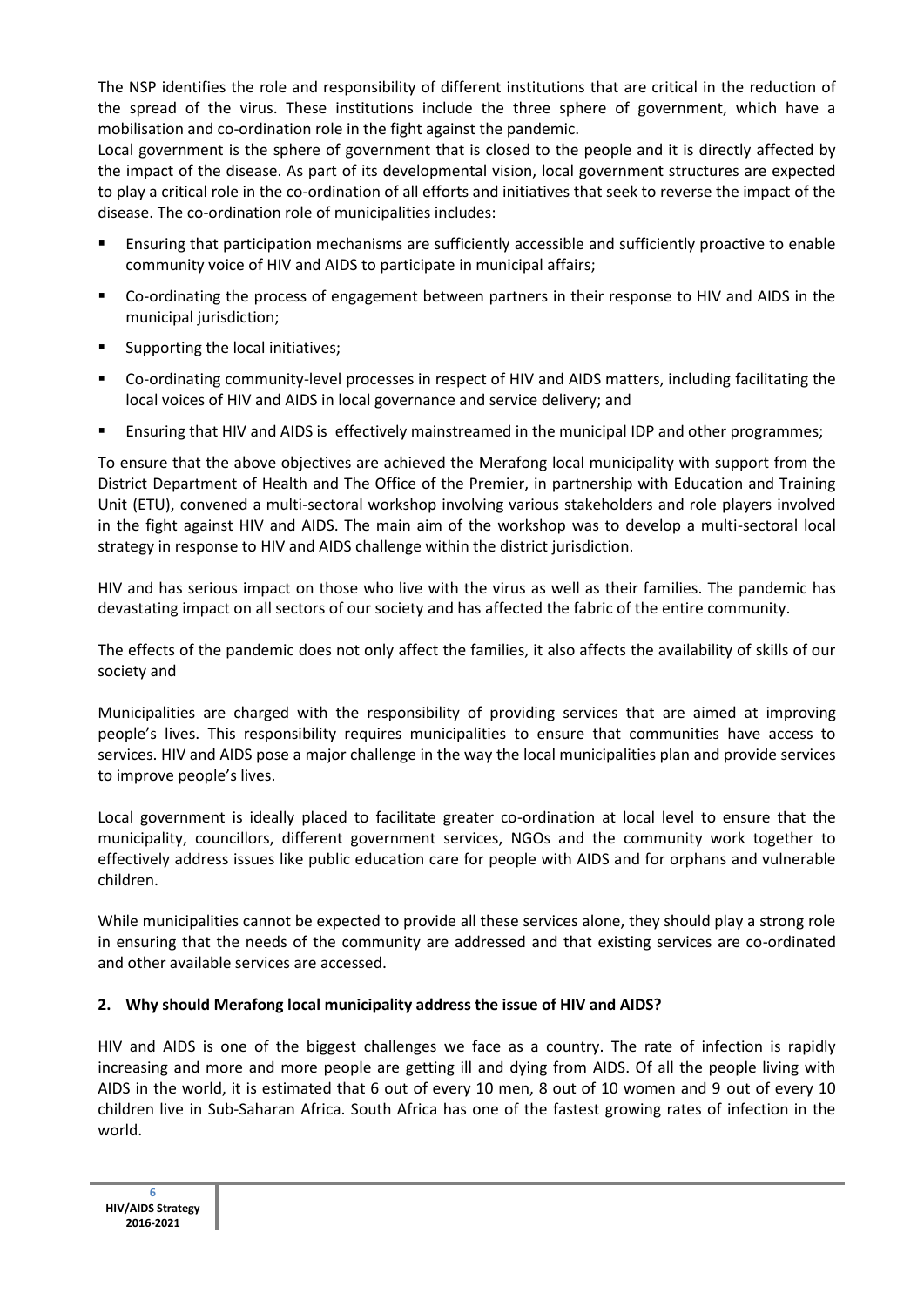The NSP identifies the role and responsibility of different institutions that are critical in the reduction of the spread of the virus. These institutions include the three sphere of government, which have a mobilisation and co-ordination role in the fight against the pandemic.

Local government is the sphere of government that is closed to the people and it is directly affected by the impact of the disease. As part of its developmental vision, local government structures are expected to play a critical role in the co-ordination of all efforts and initiatives that seek to reverse the impact of the disease. The co-ordination role of municipalities includes:

- Ensuring that participation mechanisms are sufficiently accessible and sufficiently proactive to enable community voice of HIV and AIDS to participate in municipal affairs;
- Co-ordinating the process of engagement between partners in their response to HIV and AIDS in the municipal jurisdiction;
- Supporting the local initiatives;
- Co-ordinating community-level processes in respect of HIV and AIDS matters, including facilitating the local voices of HIV and AIDS in local governance and service delivery; and
- Ensuring that HIV and AIDS is effectively mainstreamed in the municipal IDP and other programmes;

To ensure that the above objectives are achieved the Merafong local municipality with support from the District Department of Health and The Office of the Premier, in partnership with Education and Training Unit (ETU), convened a multi-sectoral workshop involving various stakeholders and role players involved in the fight against HIV and AIDS. The main aim of the workshop was to develop a multi-sectoral local strategy in response to HIV and AIDS challenge within the district jurisdiction.

HIV and has serious impact on those who live with the virus as well as their families. The pandemic has devastating impact on all sectors of our society and has affected the fabric of the entire community.

The effects of the pandemic does not only affect the families, it also affects the availability of skills of our society and

Municipalities are charged with the responsibility of providing services that are aimed at improving people's lives. This responsibility requires municipalities to ensure that communities have access to services. HIV and AIDS pose a major challenge in the way the local municipalities plan and provide services to improve people's lives.

Local government is ideally placed to facilitate greater co-ordination at local level to ensure that the municipality, councillors, different government services, NGOs and the community work together to effectively address issues like public education care for people with AIDS and for orphans and vulnerable children.

While municipalities cannot be expected to provide all these services alone, they should play a strong role in ensuring that the needs of the community are addressed and that existing services are co-ordinated and other available services are accessed.

## **2. Why should Merafong local municipality address the issue of HIV and AIDS?**

HIV and AIDS is one of the biggest challenges we face as a country. The rate of infection is rapidly increasing and more and more people are getting ill and dying from AIDS. Of all the people living with AIDS in the world, it is estimated that 6 out of every 10 men, 8 out of 10 women and 9 out of every 10 children live in Sub-Saharan Africa. South Africa has one of the fastest growing rates of infection in the world.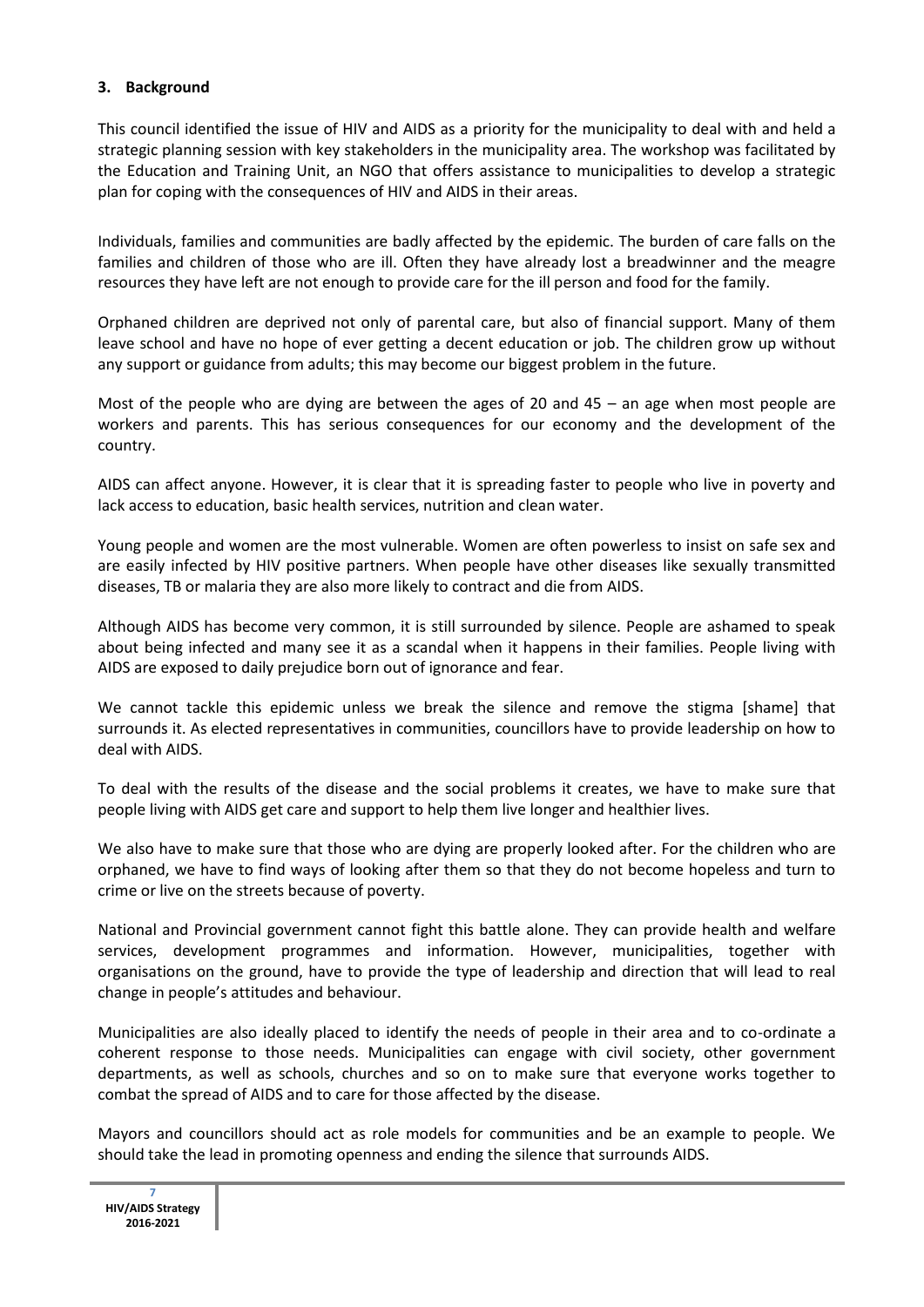### **3. Background**

This council identified the issue of HIV and AIDS as a priority for the municipality to deal with and held a strategic planning session with key stakeholders in the municipality area. The workshop was facilitated by the Education and Training Unit, an NGO that offers assistance to municipalities to develop a strategic plan for coping with the consequences of HIV and AIDS in their areas.

Individuals, families and communities are badly affected by the epidemic. The burden of care falls on the families and children of those who are ill. Often they have already lost a breadwinner and the meagre resources they have left are not enough to provide care for the ill person and food for the family.

Orphaned children are deprived not only of parental care, but also of financial support. Many of them leave school and have no hope of ever getting a decent education or job. The children grow up without any support or guidance from adults; this may become our biggest problem in the future.

Most of the people who are dying are between the ages of 20 and 45 – an age when most people are workers and parents. This has serious consequences for our economy and the development of the country.

AIDS can affect anyone. However, it is clear that it is spreading faster to people who live in poverty and lack access to education, basic health services, nutrition and clean water.

Young people and women are the most vulnerable. Women are often powerless to insist on safe sex and are easily infected by HIV positive partners. When people have other diseases like sexually transmitted diseases, TB or malaria they are also more likely to contract and die from AIDS.

Although AIDS has become very common, it is still surrounded by silence. People are ashamed to speak about being infected and many see it as a scandal when it happens in their families. People living with AIDS are exposed to daily prejudice born out of ignorance and fear.

We cannot tackle this epidemic unless we break the silence and remove the stigma [shame] that surrounds it. As elected representatives in communities, councillors have to provide leadership on how to deal with AIDS.

To deal with the results of the disease and the social problems it creates, we have to make sure that people living with AIDS get care and support to help them live longer and healthier lives.

We also have to make sure that those who are dying are properly looked after. For the children who are orphaned, we have to find ways of looking after them so that they do not become hopeless and turn to crime or live on the streets because of poverty.

National and Provincial government cannot fight this battle alone. They can provide health and welfare services, development programmes and information. However, municipalities, together with organisations on the ground, have to provide the type of leadership and direction that will lead to real change in people's attitudes and behaviour.

Municipalities are also ideally placed to identify the needs of people in their area and to co-ordinate a coherent response to those needs. Municipalities can engage with civil society, other government departments, as well as schools, churches and so on to make sure that everyone works together to combat the spread of AIDS and to care for those affected by the disease.

Mayors and councillors should act as role models for communities and be an example to people. We should take the lead in promoting openness and ending the silence that surrounds AIDS.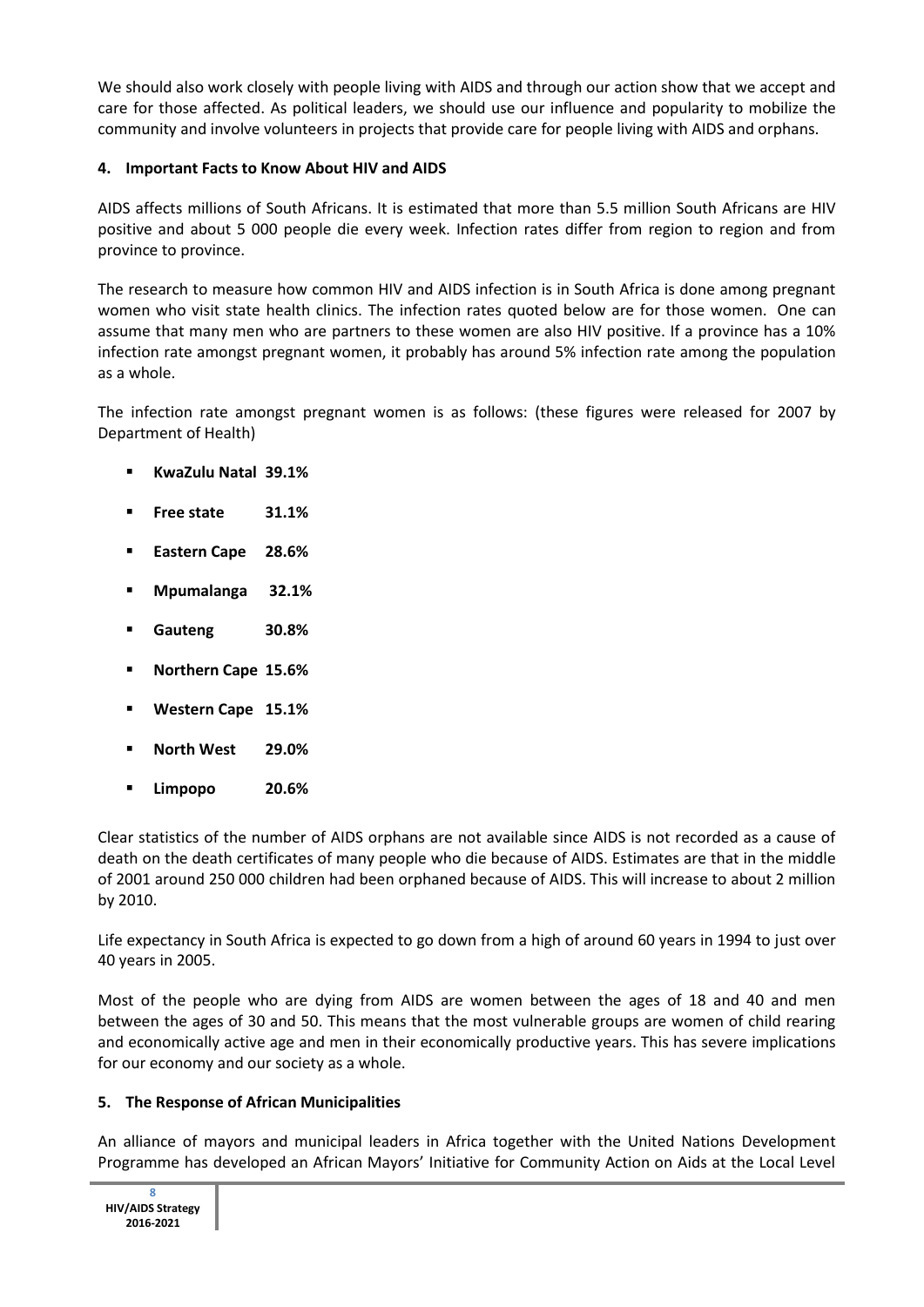We should also work closely with people living with AIDS and through our action show that we accept and care for those affected. As political leaders, we should use our influence and popularity to mobilize the community and involve volunteers in projects that provide care for people living with AIDS and orphans.

# **4. Important Facts to Know About HIV and AIDS**

AIDS affects millions of South Africans. It is estimated that more than 5.5 million South Africans are HIV positive and about 5 000 people die every week. Infection rates differ from region to region and from province to province.

The research to measure how common HIV and AIDS infection is in South Africa is done among pregnant women who visit state health clinics. The infection rates quoted below are for those women. One can assume that many men who are partners to these women are also HIV positive. If a province has a 10% infection rate amongst pregnant women, it probably has around 5% infection rate among the population as a whole.

The infection rate amongst pregnant women is as follows: (these figures were released for 2007 by Department of Health)

- **KwaZulu Natal 39.1%**
- **Free state 31.1%**
- **Eastern Cape 28.6%**
- **Mpumalanga 32.1%**
- **Gauteng 30.8%**
- **Northern Cape 15.6%**
- **Western Cape 15.1%**
- **North West 29.0%**
- **Limpopo 20.6%**

Clear statistics of the number of AIDS orphans are not available since AIDS is not recorded as a cause of death on the death certificates of many people who die because of AIDS. Estimates are that in the middle of 2001 around 250 000 children had been orphaned because of AIDS. This will increase to about 2 million by 2010.

Life expectancy in South Africa is expected to go down from a high of around 60 years in 1994 to just over 40 years in 2005.

Most of the people who are dying from AIDS are women between the ages of 18 and 40 and men between the ages of 30 and 50. This means that the most vulnerable groups are women of child rearing and economically active age and men in their economically productive years. This has severe implications for our economy and our society as a whole.

## **5. The Response of African Municipalities**

An alliance of mayors and municipal leaders in Africa together with the United Nations Development Programme has developed an African Mayors' Initiative for Community Action on Aids at the Local Level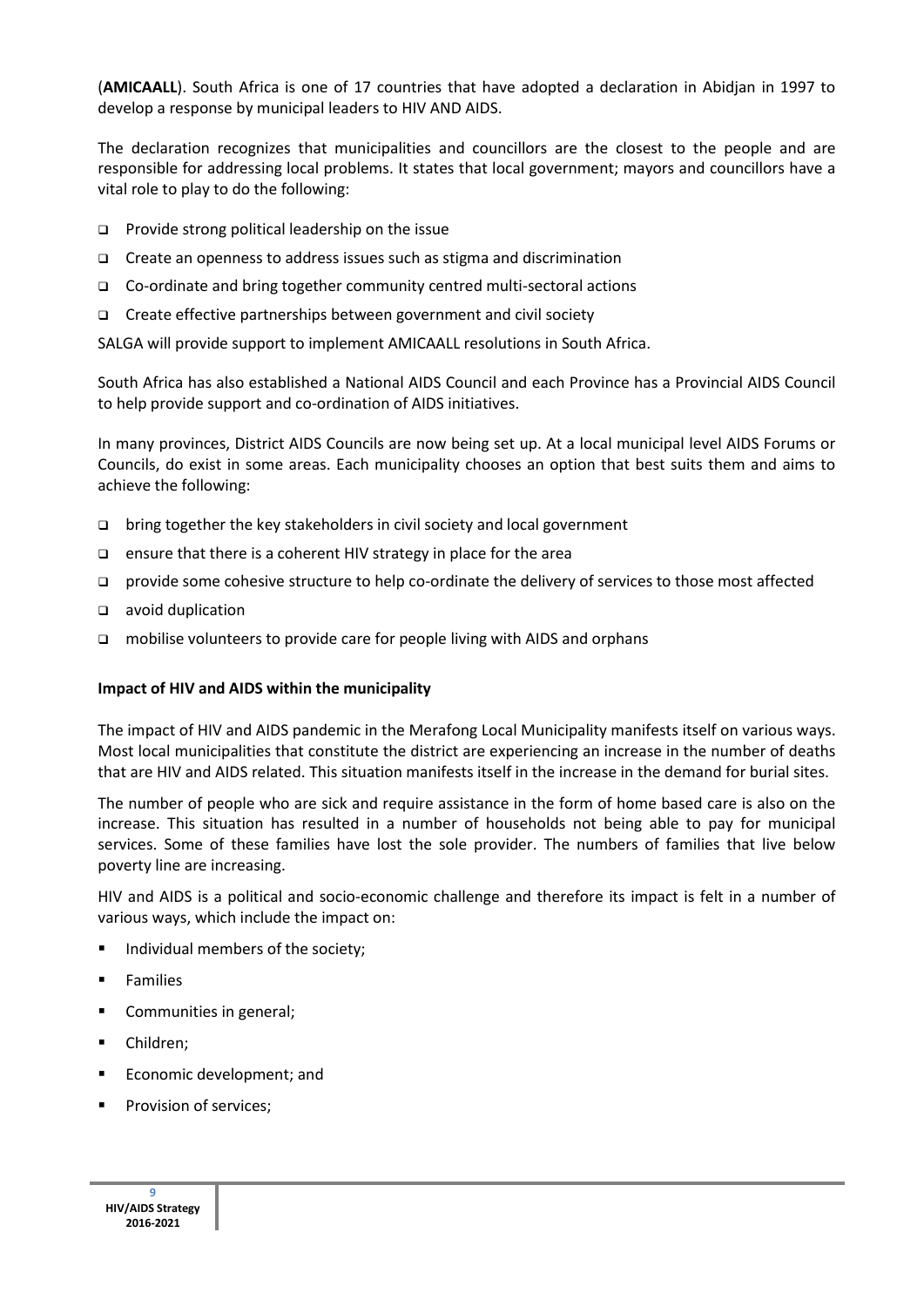(**AMICAALL**). South Africa is one of 17 countries that have adopted a declaration in Abidjan in 1997 to develop a response by municipal leaders to HIV AND AIDS.

The declaration recognizes that municipalities and councillors are the closest to the people and are responsible for addressing local problems. It states that local government; mayors and councillors have a vital role to play to do the following:

- $\Box$  Provide strong political leadership on the issue
- □ Create an openness to address issues such as stigma and discrimination
- □ Co-ordinate and bring together community centred multi-sectoral actions
- $\Box$  Create effective partnerships between government and civil society

SALGA will provide support to implement AMICAALL resolutions in South Africa.

South Africa has also established a National AIDS Council and each Province has a Provincial AIDS Council to help provide support and co-ordination of AIDS initiatives.

In many provinces, District AIDS Councils are now being set up. At a local municipal level AIDS Forums or Councils, do exist in some areas. Each municipality chooses an option that best suits them and aims to achieve the following:

- $\Box$  bring together the key stakeholders in civil society and local government
- $\Box$  ensure that there is a coherent HIV strategy in place for the area
- provide some cohesive structure to help co-ordinate the delivery of services to those most affected
- avoid duplication
- mobilise volunteers to provide care for people living with AIDS and orphans

#### **Impact of HIV and AIDS within the municipality**

The impact of HIV and AIDS pandemic in the Merafong Local Municipality manifests itself on various ways. Most local municipalities that constitute the district are experiencing an increase in the number of deaths that are HIV and AIDS related. This situation manifests itself in the increase in the demand for burial sites.

The number of people who are sick and require assistance in the form of home based care is also on the increase. This situation has resulted in a number of households not being able to pay for municipal services. Some of these families have lost the sole provider. The numbers of families that live below poverty line are increasing.

HIV and AIDS is a political and socio-economic challenge and therefore its impact is felt in a number of various ways, which include the impact on:

- **Individual members of the society;**
- **Families**
- Communities in general;
- **Children**;
- **Exercice** Economic development; and
- Provision of services;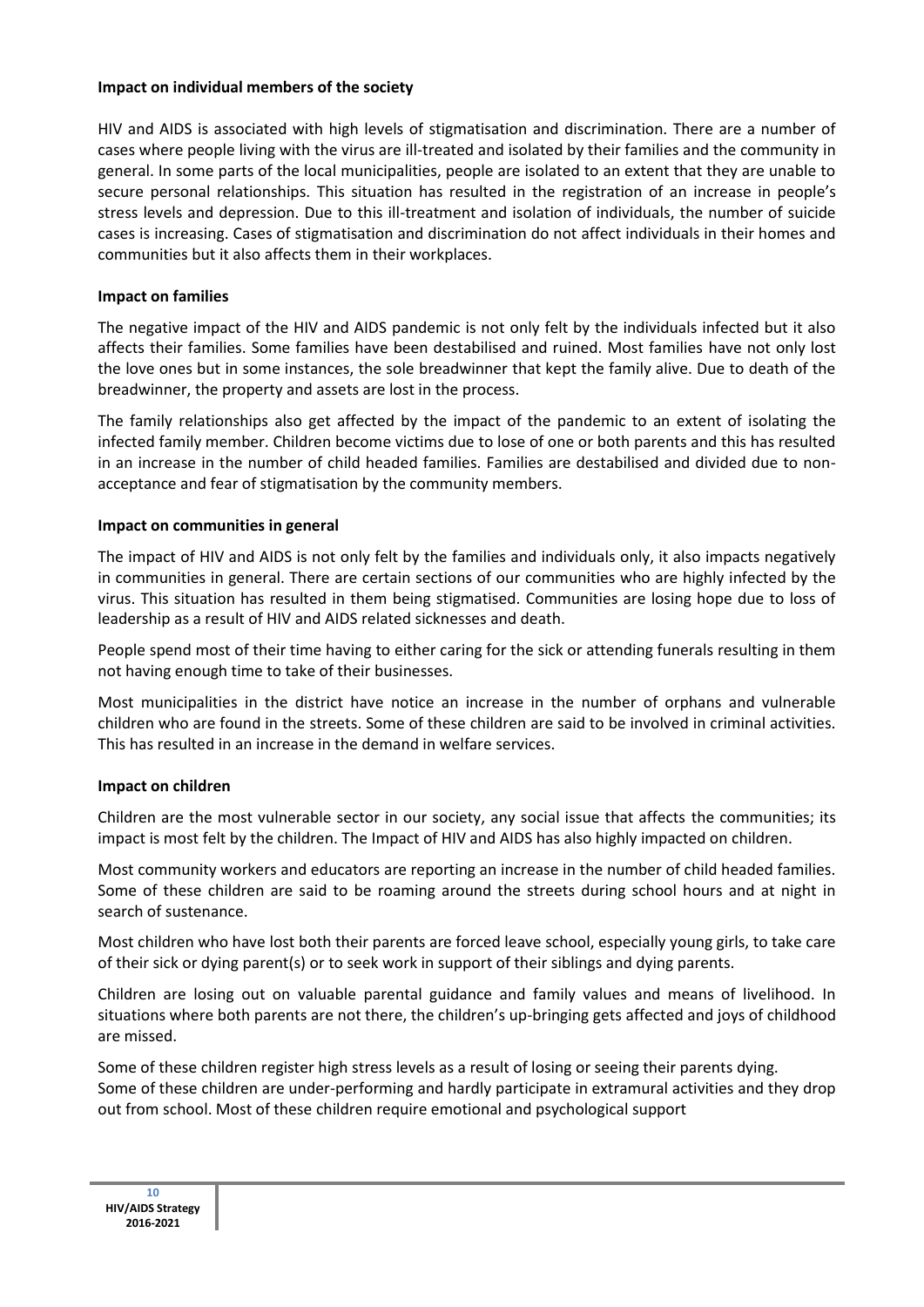#### **Impact on individual members of the society**

HIV and AIDS is associated with high levels of stigmatisation and discrimination. There are a number of cases where people living with the virus are ill-treated and isolated by their families and the community in general. In some parts of the local municipalities, people are isolated to an extent that they are unable to secure personal relationships. This situation has resulted in the registration of an increase in people's stress levels and depression. Due to this ill-treatment and isolation of individuals, the number of suicide cases is increasing. Cases of stigmatisation and discrimination do not affect individuals in their homes and communities but it also affects them in their workplaces.

## **Impact on families**

The negative impact of the HIV and AIDS pandemic is not only felt by the individuals infected but it also affects their families. Some families have been destabilised and ruined. Most families have not only lost the love ones but in some instances, the sole breadwinner that kept the family alive. Due to death of the breadwinner, the property and assets are lost in the process.

The family relationships also get affected by the impact of the pandemic to an extent of isolating the infected family member. Children become victims due to lose of one or both parents and this has resulted in an increase in the number of child headed families. Families are destabilised and divided due to nonacceptance and fear of stigmatisation by the community members.

### **Impact on communities in general**

The impact of HIV and AIDS is not only felt by the families and individuals only, it also impacts negatively in communities in general. There are certain sections of our communities who are highly infected by the virus. This situation has resulted in them being stigmatised. Communities are losing hope due to loss of leadership as a result of HIV and AIDS related sicknesses and death.

People spend most of their time having to either caring for the sick or attending funerals resulting in them not having enough time to take of their businesses.

Most municipalities in the district have notice an increase in the number of orphans and vulnerable children who are found in the streets. Some of these children are said to be involved in criminal activities. This has resulted in an increase in the demand in welfare services.

## **Impact on children**

Children are the most vulnerable sector in our society, any social issue that affects the communities; its impact is most felt by the children. The Impact of HIV and AIDS has also highly impacted on children.

Most community workers and educators are reporting an increase in the number of child headed families. Some of these children are said to be roaming around the streets during school hours and at night in search of sustenance. Ī

Most children who have lost both their parents are forced leave school, especially young girls, to take care of their sick or dying parent(s) or to seek work in support of their siblings and dying parents.

Children are losing out on valuable parental guidance and family values and means of livelihood. In situations where both parents are not there, the children's up-bringing gets affected and joys of childhood are missed.

Some of these children register high stress levels as a result of losing or seeing their parents dying. Some of these children are under-performing and hardly participate in extramural activities and they drop out from school. Most of these children require emotional and psychological support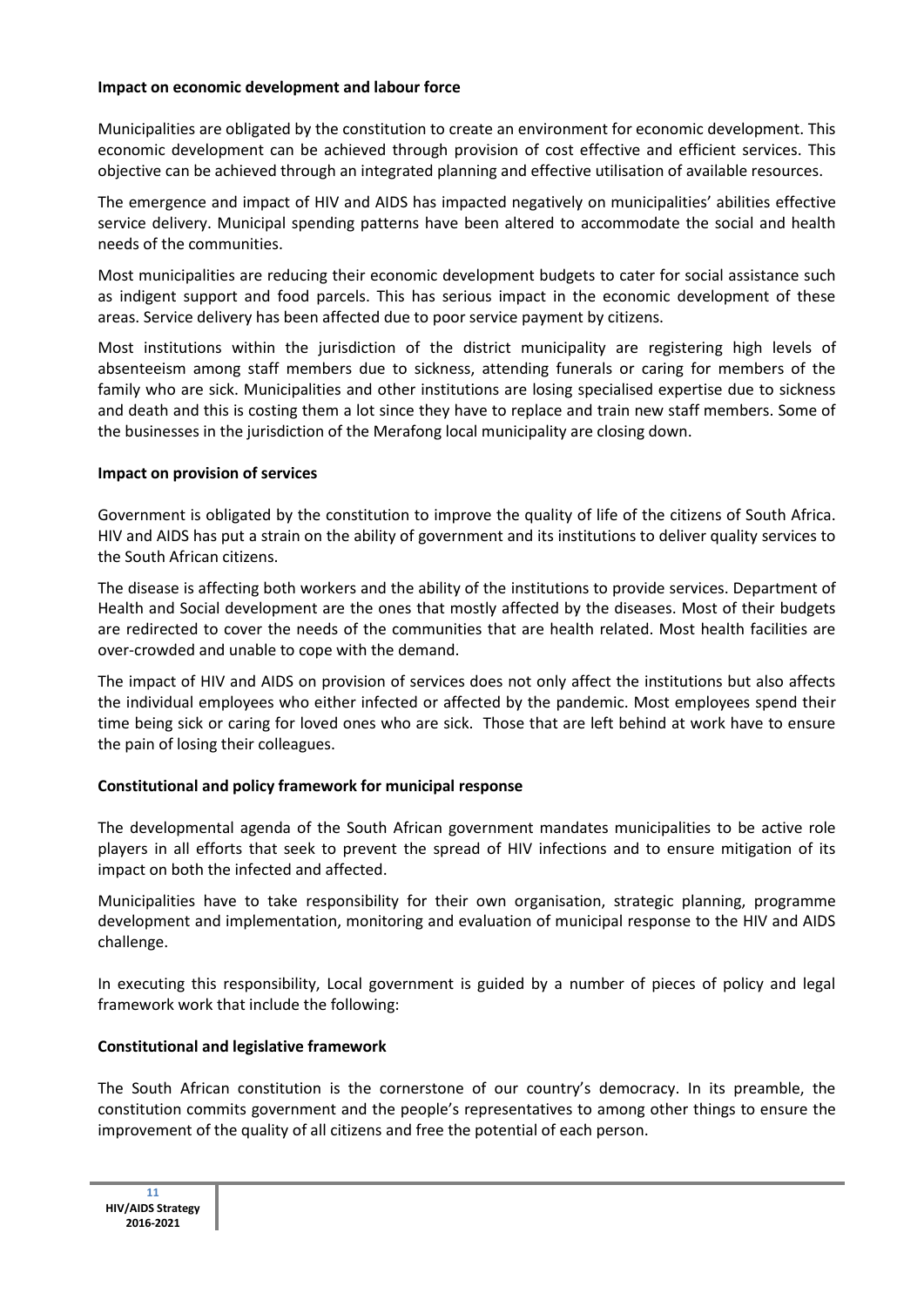#### **Impact on economic development and labour force**

Municipalities are obligated by the constitution to create an environment for economic development. This economic development can be achieved through provision of cost effective and efficient services. This objective can be achieved through an integrated planning and effective utilisation of available resources.

The emergence and impact of HIV and AIDS has impacted negatively on municipalities' abilities effective service delivery. Municipal spending patterns have been altered to accommodate the social and health needs of the communities.

Most municipalities are reducing their economic development budgets to cater for social assistance such as indigent support and food parcels. This has serious impact in the economic development of these areas. Service delivery has been affected due to poor service payment by citizens.

Most institutions within the jurisdiction of the district municipality are registering high levels of absenteeism among staff members due to sickness, attending funerals or caring for members of the family who are sick. Municipalities and other institutions are losing specialised expertise due to sickness and death and this is costing them a lot since they have to replace and train new staff members. Some of the businesses in the jurisdiction of the Merafong local municipality are closing down.

### **Impact on provision of services**

Government is obligated by the constitution to improve the quality of life of the citizens of South Africa. HIV and AIDS has put a strain on the ability of government and its institutions to deliver quality services to the South African citizens.

The disease is affecting both workers and the ability of the institutions to provide services. Department of Health and Social development are the ones that mostly affected by the diseases. Most of their budgets are redirected to cover the needs of the communities that are health related. Most health facilities are over-crowded and unable to cope with the demand.

The impact of HIV and AIDS on provision of services does not only affect the institutions but also affects the individual employees who either infected or affected by the pandemic. Most employees spend their time being sick or caring for loved ones who are sick. Those that are left behind at work have to ensure the pain of losing their colleagues.

## **Constitutional and policy framework for municipal response**

The developmental agenda of the South African government mandates municipalities to be active role players in all efforts that seek to prevent the spread of HIV infections and to ensure mitigation of its impact on both the infected and affected.

Municipalities have to take responsibility for their own organisation, strategic planning, programme development and implementation, monitoring and evaluation of municipal response to the HIV and AIDS challenge.

In executing this responsibility, Local government is guided by a number of pieces of policy and legal framework work that include the following:

## **Constitutional and legislative framework**

The South African constitution is the cornerstone of our country's democracy. In its preamble, the constitution commits government and the people's representatives to among other things to ensure the improvement of the quality of all citizens and free the potential of each person.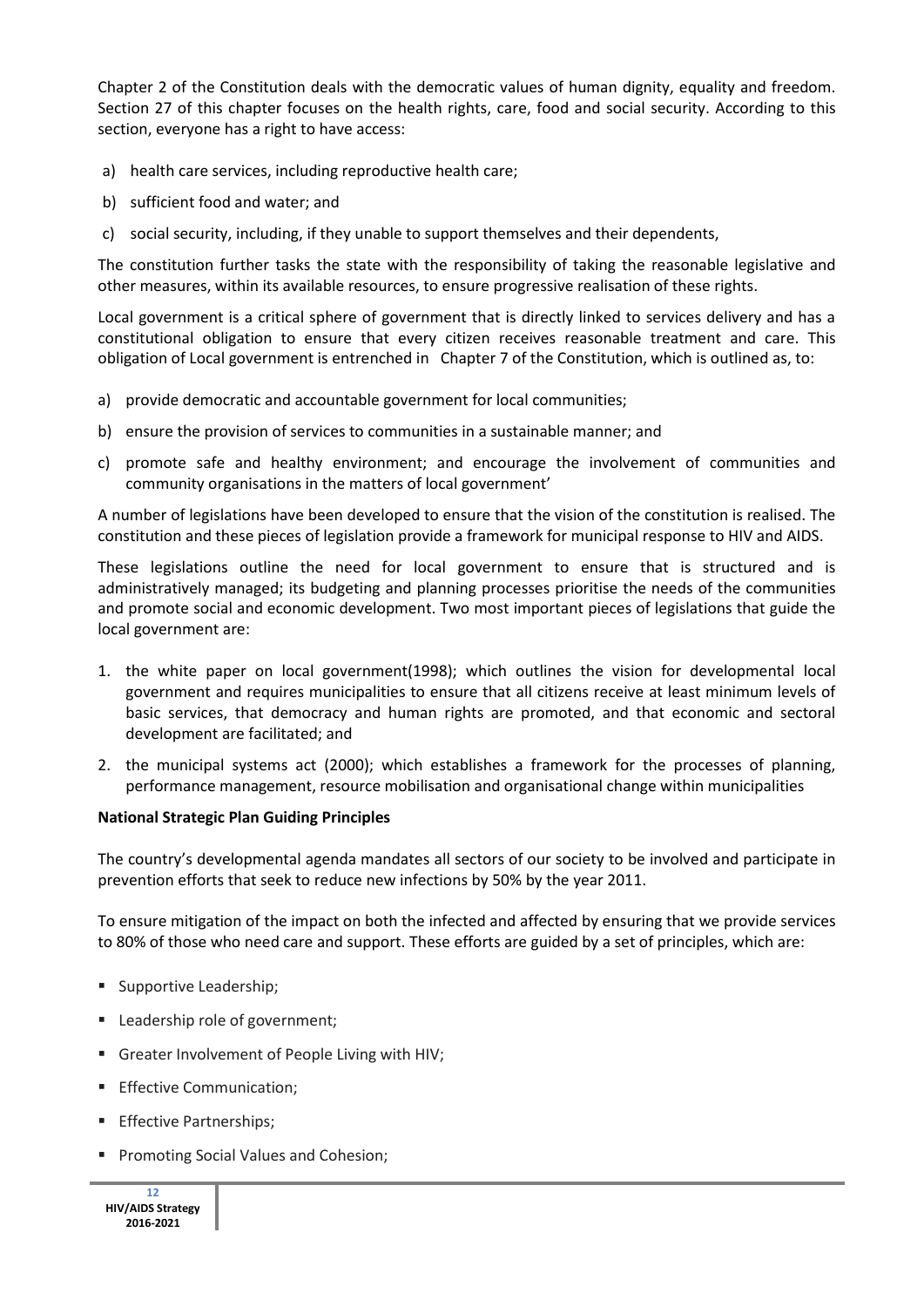Chapter 2 of the Constitution deals with the democratic values of human dignity, equality and freedom. Section 27 of this chapter focuses on the health rights, care, food and social security. According to this section, everyone has a right to have access:

- a) health care services, including reproductive health care;
- b) sufficient food and water; and
- c) social security, including, if they unable to support themselves and their dependents,

The constitution further tasks the state with the responsibility of taking the reasonable legislative and other measures, within its available resources, to ensure progressive realisation of these rights.

Local government is a critical sphere of government that is directly linked to services delivery and has a constitutional obligation to ensure that every citizen receives reasonable treatment and care. This obligation of Local government is entrenched in Chapter 7 of the Constitution, which is outlined as, to:

- a) provide democratic and accountable government for local communities;
- b) ensure the provision of services to communities in a sustainable manner; and
- c) promote safe and healthy environment; and encourage the involvement of communities and community organisations in the matters of local government'

A number of legislations have been developed to ensure that the vision of the constitution is realised. The constitution and these pieces of legislation provide a framework for municipal response to HIV and AIDS.

These legislations outline the need for local government to ensure that is structured and is administratively managed; its budgeting and planning processes prioritise the needs of the communities and promote social and economic development. Two most important pieces of legislations that guide the local government are:

- 1. the white paper on local government(1998); which outlines the vision for developmental local government and requires municipalities to ensure that all citizens receive at least minimum levels of basic services, that democracy and human rights are promoted, and that economic and sectoral development are facilitated; and
- 2. the municipal systems act (2000); which establishes a framework for the processes of planning, performance management, resource mobilisation and organisational change within municipalities

#### **National Strategic Plan Guiding Principles**

The country's developmental agenda mandates all sectors of our society to be involved and participate in prevention efforts that seek to reduce new infections by 50% by the year 2011.

To ensure mitigation of the impact on both the infected and affected by ensuring that we provide services to 80% of those who need care and support. These efforts are guided by a set of principles, which are:

- Supportive Leadership;
- Leadership role of government;
- Greater Involvement of People Living with HIV:
- **Effective Communication:**
- **Effective Partnerships;**
- **Promoting Social Values and Cohesion;**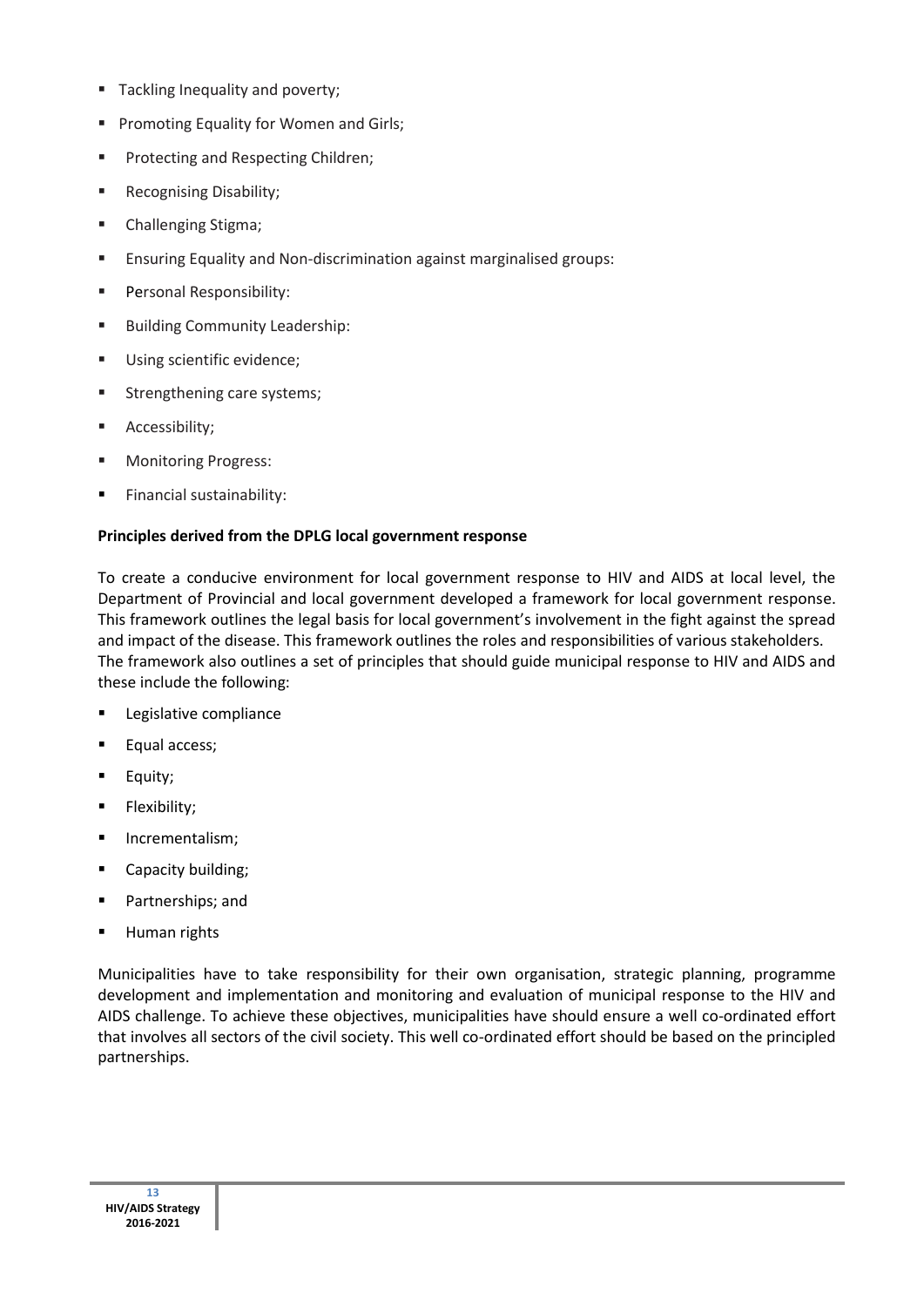- **Tackling Inequality and poverty;**
- **Promoting Equality for Women and Girls;**
- Protecting and Respecting Children;
- Recognising Disability;
- **E** Challenging Stigma;
- **Ensuring Equality and Non-discrimination against marginalised groups:**
- Personal Responsibility:
- **Building Community Leadership:**
- **Using scientific evidence;**
- **Strengthening care systems;**
- Accessibility;
- Monitoring Progress:
- Financial sustainability:

#### **Principles derived from the DPLG local government response**

To create a conducive environment for local government response to HIV and AIDS at local level, the Department of Provincial and local government developed a framework for local government response. This framework outlines the legal basis for local government's involvement in the fight against the spread and impact of the disease. This framework outlines the roles and responsibilities of various stakeholders. The framework also outlines a set of principles that should guide municipal response to HIV and AIDS and these include the following:

- **Legislative compliance**
- **Equal access;**
- Equity;
- Flexibility;
- **Incrementalism;**
- **Capacity building;**
- **Partnerships; and**
- Human rights

Municipalities have to take responsibility for their own organisation, strategic planning, programme development and implementation and monitoring and evaluation of municipal response to the HIV and AIDS challenge. To achieve these objectives, municipalities have should ensure a well co-ordinated effort that involves all sectors of the civil society. This well co-ordinated effort should be based on the principled partnerships.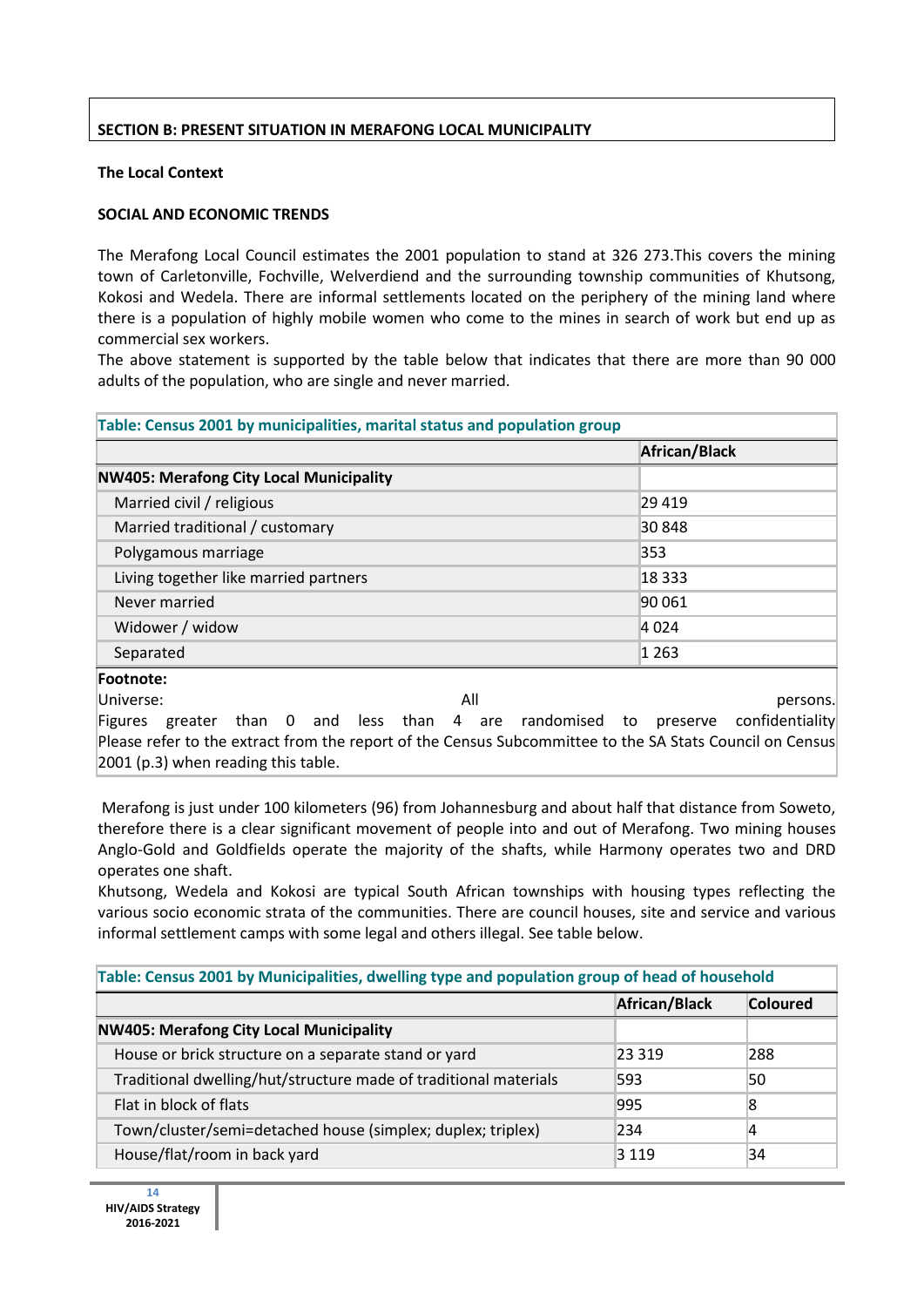## **SECTION B: PRESENT SITUATION IN MERAFONG LOCAL MUNICIPALITY**

## **The Local Context**

## **SOCIAL AND ECONOMIC TRENDS**

The Merafong Local Council estimates the 2001 population to stand at 326 273.This covers the mining town of Carletonville, Fochville, Welverdiend and the surrounding township communities of Khutsong, Kokosi and Wedela. There are informal settlements located on the periphery of the mining land where there is a population of highly mobile women who come to the mines in search of work but end up as commercial sex workers.

The above statement is supported by the table below that indicates that there are more than 90 000 adults of the population, who are single and never married.

| Table: Census 2001 by municipalities, marital status and population group                                                                                                                                            |                 |  |  |  |
|----------------------------------------------------------------------------------------------------------------------------------------------------------------------------------------------------------------------|-----------------|--|--|--|
|                                                                                                                                                                                                                      | African/Black   |  |  |  |
| <b>NW405: Merafong City Local Municipality</b>                                                                                                                                                                       |                 |  |  |  |
| Married civil / religious                                                                                                                                                                                            | 29419           |  |  |  |
| Married traditional / customary                                                                                                                                                                                      | 30 848          |  |  |  |
| Polygamous marriage                                                                                                                                                                                                  | 353             |  |  |  |
| Living together like married partners                                                                                                                                                                                | 18 3 33         |  |  |  |
| Never married                                                                                                                                                                                                        | 90 061          |  |  |  |
| Widower / widow                                                                                                                                                                                                      | 4 0 24          |  |  |  |
| Separated                                                                                                                                                                                                            | 1 263           |  |  |  |
| Footnote:                                                                                                                                                                                                            |                 |  |  |  |
| All<br>Universe:                                                                                                                                                                                                     | persons.        |  |  |  |
| Figures greater than 0 and less than 4 are randomised to preserve<br>Please refer to the extract from the report of the Census Subcommittee to the SA Stats Council on Census<br>2001 (p.3) when reading this table. | confidentiality |  |  |  |

Merafong is just under 100 kilometers (96) from Johannesburg and about half that distance from Soweto, therefore there is a clear significant movement of people into and out of Merafong. Two mining houses Anglo-Gold and Goldfields operate the majority of the shafts, while Harmony operates two and DRD operates one shaft.

Khutsong, Wedela and Kokosi are typical South African townships with housing types reflecting the various socio economic strata of the communities. There are council houses, site and service and various informal settlement camps with some legal and others illegal. See table below.

| Table: Census 2001 by Municipalities, dwelling type and population group of head of household |         |     |  |  |  |
|-----------------------------------------------------------------------------------------------|---------|-----|--|--|--|
| African/Black<br><b>Coloured</b>                                                              |         |     |  |  |  |
| <b>NW405: Merafong City Local Municipality</b>                                                |         |     |  |  |  |
| House or brick structure on a separate stand or yard                                          | 23 3 19 | 288 |  |  |  |
| Traditional dwelling/hut/structure made of traditional materials                              | 593     | 50  |  |  |  |
| Flat in block of flats                                                                        | 995     | 8   |  |  |  |
| Town/cluster/semi=detached house (simplex; duplex; triplex)                                   | 234     | 14  |  |  |  |
| House/flat/room in back yard                                                                  | 3 1 1 9 | 34  |  |  |  |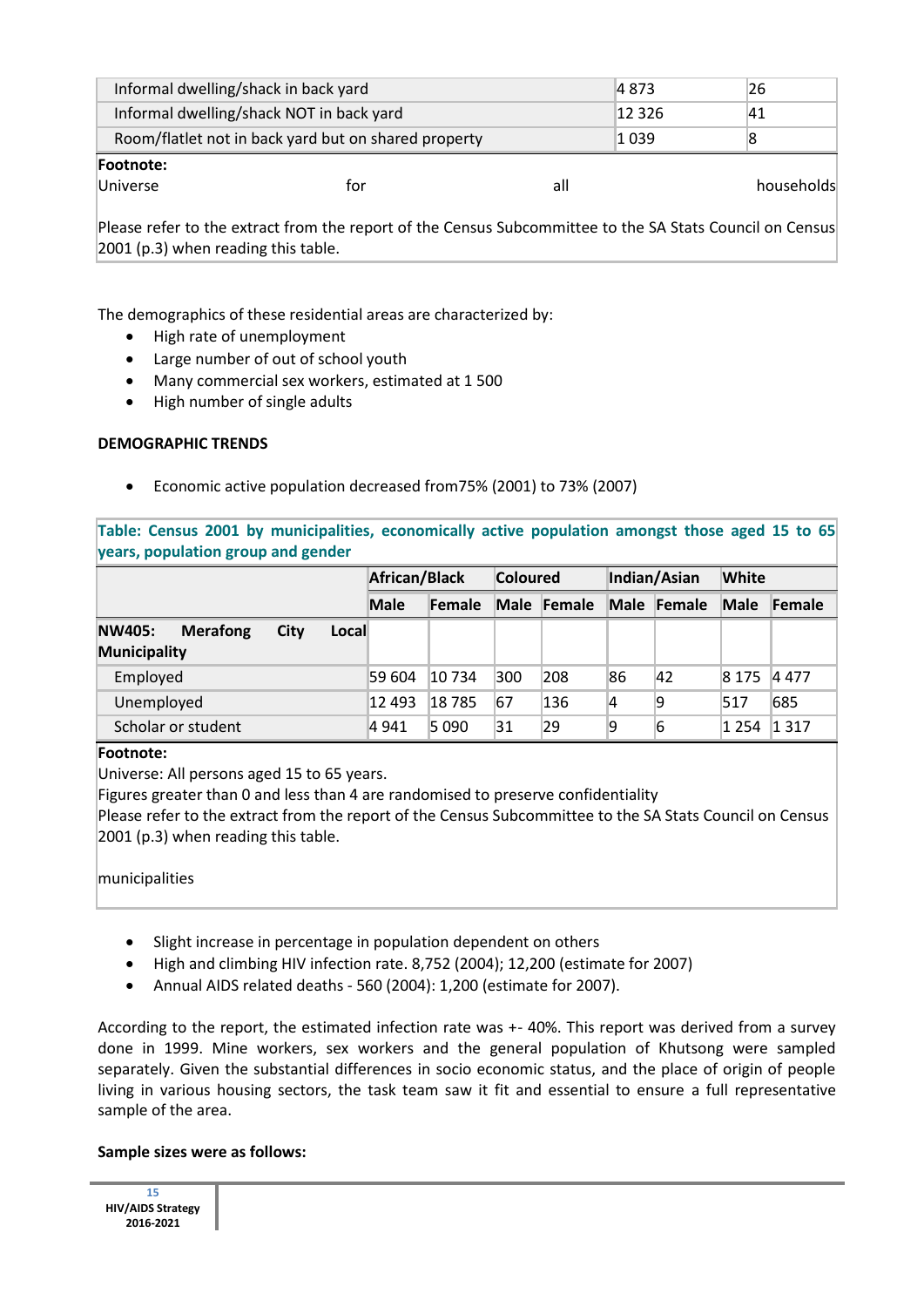| Informal dwelling/shack in back yard                 |     |     | 4 873   | 26         |  |
|------------------------------------------------------|-----|-----|---------|------------|--|
| Informal dwelling/shack NOT in back yard             |     |     | 12 326  | 41         |  |
| Room/flatlet not in back yard but on shared property |     |     | 1 0 3 9 |            |  |
| <b>Footnote:</b>                                     |     |     |         |            |  |
| <b>Universe</b>                                      | tor | all |         | households |  |

Please refer to the extract from the report of the Census Subcommittee to the SA Stats Council on Census 2001 (p.3) when reading this table.

The demographics of these residential areas are characterized by:

- High rate of unemployment
- Large number of out of school youth
- Many commercial sex workers, estimated at 1 500
- High number of single adults

#### **DEMOGRAPHIC TRENDS**

Economic active population decreased from75% (2001) to 73% (2007)

**Table: Census 2001 by municipalities, economically active population amongst those aged 15 to 65 years, population group and gender** 

|                                                                          | African/Black |        | <b>Coloured</b> |             | Indian/Asian |             | <b>White</b> |        |
|--------------------------------------------------------------------------|---------------|--------|-----------------|-------------|--------------|-------------|--------------|--------|
|                                                                          | <b>Male</b>   | Female |                 | Male Female |              | Male Female | Male         | Female |
| <b>Merafong</b><br>Local<br><b>NW405:</b><br>City<br><b>Municipality</b> |               |        |                 |             |              |             |              |        |
| Employed                                                                 | 59 604        | 10 734 | 300             | 208         | 86           | 42          | 8 1 7 5      | 4477   |
| Unemployed                                                               | 12 493        | 18785  | 67              | 136         | 14           | 9           | 517          | 685    |
| Scholar or student                                                       | 4 941         | 5090   | 31              | 29          | 9            | 6           | 1 2 5 4      | 1 317  |

#### **Footnote:**

Universe: All persons aged 15 to 65 years.

Figures greater than 0 and less than 4 are randomised to preserve confidentiality

Please refer to the extract from the report of the Census Subcommittee to the SA Stats Council on Census 2001 (p.3) when reading this table.

#### municipalities

- Slight increase in percentage in population dependent on others
- High and climbing HIV infection rate. 8,752 (2004); 12,200 (estimate for 2007)
- Annual AIDS related deaths 560 (2004): 1,200 (estimate for 2007).

According to the report, the estimated infection rate was +- 40%. This report was derived from a survey done in 1999. Mine workers, sex workers and the general population of Khutsong were sampled separately. Given the substantial differences in socio economic status, and the place of origin of people living in various housing sectors, the task team saw it fit and essential to ensure a full representative sample of the area.

#### **Sample sizes were as follows:**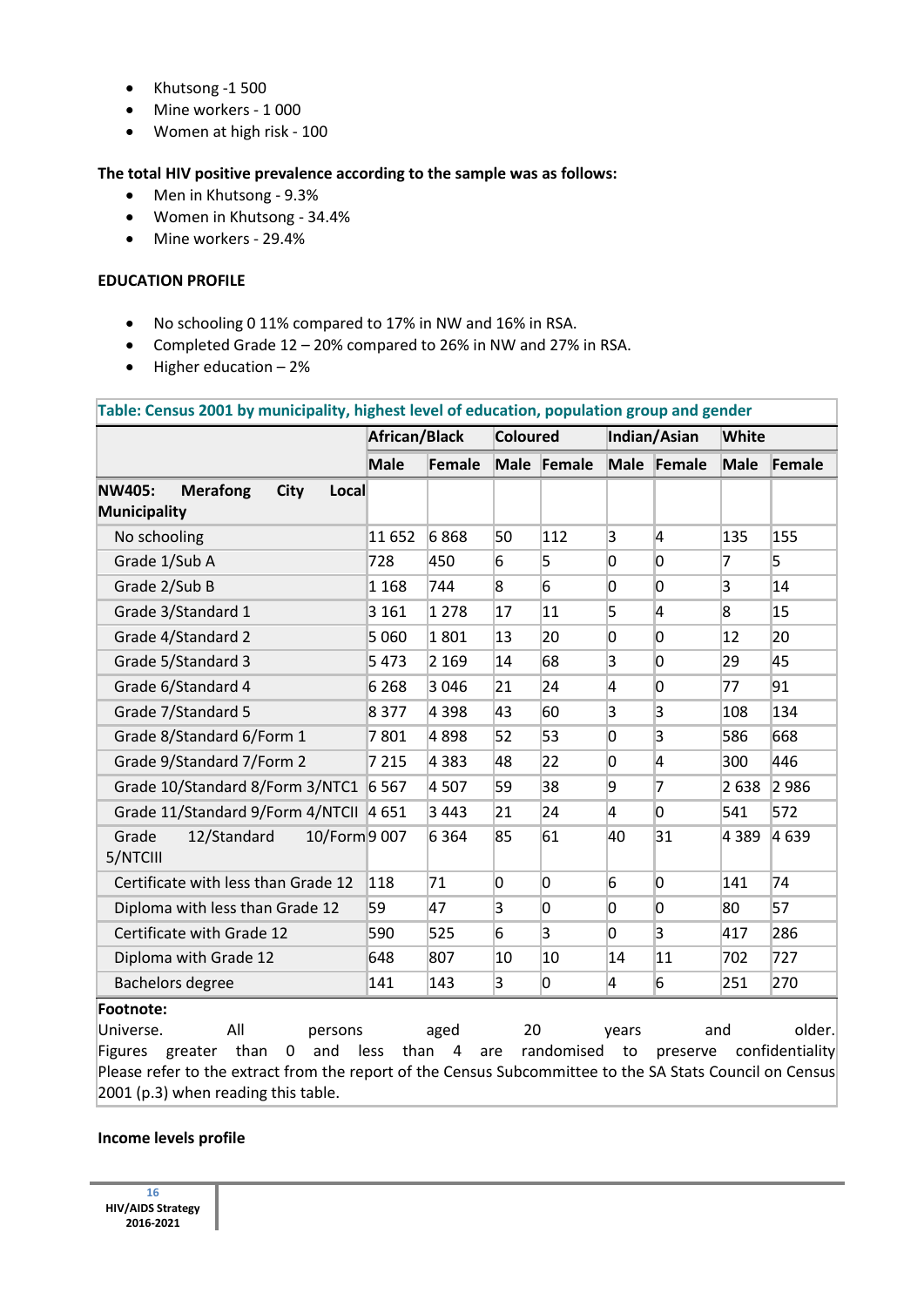- Khutsong -1 500
- Mine workers 1 000
- Women at high risk 100

## **The total HIV positive prevalence according to the sample was as follows:**

- Men in Khutsong 9.3%
- Women in Khutsong 34.4%
- Mine workers 29.4%

### **EDUCATION PROFILE**

- No schooling 0 11% compared to 17% in NW and 16% in RSA.
- Completed Grade 12 20% compared to 26% in NW and 27% in RSA.
- $\bullet$  Higher education  $-2\%$

| Table: Census 2001 by municipality, highest level of education, population group and gender                                                                                                           |              |                                  |                |                |                |                         |                |                           |  |  |
|-------------------------------------------------------------------------------------------------------------------------------------------------------------------------------------------------------|--------------|----------------------------------|----------------|----------------|----------------|-------------------------|----------------|---------------------------|--|--|
|                                                                                                                                                                                                       |              | African/Black<br><b>Coloured</b> |                |                | Indian/Asian   | <b>White</b>            |                |                           |  |  |
|                                                                                                                                                                                                       | <b>Male</b>  | <b>Female</b>                    |                | Male Female    |                | Male Female             | <b>Male</b>    | Female                    |  |  |
| <b>NW405:</b><br><b>Merafong</b><br><b>City</b><br>Local                                                                                                                                              |              |                                  |                |                |                |                         |                |                           |  |  |
| <b>Municipality</b>                                                                                                                                                                                   |              |                                  |                |                |                |                         |                |                           |  |  |
| No schooling                                                                                                                                                                                          | 11 652       | 6868                             | 50             | 112            | $\overline{3}$ | $\overline{4}$          | 135            | 155                       |  |  |
| Grade 1/Sub A                                                                                                                                                                                         | 728          | 450                              | 6              | 5              | 0              | $\overline{0}$          | 7              | 5                         |  |  |
| Grade 2/Sub B                                                                                                                                                                                         | 1 1 6 8      | 744                              | 8              | 6              | 0              | $\overline{0}$          | $\overline{3}$ | 14                        |  |  |
| Grade 3/Standard 1                                                                                                                                                                                    | 3 1 6 1      | 1 2 7 8                          | 17             | 11             | 5              | $\overline{4}$          | 8              | 15                        |  |  |
| Grade 4/Standard 2                                                                                                                                                                                    | 5 0 6 0      | 1801                             | 13             | 20             | 0              | 0                       | 12             | 20                        |  |  |
| Grade 5/Standard 3                                                                                                                                                                                    | 5473         | 2 1 6 9                          | 14             | 68             | $\overline{3}$ | $\overline{0}$          | 29             | 45                        |  |  |
| Grade 6/Standard 4                                                                                                                                                                                    | 6 2 6 8      | 3 0 4 6                          | 21             | 24             | 4              | $\overline{0}$          | 77             | 91                        |  |  |
| Grade 7/Standard 5                                                                                                                                                                                    | 8 3 7 7      | 4 3 9 8                          | 43             | 60             | $\overline{3}$ | $\overline{\mathbf{3}}$ | 108            | 134                       |  |  |
| Grade 8/Standard 6/Form 1                                                                                                                                                                             | 7801         | 4898                             | 52             | 53             | $\overline{0}$ | $\overline{3}$          | 586            | 668                       |  |  |
| Grade 9/Standard 7/Form 2                                                                                                                                                                             | 7 2 1 5      | 4 3 8 3                          | 48             | 22             | 0              | $\overline{4}$          | 300            | 446                       |  |  |
| Grade 10/Standard 8/Form 3/NTC1 6 567                                                                                                                                                                 |              | 4 5 0 7                          | 59             | 38             | 9              | 7                       | 2 6 3 8        | 2 9 8 6                   |  |  |
| Grade 11/Standard 9/Form 4/NTCII 4 651                                                                                                                                                                |              | 3443                             | 21             | 24             | 4              | $\overline{0}$          | 541            | 572                       |  |  |
| Grade<br>12/Standard<br>10/Form 9 007<br>5/NTCIII                                                                                                                                                     |              | 6 3 6 4                          | 85             | 61             | 40             | 31                      | 4 3 8 9        | 4 6 3 9                   |  |  |
| Certificate with less than Grade 12                                                                                                                                                                   | 118          | 71                               | $\overline{0}$ | 0              | 6              | $\overline{0}$          | 141            | 74                        |  |  |
| Diploma with less than Grade 12                                                                                                                                                                       | 59           | 47                               | 3              | 0              | $\overline{0}$ | $\overline{0}$          | 80             | 57                        |  |  |
| Certificate with Grade 12                                                                                                                                                                             | 590          | 525                              | 6              | $\overline{3}$ | $\overline{0}$ | $\overline{3}$          | 417            | 286                       |  |  |
| Diploma with Grade 12                                                                                                                                                                                 | 648          | 807                              | 10             | 10             | 14             | 11                      | 702            | 727                       |  |  |
| Bachelors degree                                                                                                                                                                                      | 141          | 143                              | $\overline{3}$ | 0              | 4              | 6                       | 251            | 270                       |  |  |
| Footnote:<br>All<br>Universe.<br>persons<br>than<br>$\mathbf 0$<br>and<br>Figures greater<br>Please refer to the extract from the report of the Census Subcommittee to the SA Stats Council on Census | than<br>less | aged<br>$\overline{a}$           | 20<br>are      | randomised     | years<br>to    | preserve                | and            | older.<br>confidentiality |  |  |
| 2001 (p.3) when reading this table.                                                                                                                                                                   |              |                                  |                |                |                |                         |                |                           |  |  |

#### **Income levels profile**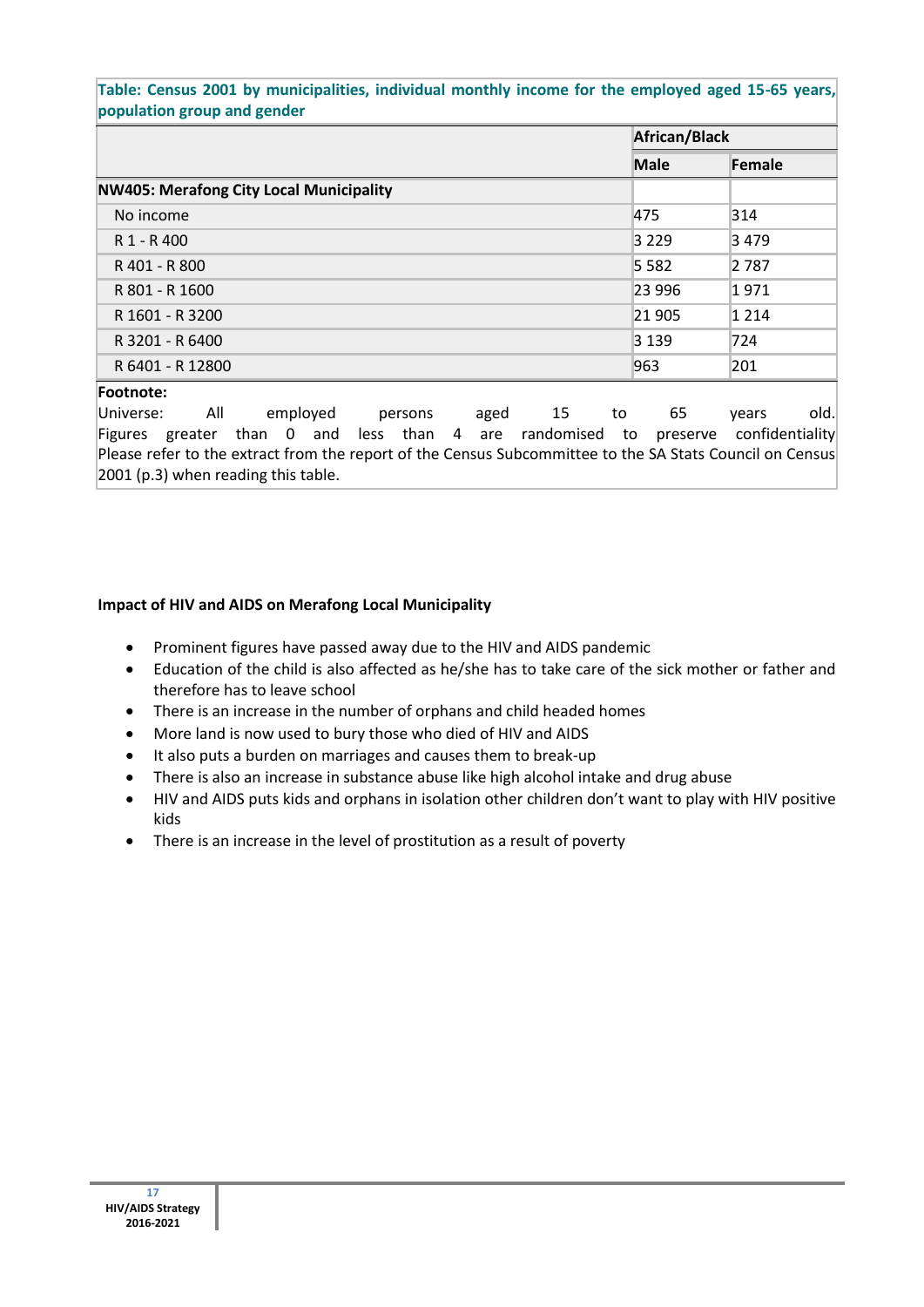### **Table: Census 2001 by municipalities, individual monthly income for the employed aged 15-65 years, population group and gender**

|                                                | African/Black |         |  |
|------------------------------------------------|---------------|---------|--|
|                                                | <b>Male</b>   | Female  |  |
| <b>NW405: Merafong City Local Municipality</b> |               |         |  |
| No income                                      | 475           | 314     |  |
| R 1 - R 400                                    | 3229          | 3479    |  |
| R 401 - R 800                                  | 5 5 8 2       | 2 7 8 7 |  |
| R 801 - R 1600                                 | 23 996        | 1971    |  |
| R 1601 - R 3200                                | 21 905        | 1 2 1 4 |  |
| R 3201 - R 6400                                | 3 1 3 9       | 724     |  |
| R 6401 - R 12800                               | 963           | 201     |  |
| Footnote:                                      |               |         |  |

Universe: All employed persons aged 15 to 65 years old. Figures greater than 0 and less than 4 are randomised to preserve confidentiality Please refer to the extract from the report of the Census Subcommittee to the SA Stats Council on Census 2001 (p.3) when reading this table.

## **Impact of HIV and AIDS on Merafong Local Municipality**

- Prominent figures have passed away due to the HIV and AIDS pandemic
- Education of the child is also affected as he/she has to take care of the sick mother or father and therefore has to leave school
- There is an increase in the number of orphans and child headed homes
- More land is now used to bury those who died of HIV and AIDS
- It also puts a burden on marriages and causes them to break-up
- There is also an increase in substance abuse like high alcohol intake and drug abuse
- HIV and AIDS puts kids and orphans in isolation other children don't want to play with HIV positive kids
- There is an increase in the level of prostitution as a result of poverty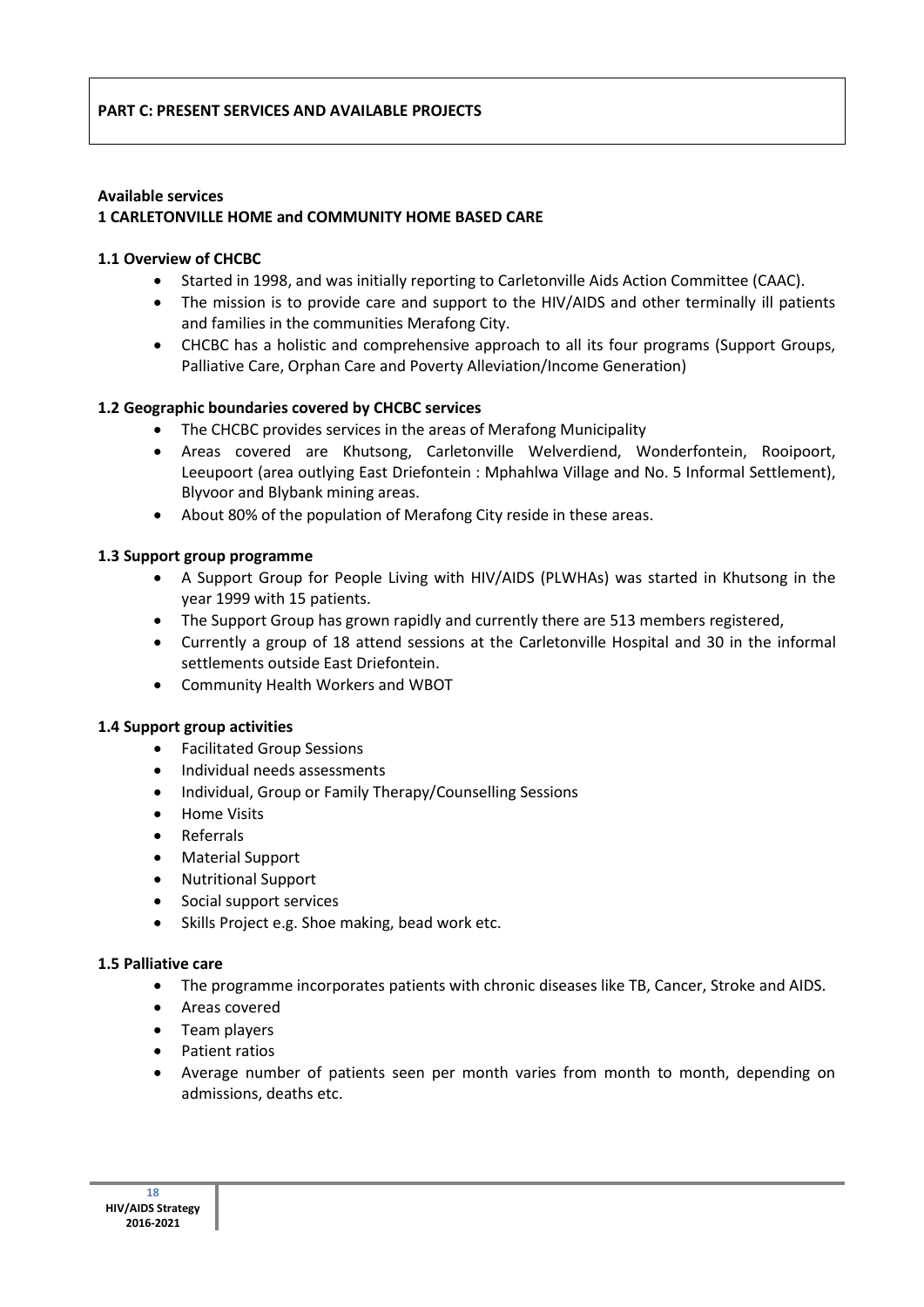#### **Available services 1 CARLETONVILLE HOME and COMMUNITY HOME BASED CARE**

## **1.1 Overview of CHCBC**

- Started in 1998, and was initially reporting to Carletonville Aids Action Committee (CAAC).
- The mission is to provide care and support to the HIV/AIDS and other terminally ill patients and families in the communities Merafong City.
- CHCBC has a holistic and comprehensive approach to all its four programs (Support Groups, Palliative Care, Orphan Care and Poverty Alleviation/Income Generation)

## **1.2 Geographic boundaries covered by CHCBC services**

- The CHCBC provides services in the areas of Merafong Municipality
- Areas covered are Khutsong, Carletonville Welverdiend, Wonderfontein, Rooipoort, Leeupoort (area outlying East Driefontein : Mphahlwa Village and No. 5 Informal Settlement), Blyvoor and Blybank mining areas.
- About 80% of the population of Merafong City reside in these areas.

### **1.3 Support group programme**

- A Support Group for People Living with HIV/AIDS (PLWHAs) was started in Khutsong in the year 1999 with 15 patients.
- The Support Group has grown rapidly and currently there are 513 members registered,
- Currently a group of 18 attend sessions at the Carletonville Hospital and 30 in the informal settlements outside East Driefontein.
- Community Health Workers and WBOT

#### **1.4 Support group activities**

- Facilitated Group Sessions
- Individual needs assessments
- Individual, Group or Family Therapy/Counselling Sessions
- Home Visits
- Referrals
- Material Support
- Nutritional Support
- Social support services
- Skills Project e.g. Shoe making, bead work etc.

#### **1.5 Palliative care**

- The programme incorporates patients with chronic diseases like TB, Cancer, Stroke and AIDS.
- Areas covered
- Team players
- Patient ratios
- Average number of patients seen per month varies from month to month, depending on admissions, deaths etc.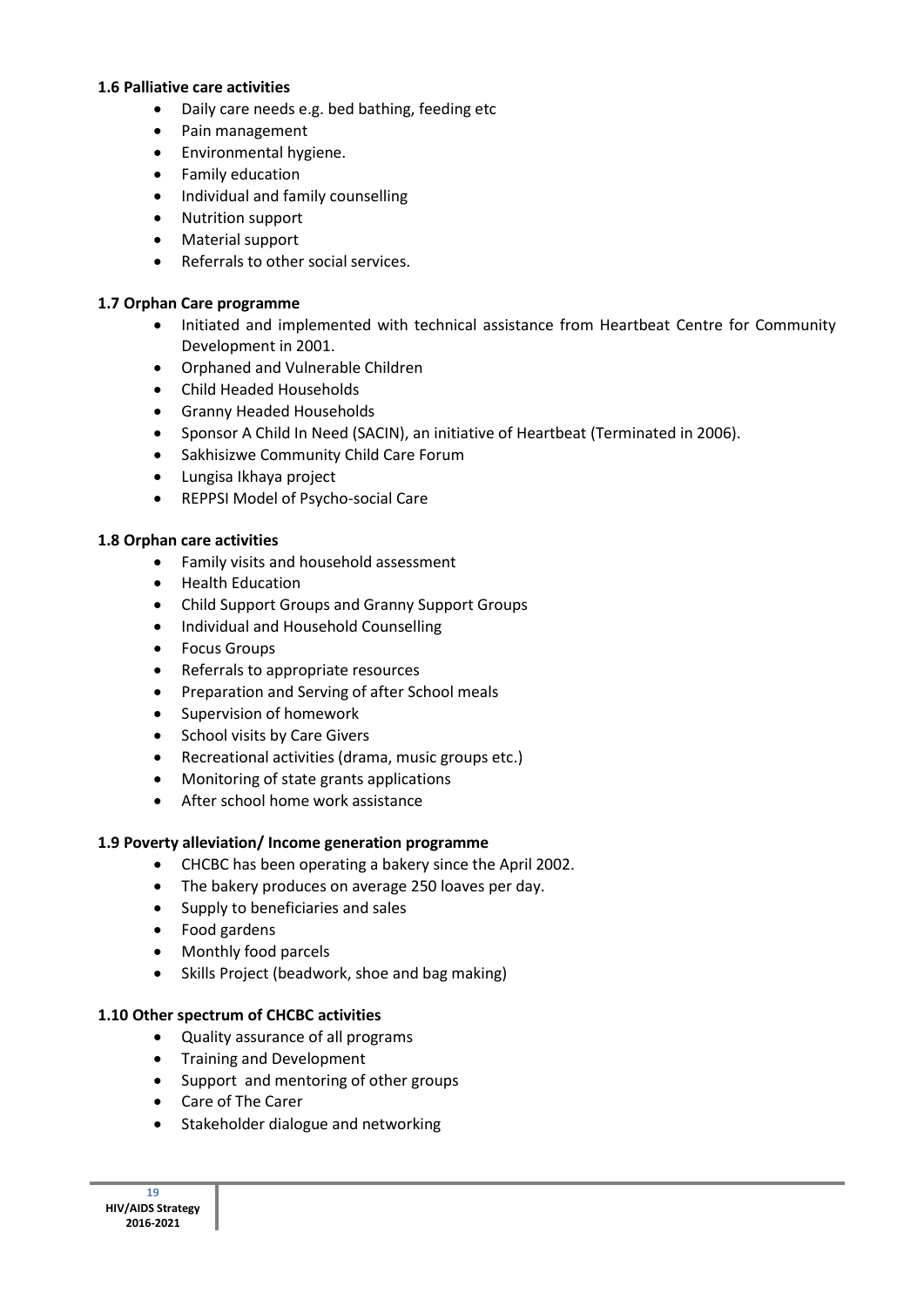#### **1.6 Palliative care activities**

- Daily care needs e.g. bed bathing, feeding etc
- Pain management
- **•** Environmental hygiene.
- Family education
- Individual and family counselling
- Nutrition support
- Material support
- Referrals to other social services.

### **1.7 Orphan Care programme**

- Initiated and implemented with technical assistance from Heartbeat Centre for Community Development in 2001.
- Orphaned and Vulnerable Children
- Child Headed Households
- Granny Headed Households
- Sponsor A Child In Need (SACIN), an initiative of Heartbeat (Terminated in 2006).
- Sakhisizwe Community Child Care Forum
- Lungisa Ikhaya project
- REPPSI Model of Psycho-social Care

## **1.8 Orphan care activities**

- Family visits and household assessment
- **•** Health Education
- Child Support Groups and Granny Support Groups
- Individual and Household Counselling
- Focus Groups
- Referrals to appropriate resources
- Preparation and Serving of after School meals
- Supervision of homework
- School visits by Care Givers
- Recreational activities (drama, music groups etc.)
- Monitoring of state grants applications
- After school home work assistance

## **1.9 Poverty alleviation/ Income generation programme**

- CHCBC has been operating a bakery since the April 2002.
- The bakery produces on average 250 loaves per day.
- Supply to beneficiaries and sales
- Food gardens
- Monthly food parcels
- Skills Project (beadwork, shoe and bag making)

## **1.10 Other spectrum of CHCBC activities**

- Quality assurance of all programs
- Training and Development
- Support and mentoring of other groups
- Care of The Carer
- Stakeholder dialogue and networking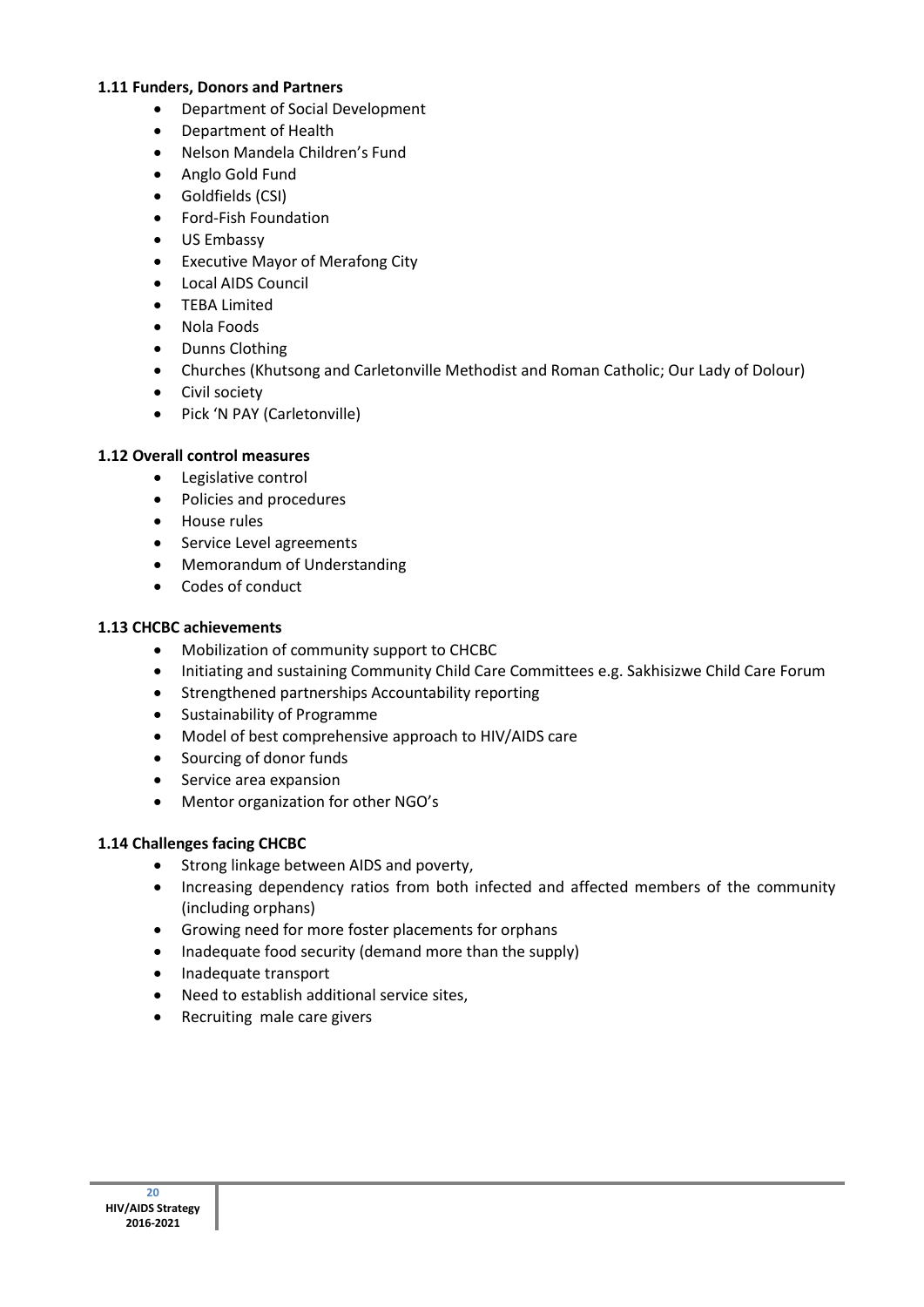### **1.11 Funders, Donors and Partners**

- Department of Social Development
- Department of Health
- Nelson Mandela Children's Fund
- Anglo Gold Fund
- Goldfields (CSI)
- Ford-Fish Foundation
- US Embassy
- Executive Mayor of Merafong City
- Local AIDS Council
- TEBA Limited
- Nola Foods
- Dunns Clothing
- Churches (Khutsong and Carletonville Methodist and Roman Catholic; Our Lady of Dolour)
- Civil society
- Pick 'N PAY (Carletonville)

## **1.12 Overall control measures**

- Legislative control
- Policies and procedures
- House rules
- **•** Service Level agreements
- Memorandum of Understanding
- Codes of conduct

### **1.13 CHCBC achievements**

- Mobilization of community support to CHCBC
- Initiating and sustaining Community Child Care Committees e.g. Sakhisizwe Child Care Forum
- Strengthened partnerships Accountability reporting
- Sustainability of Programme
- Model of best comprehensive approach to HIV/AIDS care
- Sourcing of donor funds
- Service area expansion
- Mentor organization for other NGO's

## **1.14 Challenges facing CHCBC**

- Strong linkage between AIDS and poverty,
- Increasing dependency ratios from both infected and affected members of the community (including orphans)
- Growing need for more foster placements for orphans
- Inadequate food security (demand more than the supply)
- Inadequate transport
- Need to establish additional service sites,
- Recruiting male care givers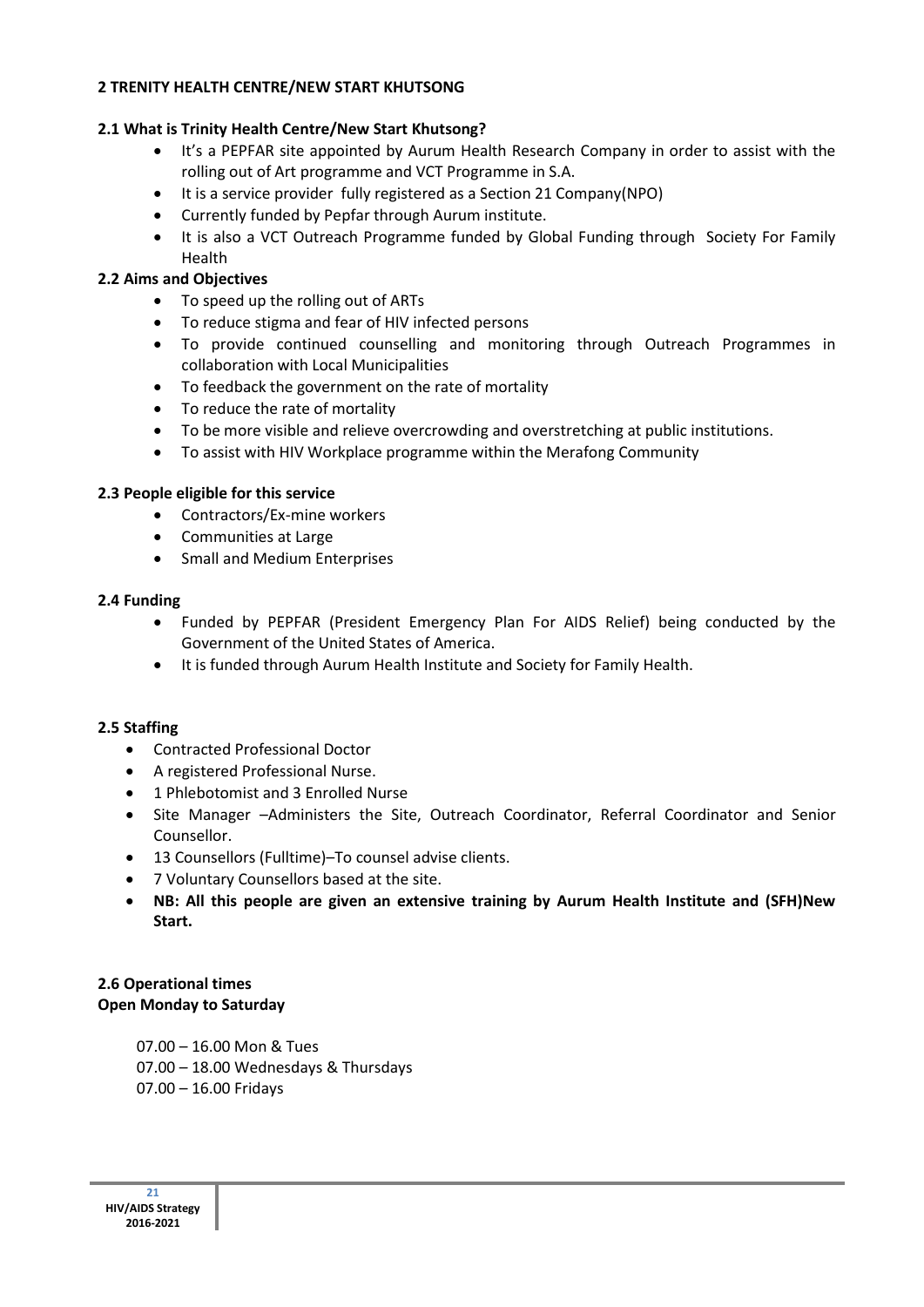## **2 TRENITY HEALTH CENTRE/NEW START KHUTSONG**

# **2.1 What is Trinity Health Centre/New Start Khutsong?**

- It's a PEPFAR site appointed by Aurum Health Research Company in order to assist with the rolling out of Art programme and VCT Programme in S.A.
- It is a service provider fully registered as a Section 21 Company(NPO)
- Currently funded by Pepfar through Aurum institute.
- It is also a VCT Outreach Programme funded by Global Funding through Society For Family Health

# **2.2 Aims and Objectives**

- To speed up the rolling out of ARTs
- To reduce stigma and fear of HIV infected persons
- To provide continued counselling and monitoring through Outreach Programmes in collaboration with Local Municipalities
- To feedback the government on the rate of mortality
- To reduce the rate of mortality
- To be more visible and relieve overcrowding and overstretching at public institutions.
- To assist with HIV Workplace programme within the Merafong Community

## **2.3 People eligible for this service**

- Contractors/Ex-mine workers
- Communities at Large
- Small and Medium Enterprises

## **2.4 Funding**

- Funded by PEPFAR (President Emergency Plan For AIDS Relief) being conducted by the Government of the United States of America.
- It is funded through Aurum Health Institute and Society for Family Health.

## **2.5 Staffing**

- Contracted Professional Doctor
- A registered Professional Nurse.
- 1 Phlebotomist and 3 Enrolled Nurse
- Site Manager –Administers the Site, Outreach Coordinator, Referral Coordinator and Senior Counsellor.
- 13 Counsellors (Fulltime)–To counsel advise clients.
- 7 Voluntary Counsellors based at the site.
- **NB: All this people are given an extensive training by Aurum Health Institute and (SFH)New Start.**

# **2.6 Operational times Open Monday to Saturday**

 07.00 – 16.00 Mon & Tues 07.00 – 18.00 Wednesdays & Thursdays 07.00 – 16.00 Fridays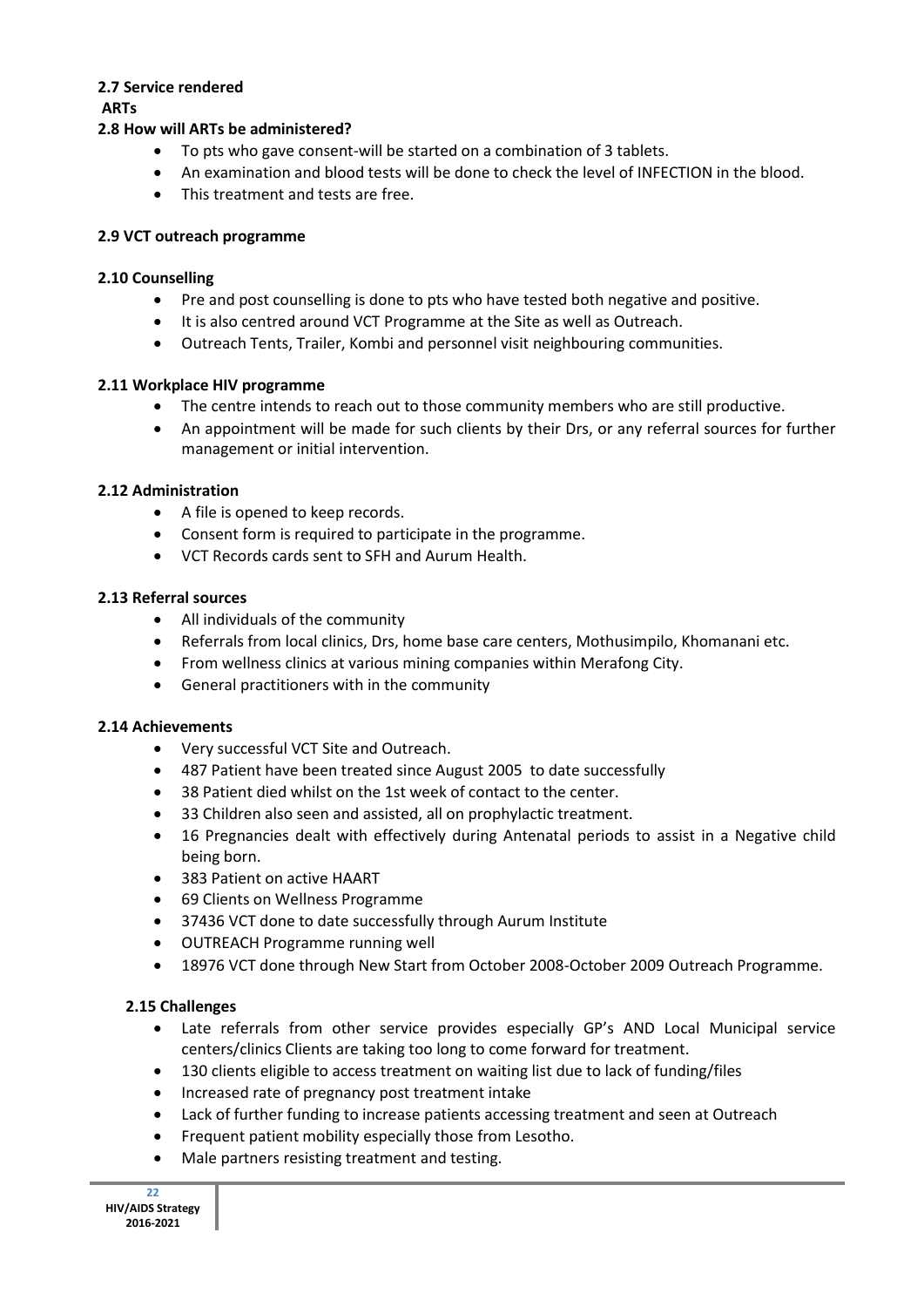# **2.7 Service rendered**

**ARTs**

# **2.8 How will ARTs be administered?**

- To pts who gave consent-will be started on a combination of 3 tablets.
- An examination and blood tests will be done to check the level of INFECTION in the blood.
- This treatment and tests are free.

## **2.9 VCT outreach programme**

## **2.10 Counselling**

- Pre and post counselling is done to pts who have tested both negative and positive.
- It is also centred around VCT Programme at the Site as well as Outreach.
- Outreach Tents, Trailer, Kombi and personnel visit neighbouring communities.

## **2.11 Workplace HIV programme**

- The centre intends to reach out to those community members who are still productive.
- An appointment will be made for such clients by their Drs, or any referral sources for further management or initial intervention.

## **2.12 Administration**

- A file is opened to keep records.
- Consent form is required to participate in the programme.
- VCT Records cards sent to SFH and Aurum Health.

## **2.13 Referral sources**

- All individuals of the community
- Referrals from local clinics, Drs, home base care centers, Mothusimpilo, Khomanani etc.
- From wellness clinics at various mining companies within Merafong City.
- General practitioners with in the community

## **2.14 Achievements**

- Very successful VCT Site and Outreach.
- 487 Patient have been treated since August 2005 to date successfully
- 38 Patient died whilst on the 1st week of contact to the center.
- 33 Children also seen and assisted, all on prophylactic treatment.
- 16 Pregnancies dealt with effectively during Antenatal periods to assist in a Negative child being born.
- 383 Patient on active HAART
- 69 Clients on Wellness Programme
- 37436 VCT done to date successfully through Aurum Institute
- OUTREACH Programme running well
- 18976 VCT done through New Start from October 2008-October 2009 Outreach Programme.

## **2.15 Challenges**

- Late referrals from other service provides especially GP's AND Local Municipal service centers/clinics Clients are taking too long to come forward for treatment.
- 130 clients eligible to access treatment on waiting list due to lack of funding/files
- Increased rate of pregnancy post treatment intake
- Lack of further funding to increase patients accessing treatment and seen at Outreach
- Frequent patient mobility especially those from Lesotho.
- Male partners resisting treatment and testing.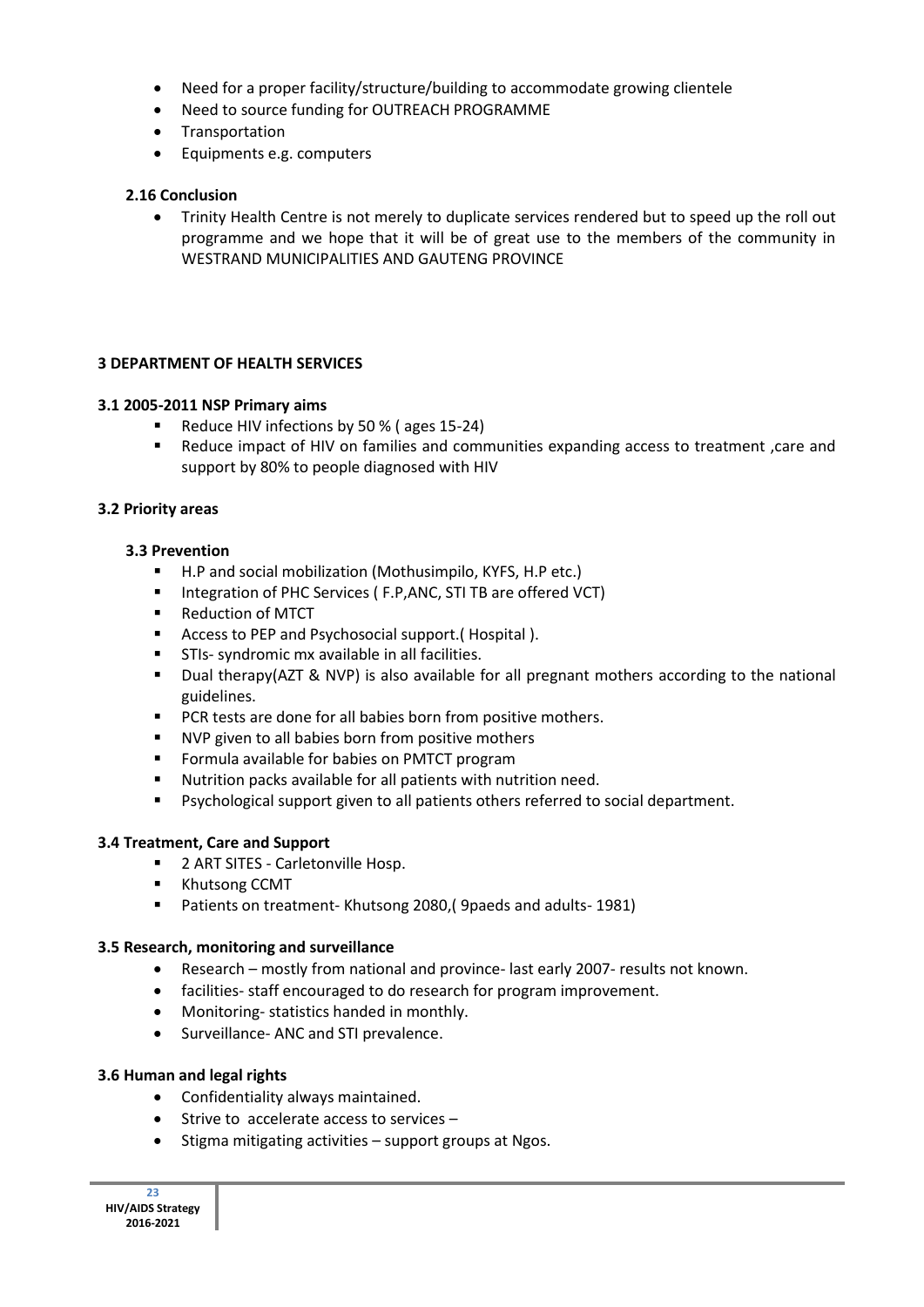- Need for a proper facility/structure/building to accommodate growing clientele
- Need to source funding for OUTREACH PROGRAMME
- Transportation
- Equipments e.g. computers

### **2.16 Conclusion**

 Trinity Health Centre is not merely to duplicate services rendered but to speed up the roll out programme and we hope that it will be of great use to the members of the community in WESTRAND MUNICIPALITIES AND GAUTENG PROVINCE

### **3 DEPARTMENT OF HEALTH SERVICES**

### **3.1 2005-2011 NSP Primary aims**

- Reduce HIV infections by 50 % (ages 15-24)
- Reduce impact of HIV on families and communities expanding access to treatment ,care and support by 80% to people diagnosed with HIV

### **3.2 Priority areas**

### **3.3 Prevention**

- H.P and social mobilization (Mothusimpilo, KYFS, H.P etc.)
- **Integration of PHC Services (F.P,ANC, STI TB are offered VCT)**
- Reduction of MTCT
- Access to PEP and Psychosocial support.( Hospital ).
- STIs- syndromic mx available in all facilities.
- Dual therapy(AZT & NVP) is also available for all pregnant mothers according to the national guidelines.
- **PCR tests are done for all babies born from positive mothers.**
- NVP given to all babies born from positive mothers
- Formula available for babies on PMTCT program
- Nutrition packs available for all patients with nutrition need.
- **Psychological support given to all patients others referred to social department.**

## **3.4 Treatment, Care and Support**

- **2 ART SITES Carletonville Hosp.**
- **E** Khutsong CCMT
- **Patients on treatment- Khutsong 2080, (9 paeds and adults-1981)**

## **3.5 Research, monitoring and surveillance**

- Research mostly from national and province- last early 2007- results not known.
- facilities- staff encouraged to do research for program improvement.
- Monitoring- statistics handed in monthly.
- Surveillance- ANC and STI prevalence.

## **3.6 Human and legal rights**

- Confidentiality always maintained.
- $\bullet$  Strive to accelerate access to services  $-$
- Stigma mitigating activities support groups at Ngos.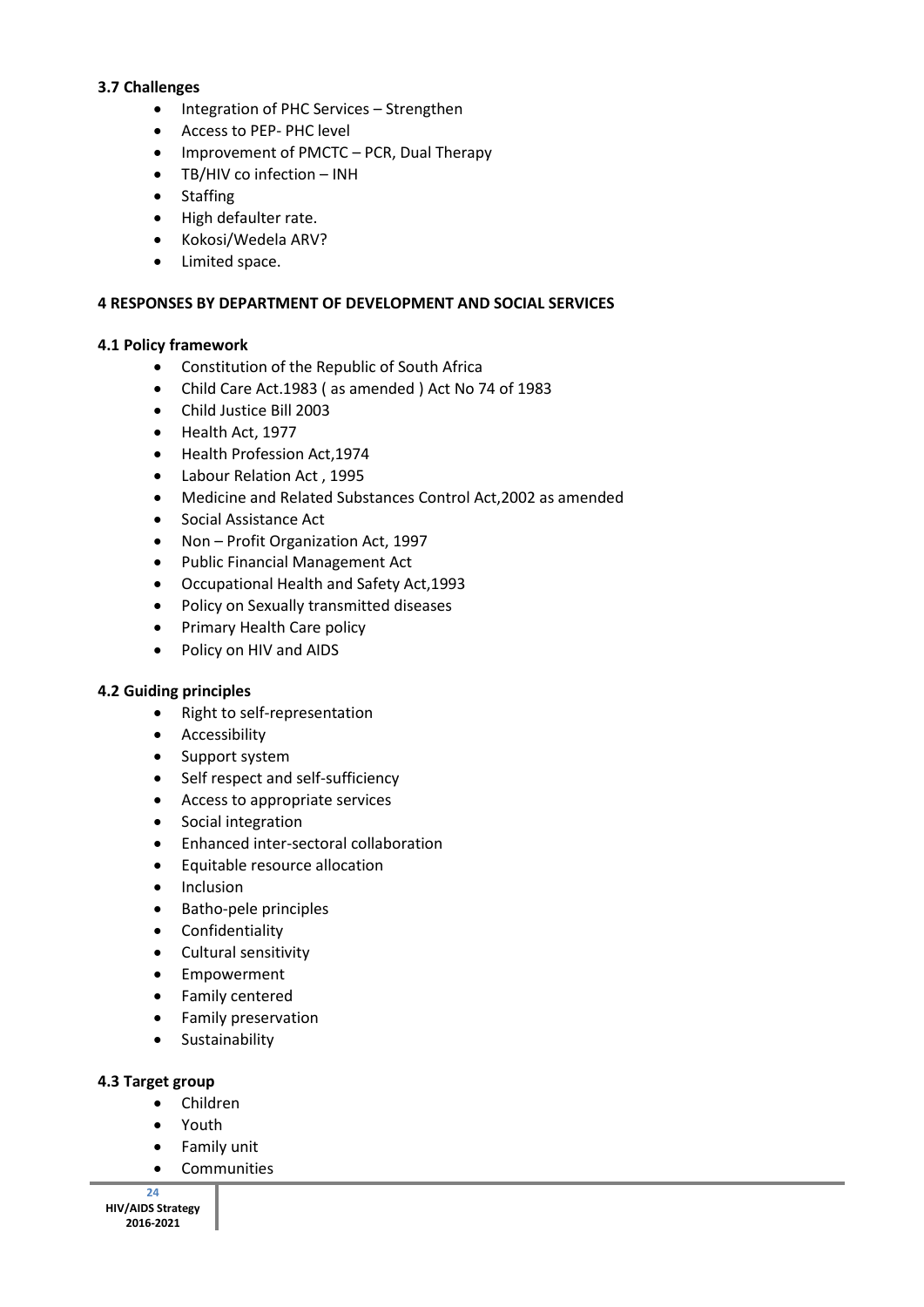### **3.7 Challenges**

- Integration of PHC Services Strengthen
- Access to PEP- PHC level
- Improvement of PMCTC PCR, Dual Therapy
- TB/HIV co infection INH
- Staffing
- High defaulter rate.
- Kokosi/Wedela ARV?
- Limited space.

### **4 RESPONSES BY DEPARTMENT OF DEVELOPMENT AND SOCIAL SERVICES**

### **4.1 Policy framework**

- Constitution of the Republic of South Africa
- Child Care Act.1983 ( as amended ) Act No 74 of 1983
- Child Justice Bill 2003
- Health Act, 1977
- Health Profession Act,1974
- Labour Relation Act , 1995
- Medicine and Related Substances Control Act,2002 as amended
- Social Assistance Act
- Non Profit Organization Act, 1997
- Public Financial Management Act
- Occupational Health and Safety Act,1993
- Policy on Sexually transmitted diseases
- Primary Health Care policy
- Policy on HIV and AIDS

#### **4.2 Guiding principles**

- Right to self-representation
- Accessibility
- Support system
- Self respect and self-sufficiency
- Access to appropriate services
- Social integration
- Enhanced inter-sectoral collaboration
- Equitable resource allocation
- Inclusion
- Batho-pele principles
- Confidentiality
- Cultural sensitivity
- Empowerment
- Family centered
- **•** Family preservation
- **•** Sustainability

### **4.3 Target group**

- Children
- Youth
- Family unit
- **•** Communities

**24 HIV/AIDS Strategy 2016-2021**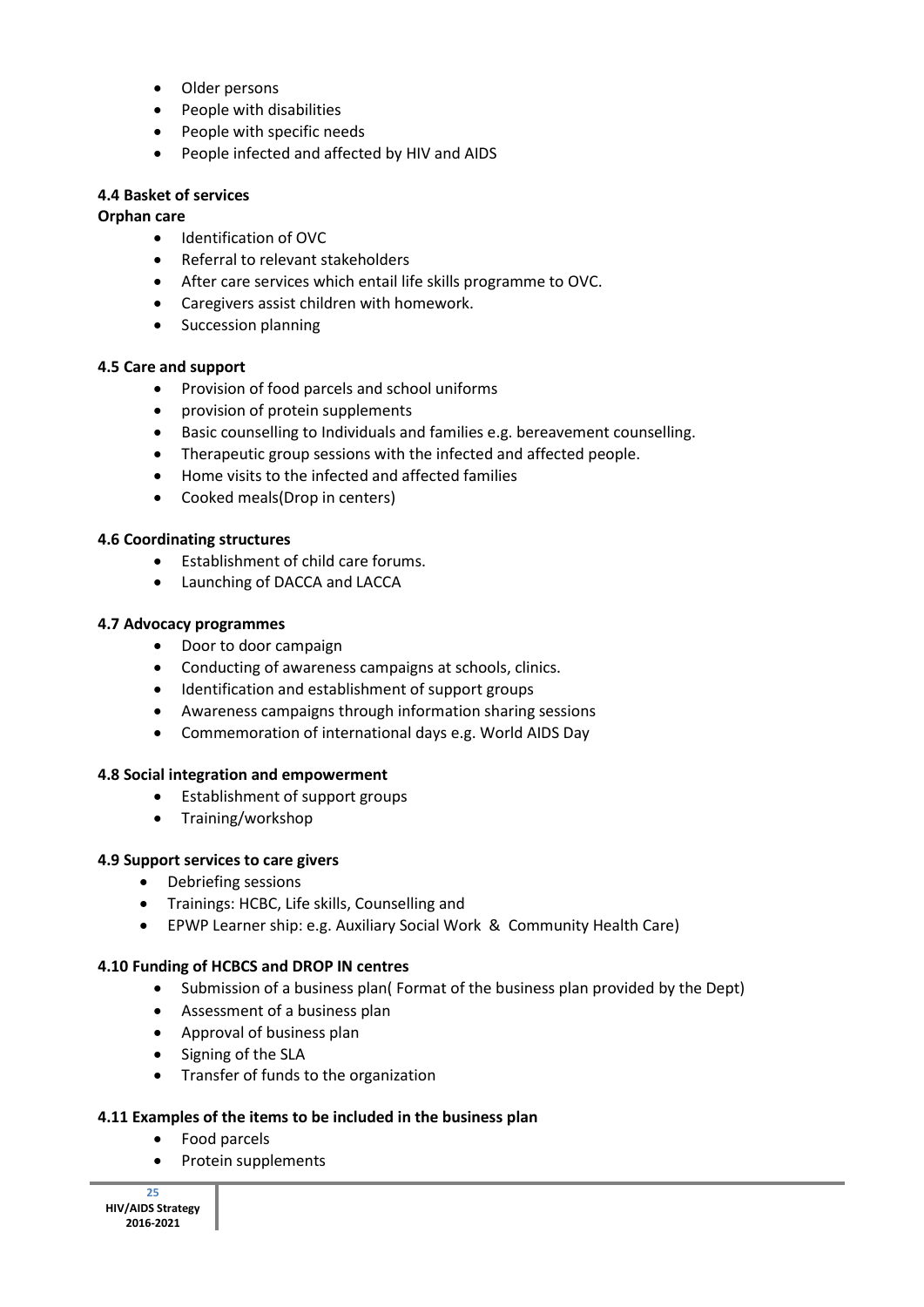- Older persons
- People with disabilities
- People with specific needs
- People infected and affected by HIV and AIDS

### **4.4 Basket of services**

### **Orphan care**

- $\bullet$  Identification of OVC
- Referral to relevant stakeholders
- After care services which entail life skills programme to OVC.
- Caregivers assist children with homework.
- Succession planning

### **4.5 Care and support**

- Provision of food parcels and school uniforms
- provision of protein supplements
- Basic counselling to Individuals and families e.g. bereavement counselling.
- Therapeutic group sessions with the infected and affected people.
- Home visits to the infected and affected families
- Cooked meals(Drop in centers)

### **4.6 Coordinating structures**

- Establishment of child care forums.
- Launching of DACCA and LACCA

### **4.7 Advocacy programmes**

- Door to door campaign
- Conducting of awareness campaigns at schools, clinics.
- Identification and establishment of support groups
- Awareness campaigns through information sharing sessions
- Commemoration of international days e.g. World AIDS Day

#### **4.8 Social integration and empowerment**

- Establishment of support groups
- Training/workshop

#### **4.9 Support services to care givers**

- Debriefing sessions
- Trainings: HCBC, Life skills, Counselling and
- EPWP Learner ship: e.g. Auxiliary Social Work & Community Health Care)

#### **4.10 Funding of HCBCS and DROP IN centres**

- Submission of a business plan( Format of the business plan provided by the Dept)
- Assessment of a business plan
- Approval of business plan
- Signing of the SLA
- Transfer of funds to the organization

#### **4.11 Examples of the items to be included in the business plan**

- Food parcels
- Protein supplements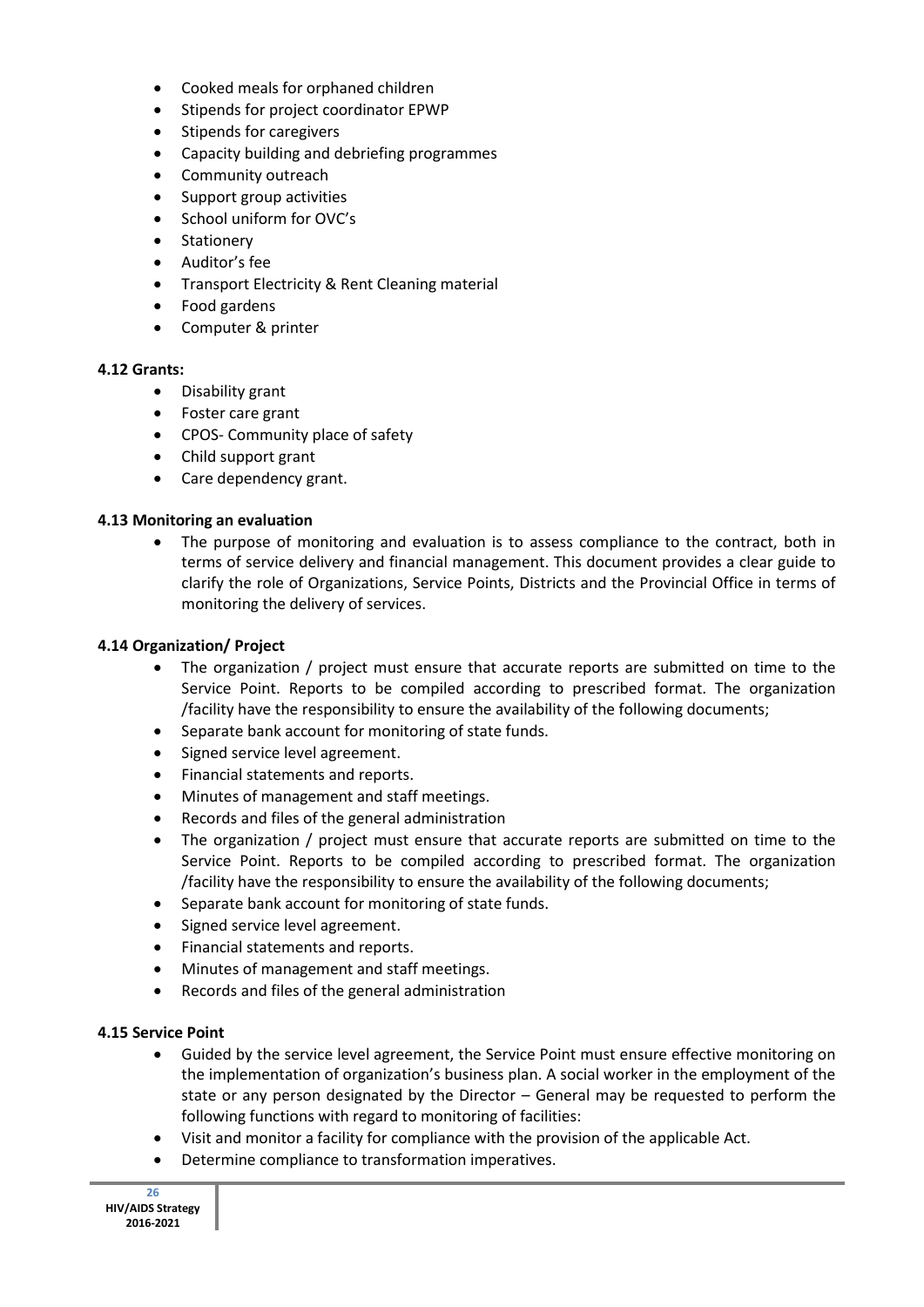- Cooked meals for orphaned children
- Stipends for project coordinator EPWP
- Stipends for caregivers
- Capacity building and debriefing programmes
- Community outreach
- Support group activities
- School uniform for OVC's
- **Stationery**
- Auditor's fee
- Transport Electricity & Rent Cleaning material
- Food gardens
- Computer & printer

### **4.12 Grants:**

- Disability grant
- Foster care grant
- CPOS- Community place of safety
- Child support grant
- Care dependency grant.

### **4.13 Monitoring an evaluation**

• The purpose of monitoring and evaluation is to assess compliance to the contract, both in terms of service delivery and financial management. This document provides a clear guide to clarify the role of Organizations, Service Points, Districts and the Provincial Office in terms of monitoring the delivery of services.

### **4.14 Organization/ Project**

- The organization / project must ensure that accurate reports are submitted on time to the Service Point. Reports to be compiled according to prescribed format. The organization /facility have the responsibility to ensure the availability of the following documents;
- Separate bank account for monitoring of state funds.
- Signed service level agreement.
- Financial statements and reports.
- Minutes of management and staff meetings.
- Records and files of the general administration
- The organization / project must ensure that accurate reports are submitted on time to the Service Point. Reports to be compiled according to prescribed format. The organization /facility have the responsibility to ensure the availability of the following documents;
- Separate bank account for monitoring of state funds.
- Signed service level agreement.
- Financial statements and reports.
- Minutes of management and staff meetings.
- Records and files of the general administration

## **4.15 Service Point**

- Guided by the service level agreement, the Service Point must ensure effective monitoring on the implementation of organization's business plan. A social worker in the employment of the state or any person designated by the Director – General may be requested to perform the following functions with regard to monitoring of facilities:
- Visit and monitor a facility for compliance with the provision of the applicable Act.
- Determine compliance to transformation imperatives.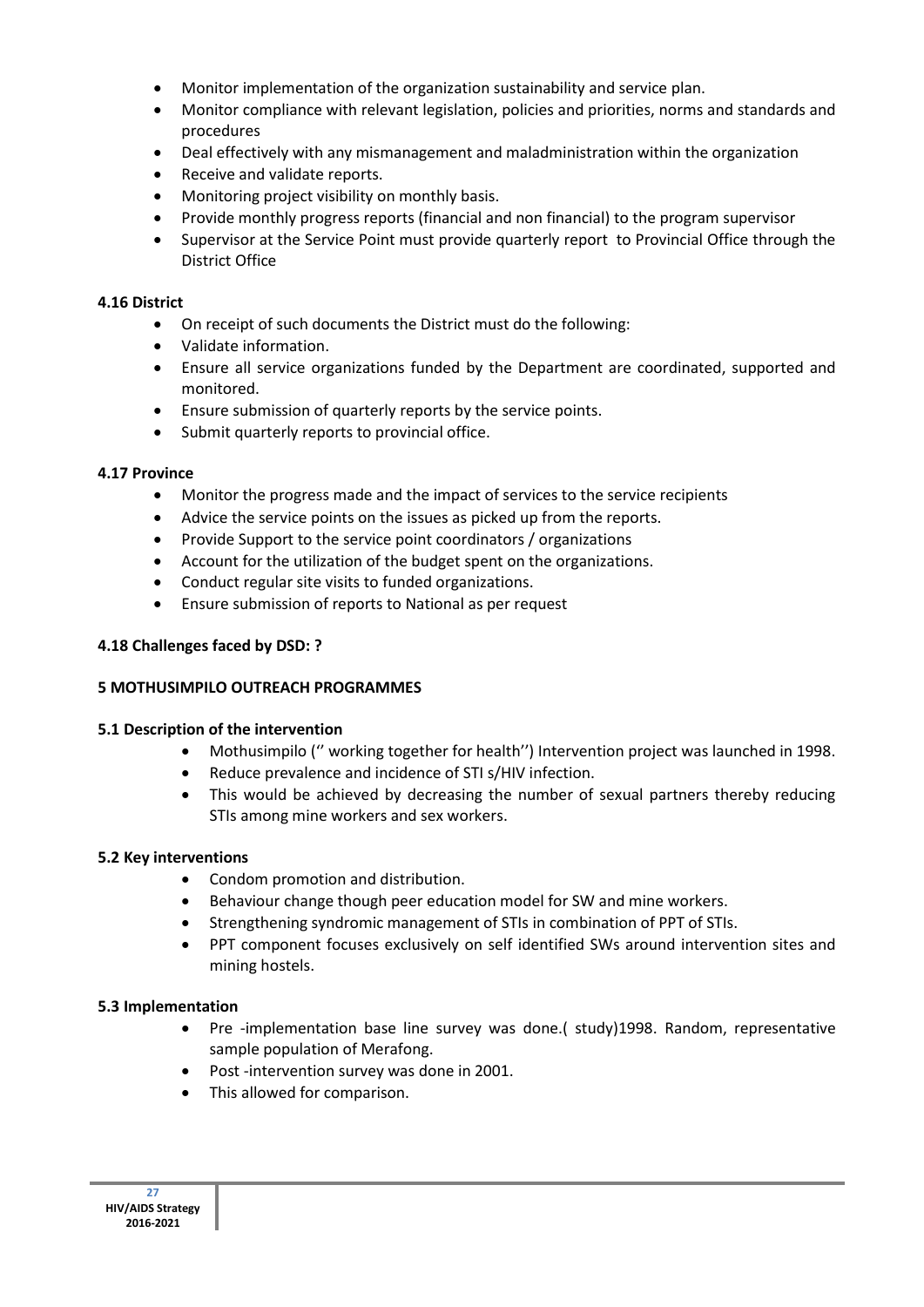- Monitor implementation of the organization sustainability and service plan.
- Monitor compliance with relevant legislation, policies and priorities, norms and standards and procedures
- Deal effectively with any mismanagement and maladministration within the organization
- Receive and validate reports.
- Monitoring project visibility on monthly basis.
- Provide monthly progress reports (financial and non financial) to the program supervisor
- Supervisor at the Service Point must provide quarterly report to Provincial Office through the District Office

### **4.16 District**

- On receipt of such documents the District must do the following:
- Validate information.
- Ensure all service organizations funded by the Department are coordinated, supported and monitored.
- Ensure submission of quarterly reports by the service points.
- Submit quarterly reports to provincial office.

### **4.17 Province**

- Monitor the progress made and the impact of services to the service recipients
- Advice the service points on the issues as picked up from the reports.
- Provide Support to the service point coordinators / organizations
- Account for the utilization of the budget spent on the organizations.
- Conduct regular site visits to funded organizations.
- Ensure submission of reports to National as per request

### **4.18 Challenges faced by DSD: ?**

## **5 MOTHUSIMPILO OUTREACH PROGRAMMES**

## **5.1 Description of the intervention**

- Mothusimpilo ('' working together for health'') Intervention project was launched in 1998.
- Reduce prevalence and incidence of STI s/HIV infection.
- This would be achieved by decreasing the number of sexual partners thereby reducing STIs among mine workers and sex workers.

## **5.2 Key interventions**

- Condom promotion and distribution.
- Behaviour change though peer education model for SW and mine workers.
- Strengthening syndromic management of STIs in combination of PPT of STIs.
- PPT component focuses exclusively on self identified SWs around intervention sites and mining hostels.

#### **5.3 Implementation**

- Pre -implementation base line survey was done.( study)1998. Random, representative sample population of Merafong.
- Post -intervention survey was done in 2001.
- This allowed for comparison.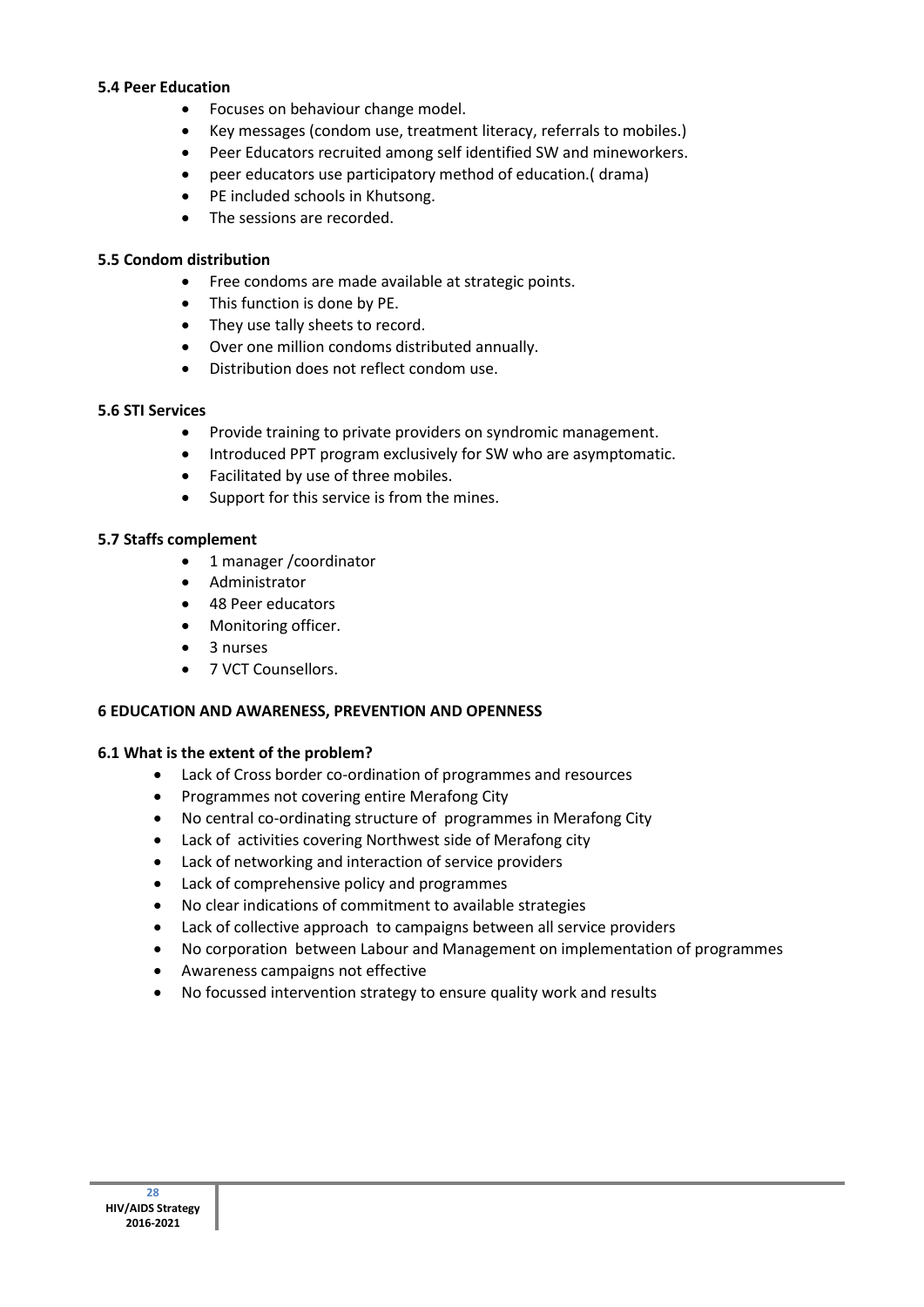#### **5.4 Peer Education**

- Focuses on behaviour change model.
- Key messages (condom use, treatment literacy, referrals to mobiles.)
- Peer Educators recruited among self identified SW and mineworkers.
- peer educators use participatory method of education.( drama)
- PE included schools in Khutsong.
- The sessions are recorded.

## **5.5 Condom distribution**

- Free condoms are made available at strategic points.
- This function is done by PE.
- They use tally sheets to record.
- Over one million condoms distributed annually.
- Distribution does not reflect condom use.

### **5.6 STI Services**

- Provide training to private providers on syndromic management.
- Introduced PPT program exclusively for SW who are asymptomatic.
- Facilitated by use of three mobiles.
- Support for this service is from the mines.

## **5.7 Staffs complement**

- 1 manager / coordinator
- Administrator
- 48 Peer educators
- Monitoring officer.
- 3 nurses
- 7 VCT Counsellors.

## **6 EDUCATION AND AWARENESS, PREVENTION AND OPENNESS**

## **6.1 What is the extent of the problem?**

- Lack of Cross border co-ordination of programmes and resources
- Programmes not covering entire Merafong City
- No central co-ordinating structure of programmes in Merafong City
- Lack of activities covering Northwest side of Merafong city
- Lack of networking and interaction of service providers
- Lack of comprehensive policy and programmes
- No clear indications of commitment to available strategies
- Lack of collective approach to campaigns between all service providers
- No corporation between Labour and Management on implementation of programmes
- Awareness campaigns not effective
- No focussed intervention strategy to ensure quality work and results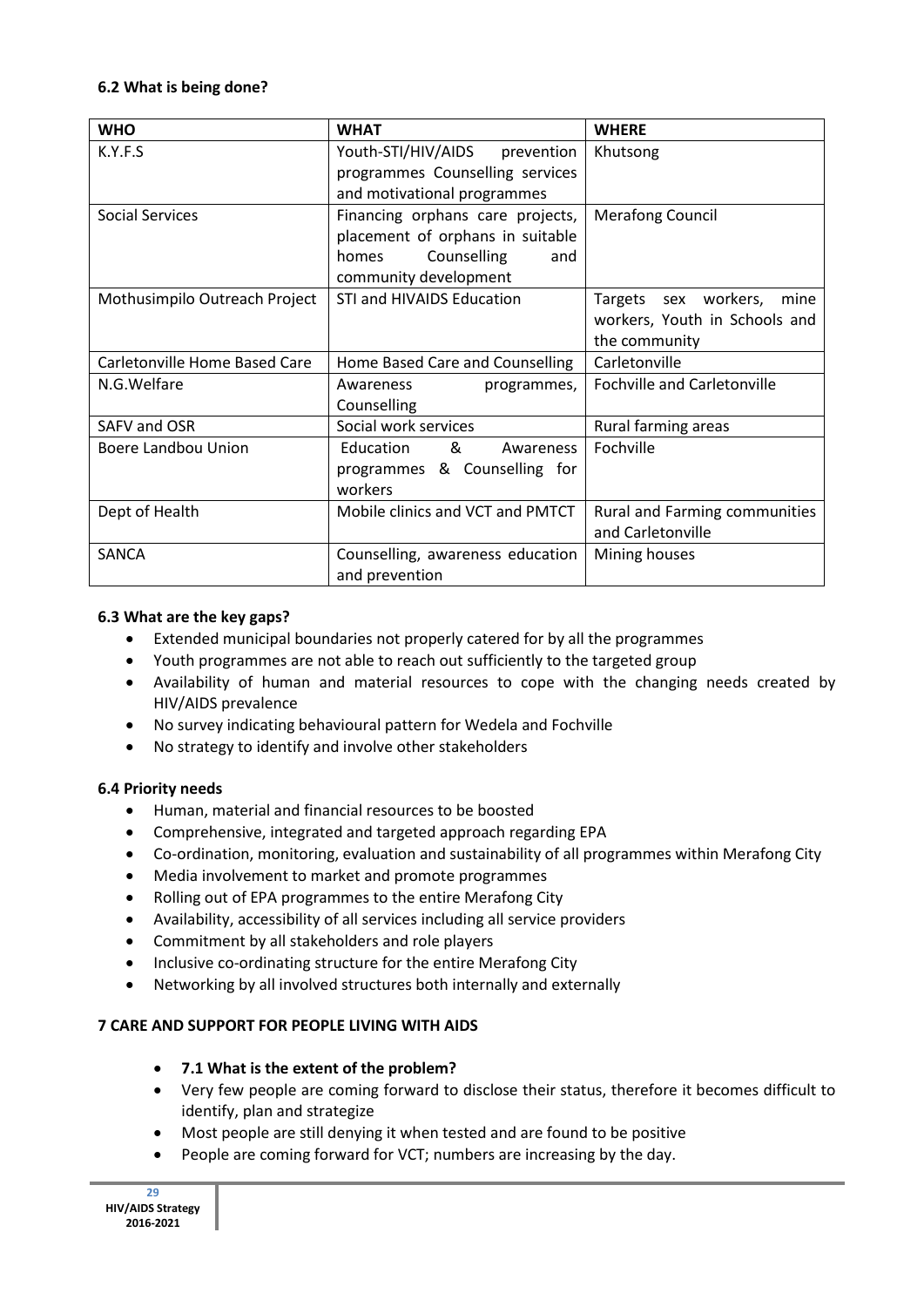### **6.2 What is being done?**

| <b>WHO</b>                    | <b>WHAT</b>                                                                                                                  | <b>WHERE</b>                                                                   |
|-------------------------------|------------------------------------------------------------------------------------------------------------------------------|--------------------------------------------------------------------------------|
| K.Y.F.S                       | Youth-STI/HIV/AIDS<br>prevention<br>programmes Counselling services<br>and motivational programmes                           | Khutsong                                                                       |
| <b>Social Services</b>        | Financing orphans care projects,<br>placement of orphans in suitable<br>Counselling<br>and<br>homes<br>community development | <b>Merafong Council</b>                                                        |
| Mothusimpilo Outreach Project | STI and HIVAIDS Education                                                                                                    | Targets sex workers,<br>mine<br>workers, Youth in Schools and<br>the community |
| Carletonville Home Based Care | Home Based Care and Counselling                                                                                              | Carletonville                                                                  |
| N.G.Welfare                   | Awareness<br>programmes,<br>Counselling                                                                                      | <b>Fochville and Carletonville</b>                                             |
| SAFV and OSR                  | Social work services                                                                                                         | Rural farming areas                                                            |
| <b>Boere Landbou Union</b>    | Education<br>&<br>Awareness<br>programmes & Counselling for<br>workers                                                       | Fochville                                                                      |
| Dept of Health                | Mobile clinics and VCT and PMTCT                                                                                             | Rural and Farming communities<br>and Carletonville                             |
| SANCA                         | Counselling, awareness education<br>and prevention                                                                           | Mining houses                                                                  |

### **6.3 What are the key gaps?**

- Extended municipal boundaries not properly catered for by all the programmes
- Youth programmes are not able to reach out sufficiently to the targeted group
- Availability of human and material resources to cope with the changing needs created by HIV/AIDS prevalence
- No survey indicating behavioural pattern for Wedela and Fochville
- No strategy to identify and involve other stakeholders

## **6.4 Priority needs**

- Human, material and financial resources to be boosted
- Comprehensive, integrated and targeted approach regarding EPA
- Co-ordination, monitoring, evaluation and sustainability of all programmes within Merafong City
- Media involvement to market and promote programmes
- Rolling out of EPA programmes to the entire Merafong City
- Availability, accessibility of all services including all service providers
- Commitment by all stakeholders and role players
- Inclusive co-ordinating structure for the entire Merafong City
- Networking by all involved structures both internally and externally

## **7 CARE AND SUPPORT FOR PEOPLE LIVING WITH AIDS**

- **7.1 What is the extent of the problem?**
- Very few people are coming forward to disclose their status, therefore it becomes difficult to identify, plan and strategize
- Most people are still denying it when tested and are found to be positive
- People are coming forward for VCT; numbers are increasing by the day.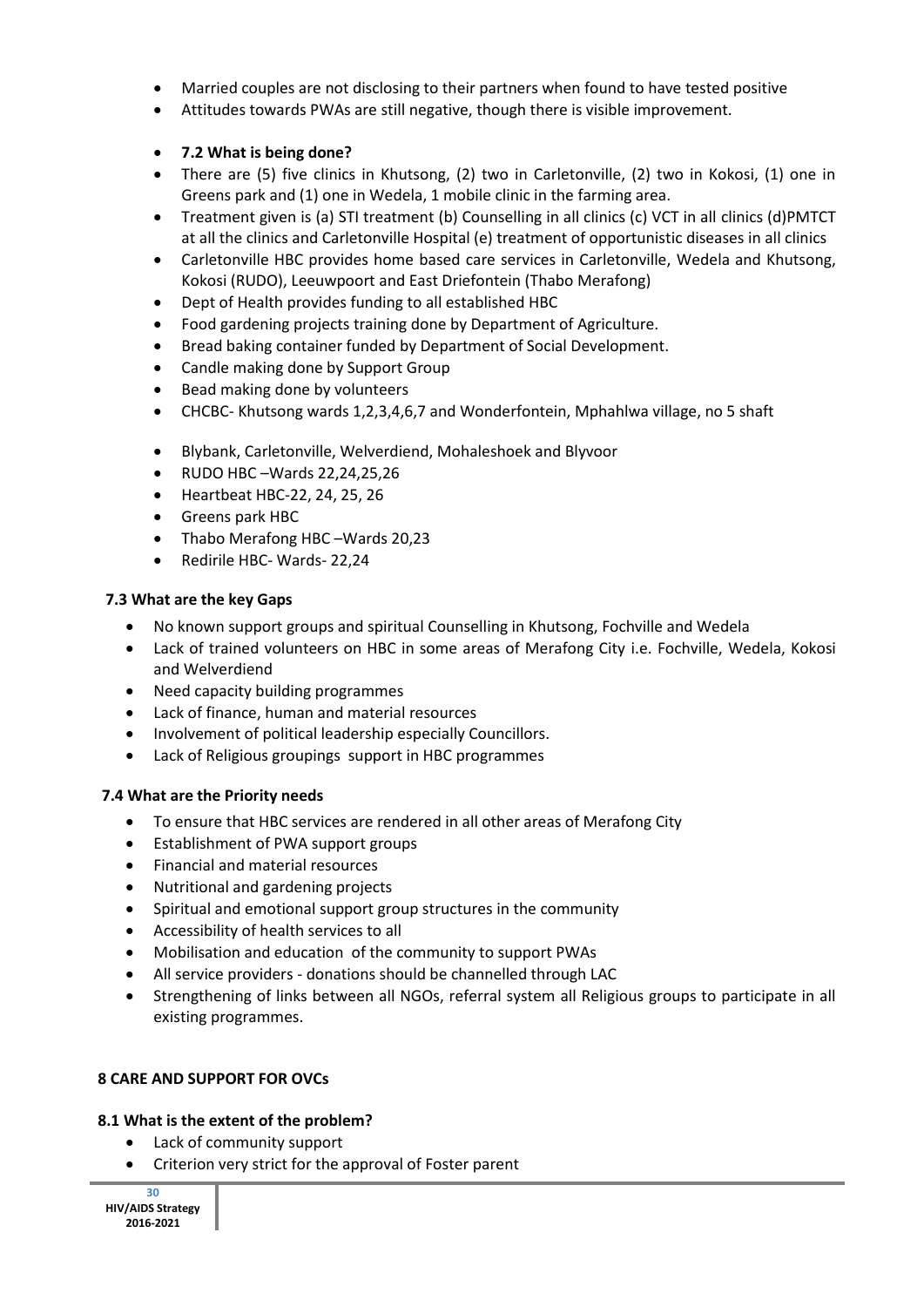- Married couples are not disclosing to their partners when found to have tested positive
- Attitudes towards PWAs are still negative, though there is visible improvement.

## **7.2 What is being done?**

- There are (5) five clinics in Khutsong, (2) two in Carletonville, (2) two in Kokosi, (1) one in Greens park and (1) one in Wedela, 1 mobile clinic in the farming area.
- Treatment given is (a) STI treatment (b) Counselling in all clinics (c) VCT in all clinics (d)PMTCT at all the clinics and Carletonville Hospital (e) treatment of opportunistic diseases in all clinics
- Carletonville HBC provides home based care services in Carletonville, Wedela and Khutsong, Kokosi (RUDO), Leeuwpoort and East Driefontein (Thabo Merafong)
- Dept of Health provides funding to all established HBC
- Food gardening projects training done by Department of Agriculture.
- Bread baking container funded by Department of Social Development.
- Candle making done by Support Group
- Bead making done by volunteers
- CHCBC- Khutsong wards 1,2,3,4,6,7 and Wonderfontein, Mphahlwa village, no 5 shaft
- Blybank, Carletonville, Welverdiend, Mohaleshoek and Blyvoor
- RUDO HBC –Wards 22,24,25,26
- Heartbeat HBC-22, 24, 25, 26
- Greens park HBC
- Thabo Merafong HBC –Wards 20,23
- Redirile HBC- Wards- 22,24

## **7.3 What are the key Gaps**

- No known support groups and spiritual Counselling in Khutsong, Fochville and Wedela
- Lack of trained volunteers on HBC in some areas of Merafong City i.e. Fochville, Wedela, Kokosi and Welverdiend
- Need capacity building programmes
- Lack of finance, human and material resources
- Involvement of political leadership especially Councillors.
- Lack of Religious groupings support in HBC programmes

## **7.4 What are the Priority needs**

- To ensure that HBC services are rendered in all other areas of Merafong City
- Establishment of PWA support groups
- Financial and material resources
- Nutritional and gardening projects
- Spiritual and emotional support group structures in the community
- Accessibility of health services to all
- Mobilisation and education of the community to support PWAs
- All service providers donations should be channelled through LAC
- Strengthening of links between all NGOs, referral system all Religious groups to participate in all existing programmes.

## **8 CARE AND SUPPORT FOR OVCs**

## **8.1 What is the extent of the problem?**

- Lack of community support
- Criterion very strict for the approval of Foster parent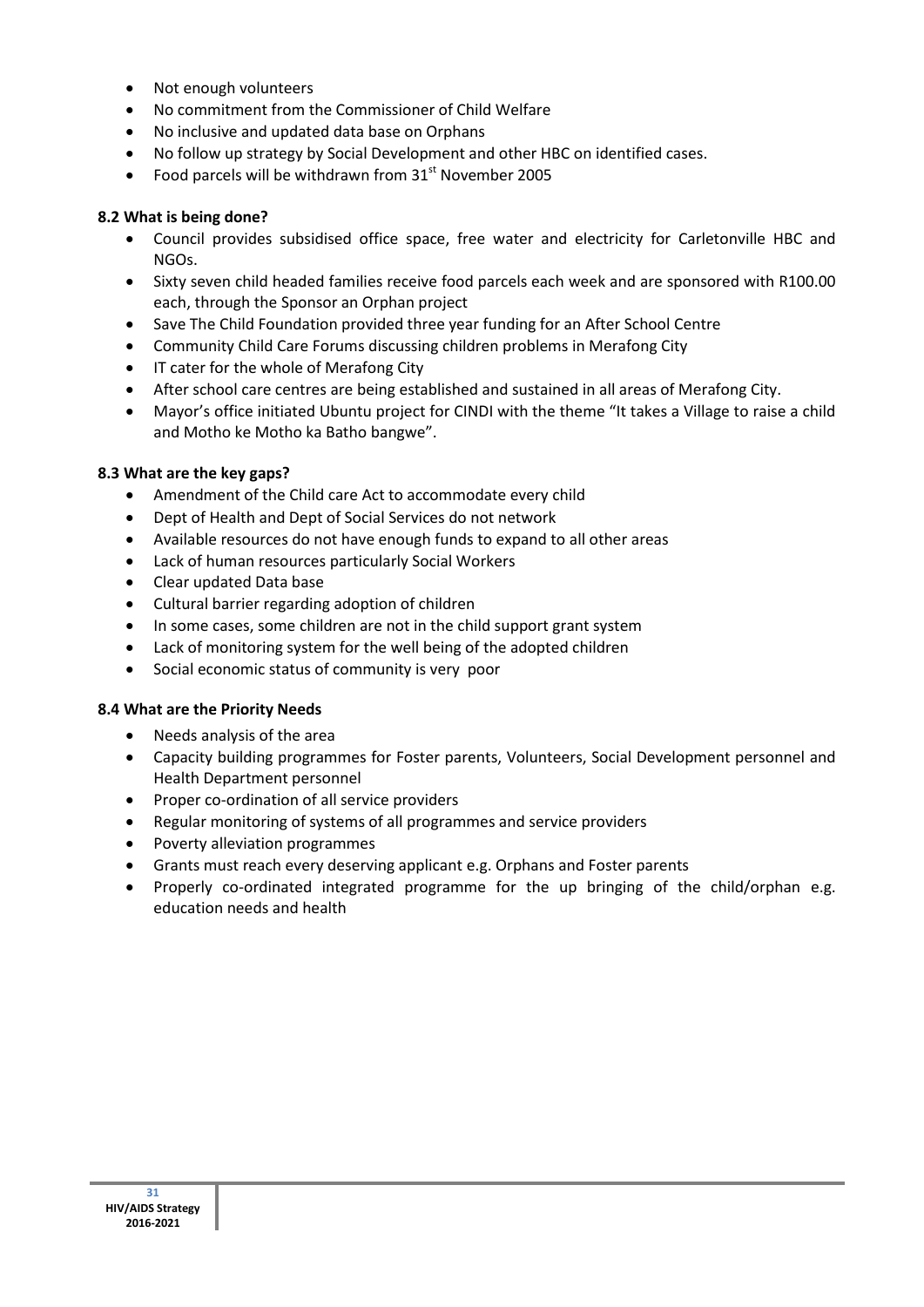- Not enough volunteers
- No commitment from the Commissioner of Child Welfare
- No inclusive and updated data base on Orphans
- No follow up strategy by Social Development and other HBC on identified cases.
- Food parcels will be withdrawn from  $31<sup>st</sup>$  November 2005

## **8.2 What is being done?**

- Council provides subsidised office space, free water and electricity for Carletonville HBC and NGOs.
- Sixty seven child headed families receive food parcels each week and are sponsored with R100.00 each, through the Sponsor an Orphan project
- Save The Child Foundation provided three year funding for an After School Centre
- Community Child Care Forums discussing children problems in Merafong City
- IT cater for the whole of Merafong City
- After school care centres are being established and sustained in all areas of Merafong City.
- Mayor's office initiated Ubuntu project for CINDI with the theme "It takes a Village to raise a child and Motho ke Motho ka Batho bangwe".

## **8.3 What are the key gaps?**

- Amendment of the Child care Act to accommodate every child
- Dept of Health and Dept of Social Services do not network
- Available resources do not have enough funds to expand to all other areas
- Lack of human resources particularly Social Workers
- Clear updated Data base
- Cultural barrier regarding adoption of children
- In some cases, some children are not in the child support grant system
- Lack of monitoring system for the well being of the adopted children
- Social economic status of community is very poor

## **8.4 What are the Priority Needs**

- Needs analysis of the area
- Capacity building programmes for Foster parents, Volunteers, Social Development personnel and Health Department personnel
- Proper co-ordination of all service providers
- Regular monitoring of systems of all programmes and service providers
- Poverty alleviation programmes
- Grants must reach every deserving applicant e.g. Orphans and Foster parents
- Properly co-ordinated integrated programme for the up bringing of the child/orphan e.g. education needs and health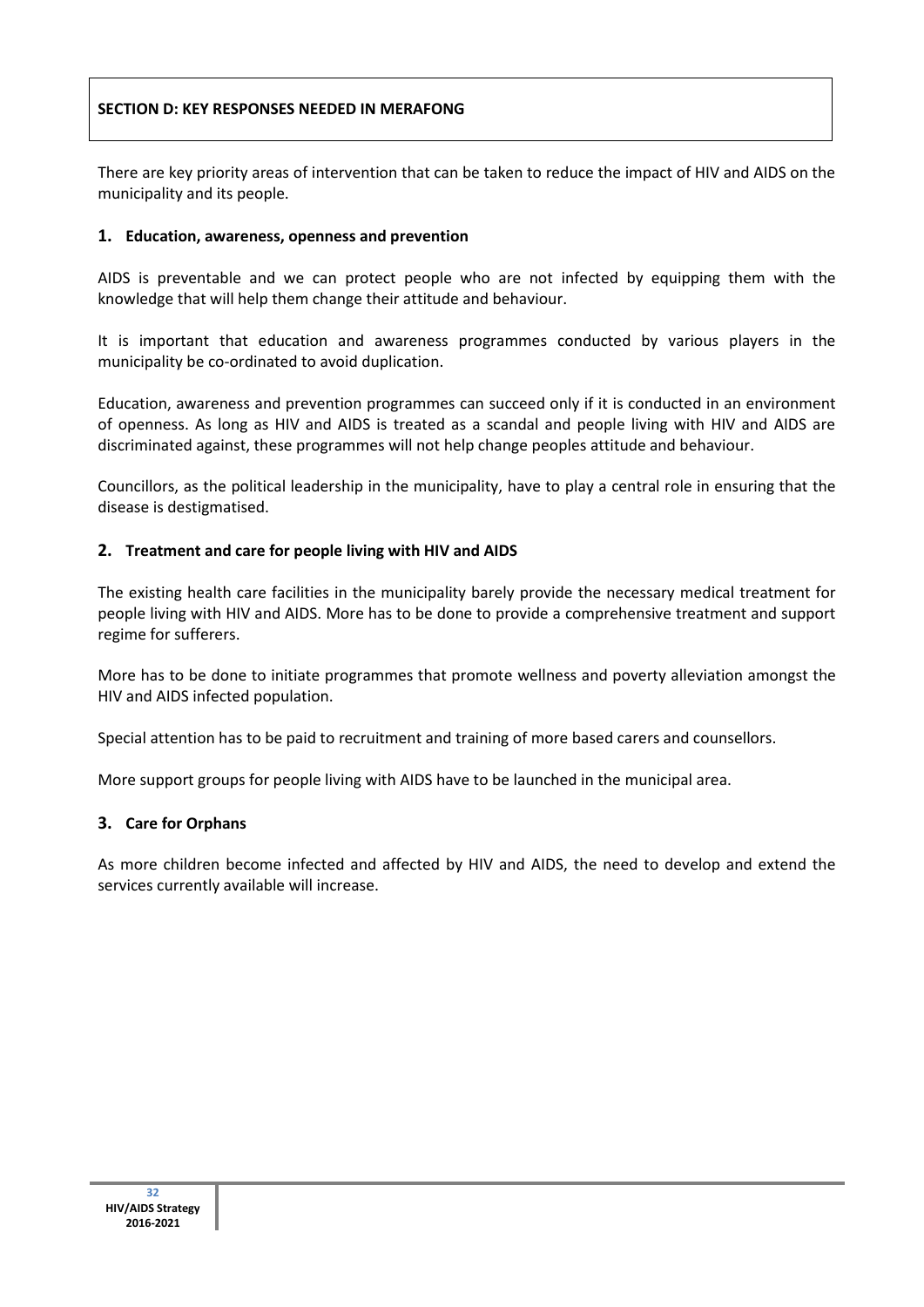# **SECTION D: KEY RESPONSES NEEDED IN MERAFONG**

There are key priority areas of intervention that can be taken to reduce the impact of HIV and AIDS on the municipality and its people.

### **1. Education, awareness, openness and prevention**

AIDS is preventable and we can protect people who are not infected by equipping them with the knowledge that will help them change their attitude and behaviour.

It is important that education and awareness programmes conducted by various players in the municipality be co-ordinated to avoid duplication.

Education, awareness and prevention programmes can succeed only if it is conducted in an environment of openness. As long as HIV and AIDS is treated as a scandal and people living with HIV and AIDS are discriminated against, these programmes will not help change peoples attitude and behaviour.

Councillors, as the political leadership in the municipality, have to play a central role in ensuring that the disease is destigmatised.

### **2. Treatment and care for people living with HIV and AIDS**

The existing health care facilities in the municipality barely provide the necessary medical treatment for people living with HIV and AIDS. More has to be done to provide a comprehensive treatment and support regime for sufferers.

More has to be done to initiate programmes that promote wellness and poverty alleviation amongst the HIV and AIDS infected population.

Special attention has to be paid to recruitment and training of more based carers and counsellors.

More support groups for people living with AIDS have to be launched in the municipal area.

#### **3. Care for Orphans**

As more children become infected and affected by HIV and AIDS, the need to develop and extend the services currently available will increase.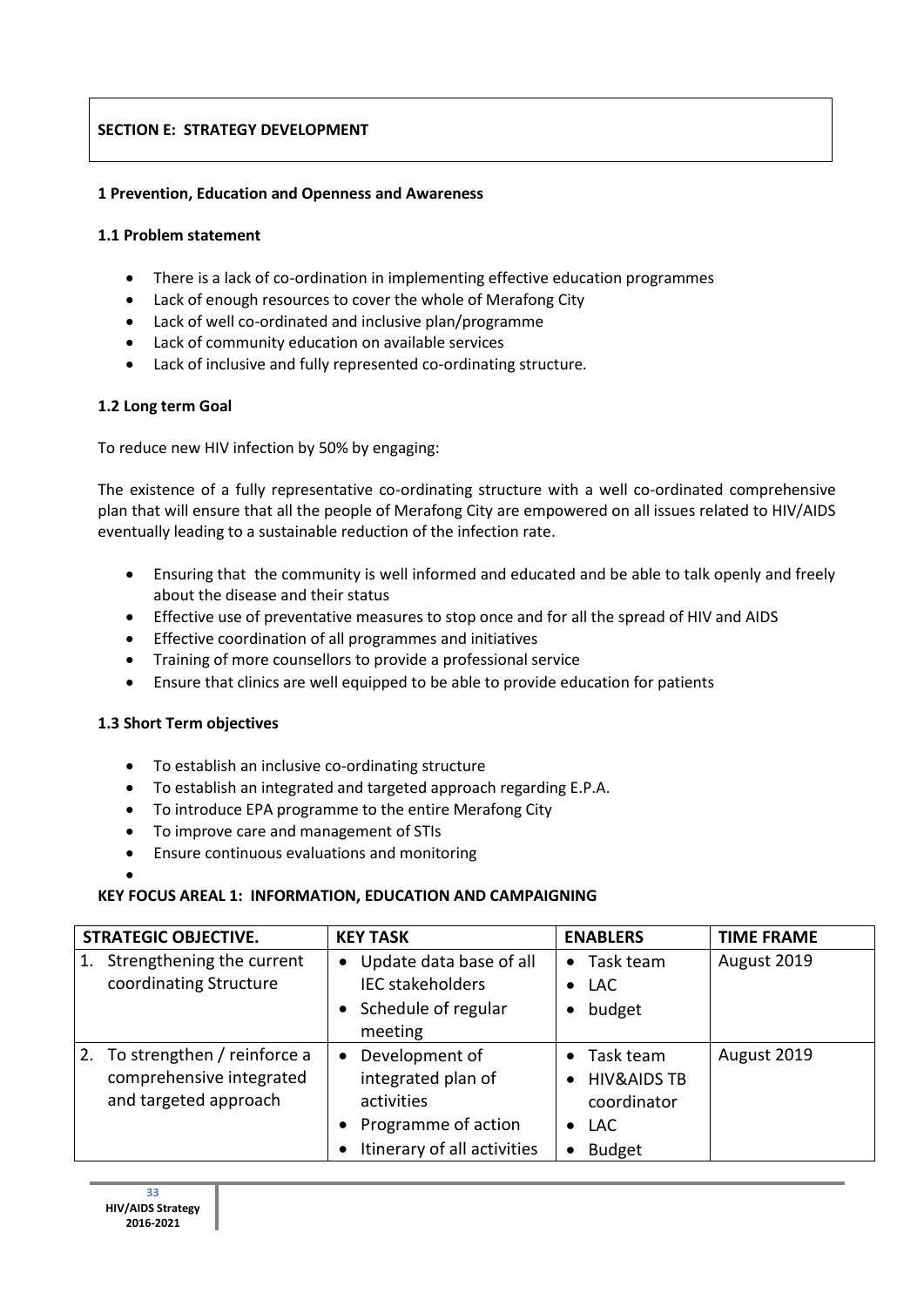# **SECTION E: STRATEGY DEVELOPMENT**

## **1 Prevention, Education and Openness and Awareness**

## **1.1 Problem statement**

- There is a lack of co-ordination in implementing effective education programmes
- Lack of enough resources to cover the whole of Merafong City
- Lack of well co-ordinated and inclusive plan/programme
- Lack of community education on available services
- Lack of inclusive and fully represented co-ordinating structure*.*

# **1.2 Long term Goal**

To reduce new HIV infection by 50% by engaging:

The existence of a fully representative co-ordinating structure with a well co-ordinated comprehensive plan that will ensure that all the people of Merafong City are empowered on all issues related to HIV/AIDS eventually leading to a sustainable reduction of the infection rate.

- Ensuring that the community is well informed and educated and be able to talk openly and freely about the disease and their status
- Effective use of preventative measures to stop once and for all the spread of HIV and AIDS
- Effective coordination of all programmes and initiatives
- Training of more counsellors to provide a professional service
- Ensure that clinics are well equipped to be able to provide education for patients

## **1.3 Short Term objectives**

 $\bullet$ 

- To establish an inclusive co-ordinating structure
- To establish an integrated and targeted approach regarding E.P.A.
- To introduce EPA programme to the entire Merafong City
- To improve care and management of STIs
- Ensure continuous evaluations and monitoring

## **KEY FOCUS AREAL 1: INFORMATION, EDUCATION AND CAMPAIGNING**

| <b>STRATEGIC OBJECTIVE.</b>                                                            | <b>KEY TASK</b>                                                                                          | <b>ENABLERS</b>                                                                                                             | <b>TIME FRAME</b> |
|----------------------------------------------------------------------------------------|----------------------------------------------------------------------------------------------------------|-----------------------------------------------------------------------------------------------------------------------------|-------------------|
| Strengthening the current<br>1.<br>coordinating Structure                              | Update data base of all<br>٠<br><b>IEC stakeholders</b><br>Schedule of regular<br>meeting                | $\bullet$ Task team<br>$\bullet$ LAC<br>budget<br>$\bullet$                                                                 | August 2019       |
| To strengthen / reinforce a<br>2.<br>comprehensive integrated<br>and targeted approach | Development of<br>integrated plan of<br>activities<br>Programme of action<br>Itinerary of all activities | Task team<br>$\bullet$<br><b>HIV&amp;AIDS TB</b><br>$\bullet$<br>coordinator<br>$\bullet$ LAC<br><b>Budget</b><br>$\bullet$ | August 2019       |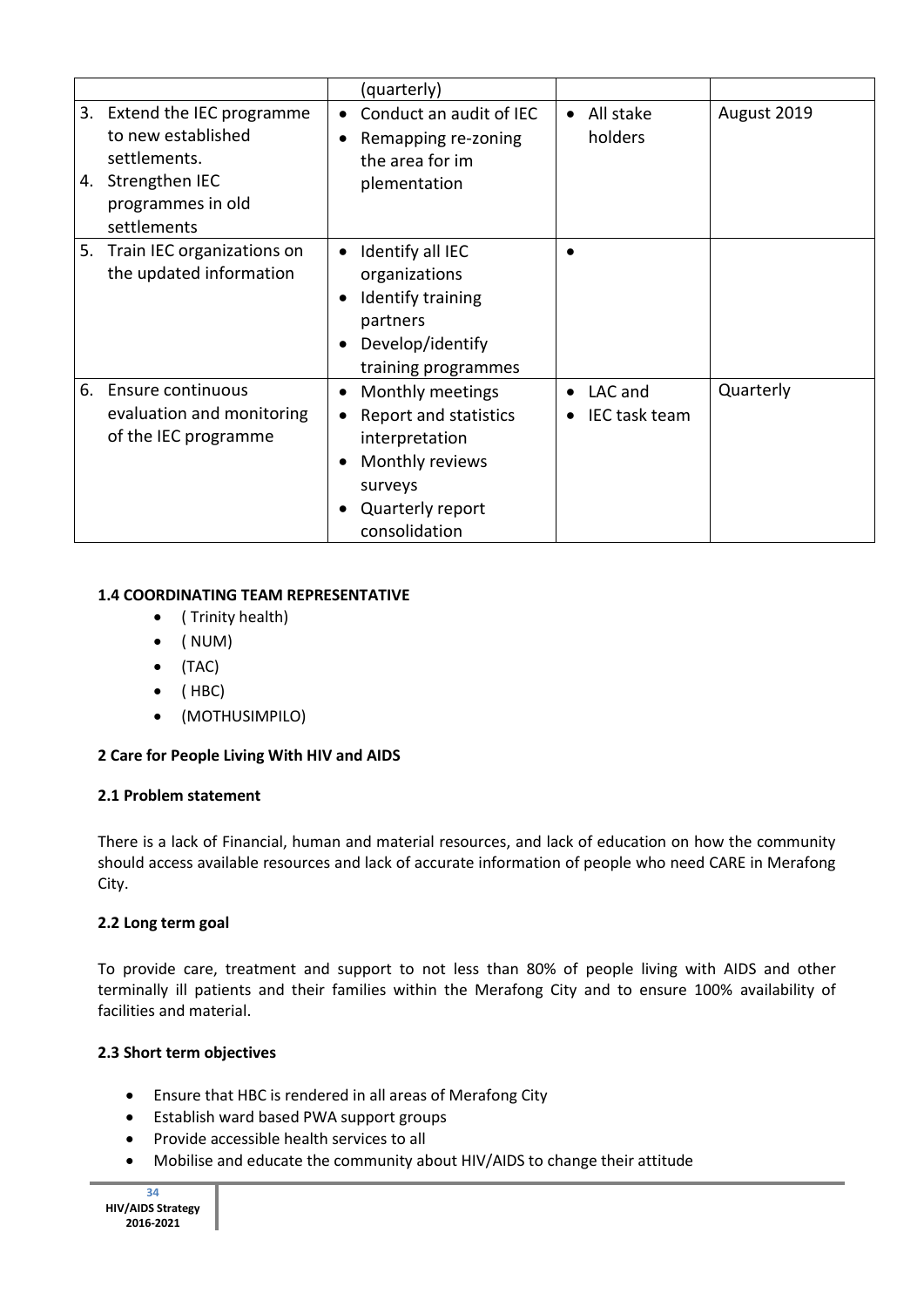|          |                                                                                                                      | (quarterly)                                                                                                                    |                                       |             |
|----------|----------------------------------------------------------------------------------------------------------------------|--------------------------------------------------------------------------------------------------------------------------------|---------------------------------------|-------------|
| 3.<br>4. | Extend the IEC programme<br>to new established<br>settlements.<br>Strengthen IEC<br>programmes in old<br>settlements | Conduct an audit of IEC<br>Remapping re-zoning<br>the area for im<br>plementation                                              | All stake<br>$\bullet$<br>holders     | August 2019 |
| 5.       | Train IEC organizations on<br>the updated information                                                                | Identify all IEC<br>organizations<br>Identify training<br>partners<br>Develop/identify<br>training programmes                  |                                       |             |
| 6.       | Ensure continuous<br>evaluation and monitoring<br>of the IEC programme                                               | Monthly meetings<br>Report and statistics<br>interpretation<br>Monthly reviews<br>surveys<br>Quarterly report<br>consolidation | LAC and<br>$\bullet$<br>IEC task team | Quarterly   |

## **1.4 COORDINATING TEAM REPRESENTATIVE**

- ( Trinity health)
- $\bullet$  (NUM)
- $\bullet$  (TAC)
- $\bullet$  (HBC)
- (MOTHUSIMPILO)

## **2 Care for People Living With HIV and AIDS**

## **2.1 Problem statement**

There is a lack of Financial, human and material resources, and lack of education on how the community should access available resources and lack of accurate information of people who need CARE in Merafong City.

## **2.2 Long term goal**

To provide care, treatment and support to not less than 80% of people living with AIDS and other terminally ill patients and their families within the Merafong City and to ensure 100% availability of facilities and material.

## **2.3 Short term objectives**

- Ensure that HBC is rendered in all areas of Merafong City
- Establish ward based PWA support groups
- Provide accessible health services to all
- Mobilise and educate the community about HIV/AIDS to change their attitude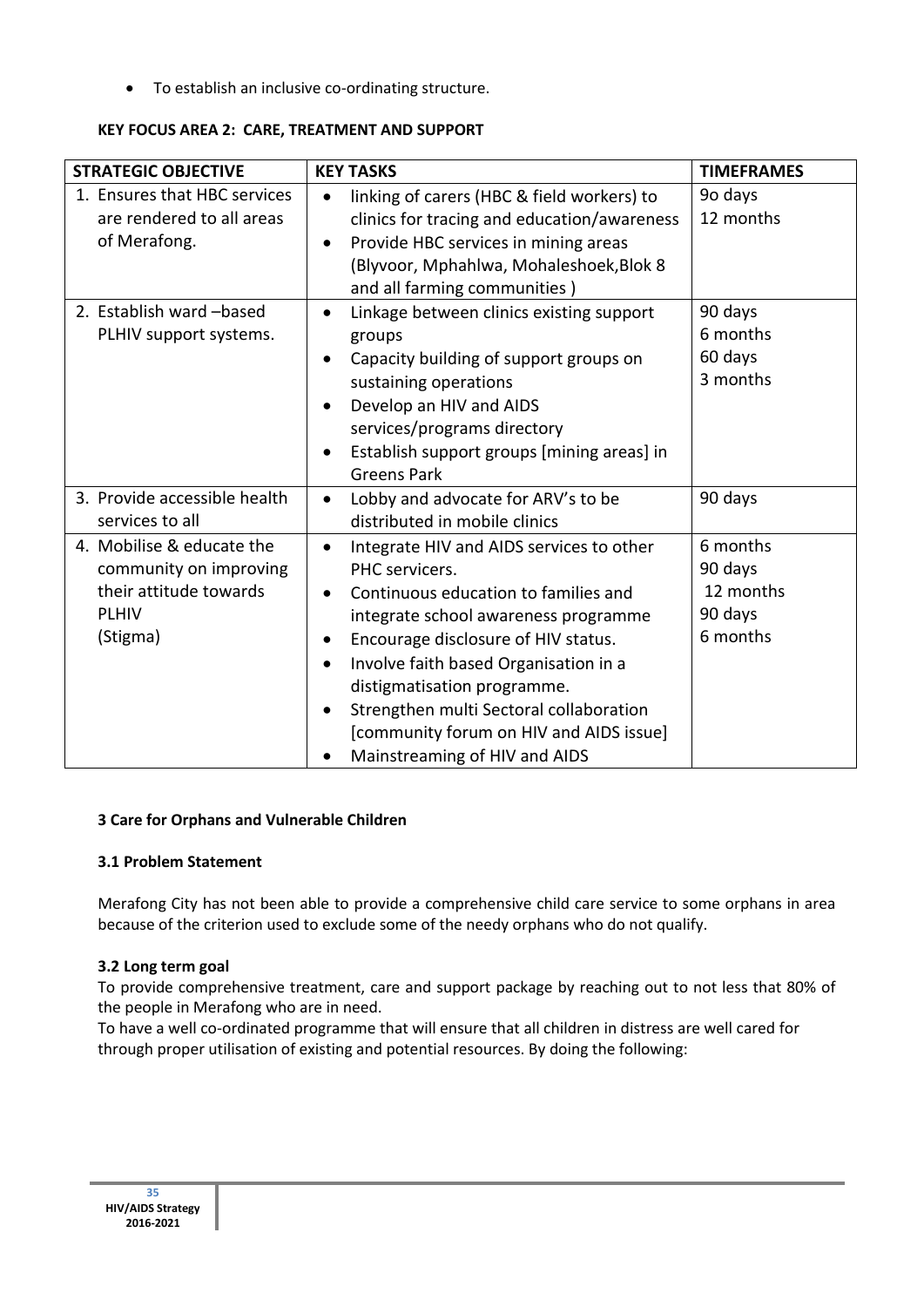To establish an inclusive co-ordinating structure.

| <b>STRATEGIC OBJECTIVE</b>                                                                                | <b>KEY TASKS</b>                                                                                                                                                                                                                                                                                                                                                                                                | <b>TIMEFRAMES</b>                                       |
|-----------------------------------------------------------------------------------------------------------|-----------------------------------------------------------------------------------------------------------------------------------------------------------------------------------------------------------------------------------------------------------------------------------------------------------------------------------------------------------------------------------------------------------------|---------------------------------------------------------|
| 1. Ensures that HBC services<br>are rendered to all areas<br>of Merafong.                                 | linking of carers (HBC & field workers) to<br>clinics for tracing and education/awareness<br>Provide HBC services in mining areas<br>$\bullet$<br>(Blyvoor, Mphahlwa, Mohaleshoek, Blok 8<br>and all farming communities)                                                                                                                                                                                       | 9o days<br>12 months                                    |
| 2. Establish ward -based<br>PLHIV support systems.                                                        | Linkage between clinics existing support<br>$\bullet$<br>groups<br>Capacity building of support groups on<br>sustaining operations<br>Develop an HIV and AIDS<br>services/programs directory<br>Establish support groups [mining areas] in<br><b>Greens Park</b>                                                                                                                                                | 90 days<br>6 months<br>60 days<br>3 months              |
| 3. Provide accessible health<br>services to all                                                           | Lobby and advocate for ARV's to be<br>distributed in mobile clinics                                                                                                                                                                                                                                                                                                                                             | 90 days                                                 |
| 4. Mobilise & educate the<br>community on improving<br>their attitude towards<br><b>PLHIV</b><br>(Stigma) | Integrate HIV and AIDS services to other<br>PHC servicers.<br>Continuous education to families and<br>$\bullet$<br>integrate school awareness programme<br>Encourage disclosure of HIV status.<br>٠<br>Involve faith based Organisation in a<br>distigmatisation programme.<br>Strengthen multi Sectoral collaboration<br>$\bullet$<br>[community forum on HIV and AIDS issue]<br>Mainstreaming of HIV and AIDS | 6 months<br>90 days<br>12 months<br>90 days<br>6 months |

## **KEY FOCUS AREA 2: CARE, TREATMENT AND SUPPORT**

## **3 Care for Orphans and Vulnerable Children**

## **3.1 Problem Statement**

Merafong City has not been able to provide a comprehensive child care service to some orphans in area because of the criterion used to exclude some of the needy orphans who do not qualify.

## **3.2 Long term goal**

To provide comprehensive treatment, care and support package by reaching out to not less that 80% of the people in Merafong who are in need.

To have a well co-ordinated programme that will ensure that all children in distress are well cared for through proper utilisation of existing and potential resources. By doing the following: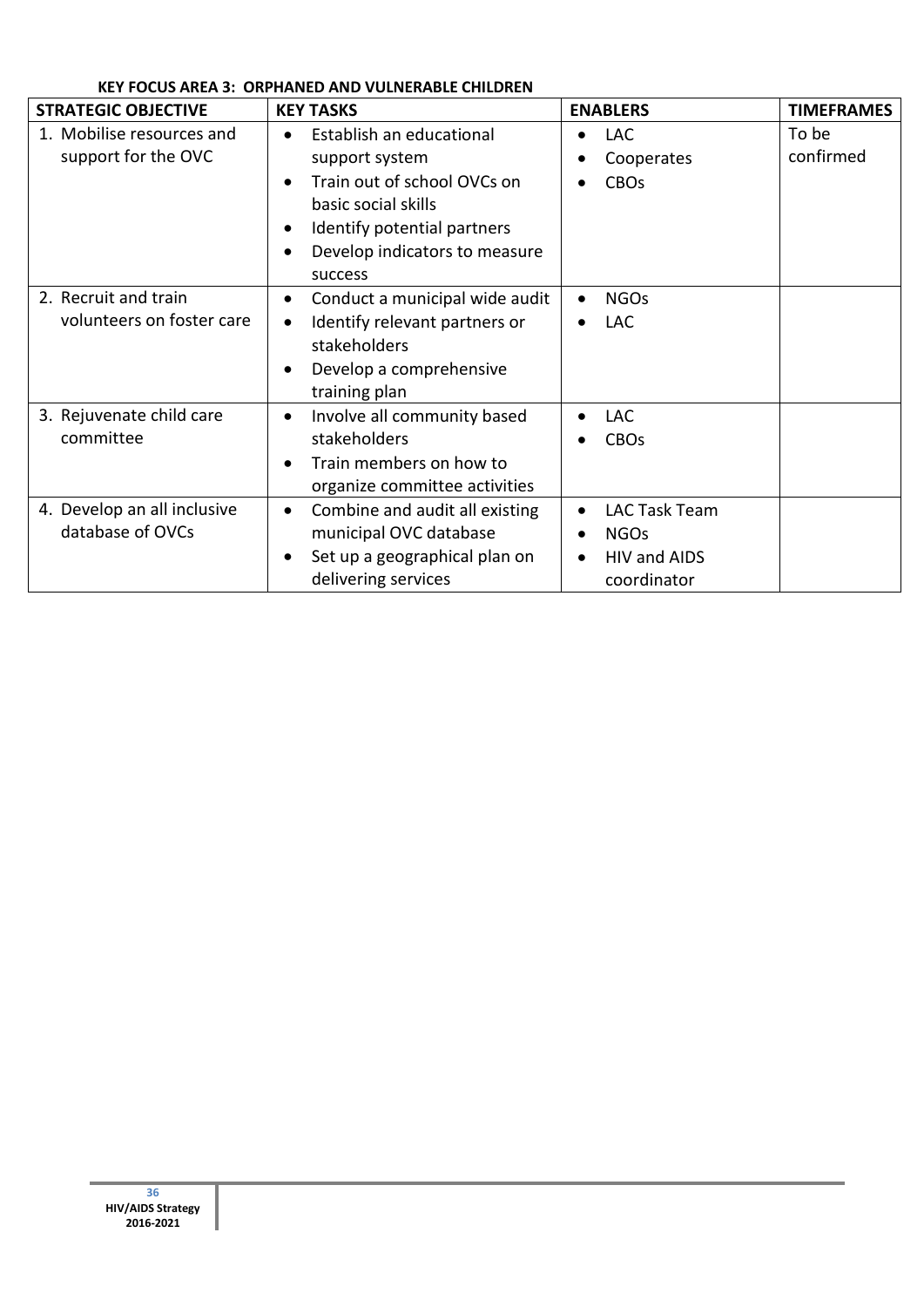| <b>STRATEGIC OBJECTIVE</b>                        | <b>KEY TASKS</b>                                                                                                                                                                                                   | <b>ENABLERS</b>                                                                       | <b>TIMEFRAMES</b>  |
|---------------------------------------------------|--------------------------------------------------------------------------------------------------------------------------------------------------------------------------------------------------------------------|---------------------------------------------------------------------------------------|--------------------|
| 1. Mobilise resources and<br>support for the OVC  | Establish an educational<br>$\bullet$<br>support system<br>Train out of school OVCs on<br>basic social skills<br>Identify potential partners<br>$\bullet$<br>Develop indicators to measure<br>$\bullet$<br>success | <b>LAC</b><br>Cooperates<br><b>CBOs</b>                                               | To be<br>confirmed |
| 2. Recruit and train<br>volunteers on foster care | Conduct a municipal wide audit<br>Identify relevant partners or<br>$\bullet$<br>stakeholders<br>Develop a comprehensive<br>٠<br>training plan                                                                      | <b>NGOs</b><br>$\bullet$<br><b>LAC</b>                                                |                    |
| 3. Rejuvenate child care<br>committee             | Involve all community based<br>$\bullet$<br>stakeholders<br>Train members on how to<br>$\bullet$<br>organize committee activities                                                                                  | <b>LAC</b><br>$\bullet$<br><b>CBOs</b>                                                |                    |
| 4. Develop an all inclusive<br>database of OVCs   | Combine and audit all existing<br>$\bullet$<br>municipal OVC database<br>Set up a geographical plan on<br>$\bullet$<br>delivering services                                                                         | LAC Task Team<br>$\bullet$<br><b>NGOs</b><br>$\bullet$<br>HIV and AIDS<br>coordinator |                    |

# **KEY FOCUS AREA 3: ORPHANED AND VULNERABLE CHILDREN**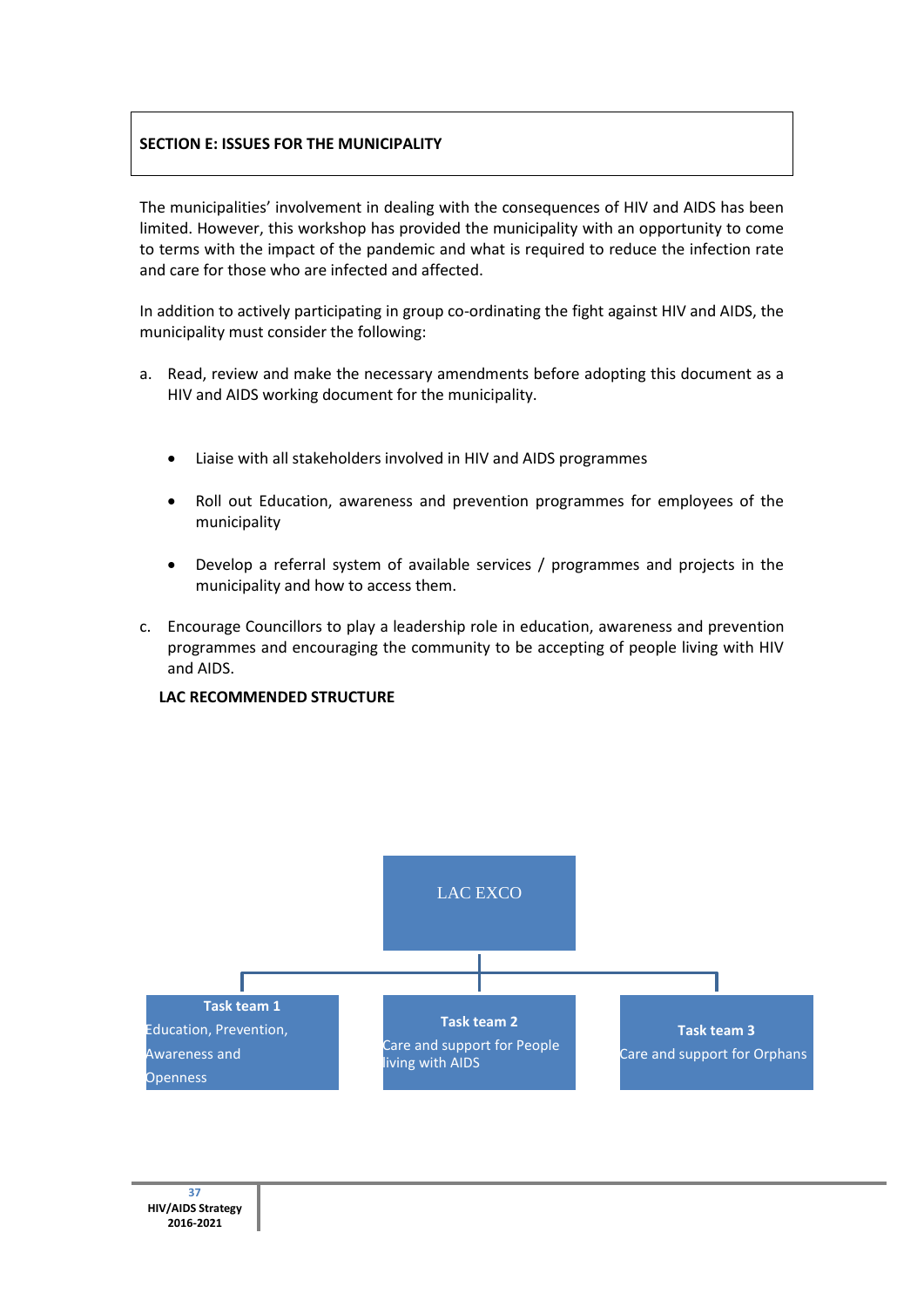### **SECTION E: ISSUES FOR THE MUNICIPALITY**

The municipalities' involvement in dealing with the consequences of HIV and AIDS has been limited. However, this workshop has provided the municipality with an opportunity to come to terms with the impact of the pandemic and what is required to reduce the infection rate and care for those who are infected and affected.

In addition to actively participating in group co-ordinating the fight against HIV and AIDS, the municipality must consider the following:

- a. Read, review and make the necessary amendments before adopting this document as a HIV and AIDS working document for the municipality.
	- Liaise with all stakeholders involved in HIV and AIDS programmes
	- Roll out Education, awareness and prevention programmes for employees of the municipality
	- Develop a referral system of available services / programmes and projects in the municipality and how to access them.
- c. Encourage Councillors to play a leadership role in education, awareness and prevention programmes and encouraging the community to be accepting of people living with HIV and AIDS.



#### **LAC RECOMMENDED STRUCTURE**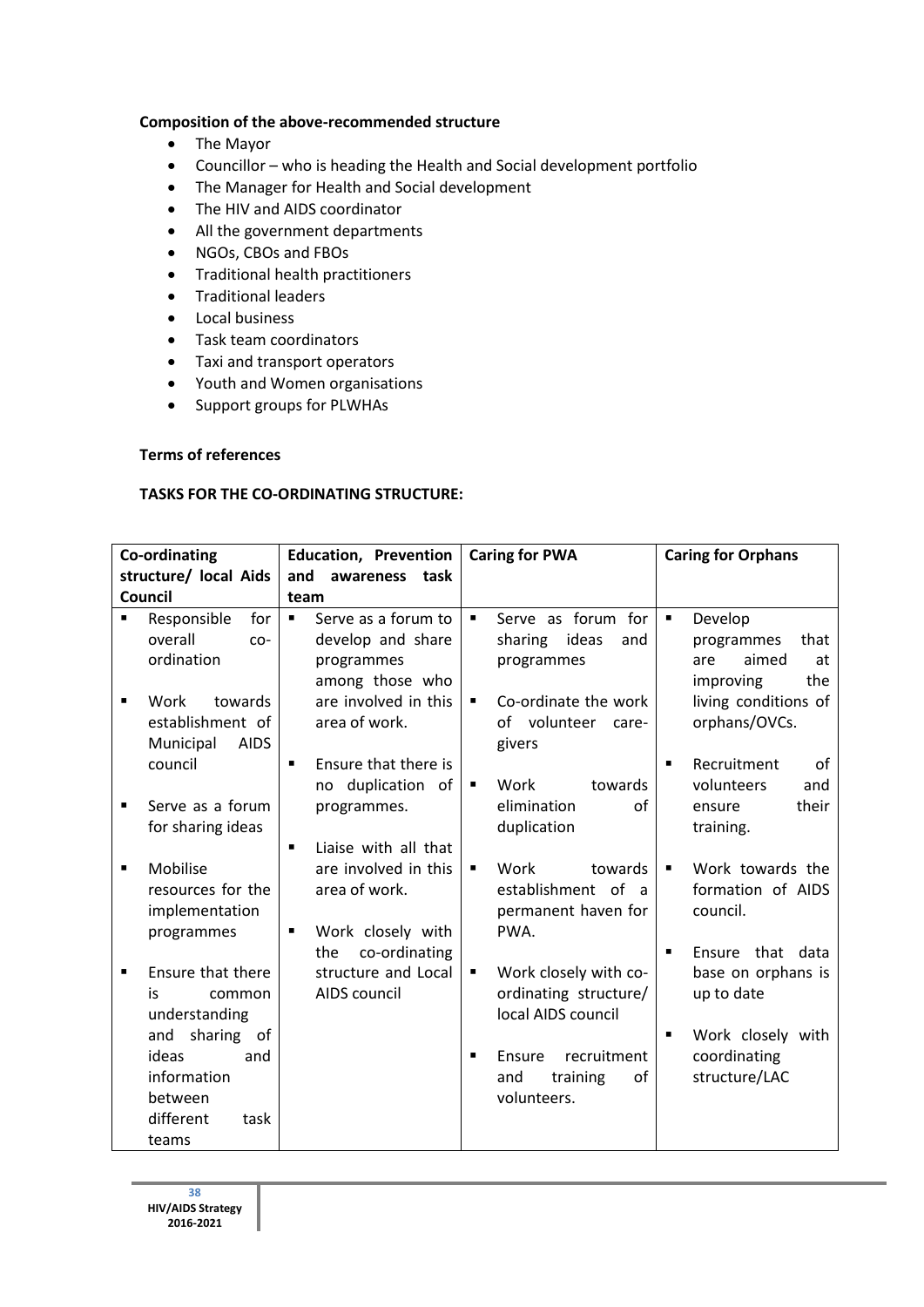### **Composition of the above-recommended structure**

- The Mayor
- Councillor who is heading the Health and Social development portfolio
- The Manager for Health and Social development
- The HIV and AIDS coordinator
- All the government departments
- NGOs, CBOs and FBOs
- Traditional health practitioners
- **•** Traditional leaders
- Local business
- Task team coordinators
- Taxi and transport operators
- Youth and Women organisations
- Support groups for PLWHAs

### **Terms of references**

### **TASKS FOR THE CO-ORDINATING STRUCTURE:**

| <b>Co-ordinating</b> |                                                                                             | <b>Education, Prevention</b>                                                                         |                     | <b>Caring for PWA</b>                                                                         |                                  | <b>Caring for Orphans</b>                                                                    |
|----------------------|---------------------------------------------------------------------------------------------|------------------------------------------------------------------------------------------------------|---------------------|-----------------------------------------------------------------------------------------------|----------------------------------|----------------------------------------------------------------------------------------------|
|                      | structure/ local Aids                                                                       | and<br>awareness<br>task                                                                             |                     |                                                                                               |                                  |                                                                                              |
|                      | Council                                                                                     | team                                                                                                 |                     |                                                                                               |                                  |                                                                                              |
| $\blacksquare$       | Responsible<br>for<br>overall<br>$CO-$<br>ordination                                        | Serve as a forum to<br>$\blacksquare$<br>develop and share<br>programmes<br>among those who          | $\blacksquare$      | Serve as forum for<br>ideas<br>sharing<br>and<br>programmes                                   | $\blacksquare$                   | Develop<br>programmes<br>that<br>aimed<br>at<br>are<br>the<br>improving                      |
|                      | towards<br>Work<br>establishment of<br>Municipal<br><b>AIDS</b>                             | are involved in this<br>area of work.                                                                | $\blacksquare$      | Co-ordinate the work<br>volunteer<br>Ωf<br>care-<br>givers                                    |                                  | living conditions of<br>orphans/OVCs.                                                        |
|                      | council                                                                                     | Ensure that there is<br>$\blacksquare$<br>no duplication of                                          | ٠                   | Work<br>towards                                                                               | $\blacksquare$                   | Recruitment<br>οf<br>volunteers<br>and                                                       |
| $\blacksquare$       | Serve as a forum<br>for sharing ideas                                                       | programmes.<br>$\blacksquare$                                                                        |                     | elimination<br>of<br>duplication                                                              |                                  | their<br>ensure<br>training.                                                                 |
| ■                    | Mobilise<br>resources for the<br>implementation<br>programmes                               | Liaise with all that<br>are involved in this<br>area of work.<br>Work closely with<br>$\blacksquare$ | ٠                   | Work<br>towards<br>establishment of a<br>permanent haven for<br>PWA.                          | $\blacksquare$                   | Work towards the<br>formation of AIDS<br>council.                                            |
|                      | Ensure that there<br>is.<br>common<br>understanding<br>sharing<br>and<br>0f<br>ideas<br>and | co-ordinating<br>the<br>structure and Local<br>AIDS council                                          | ٠<br>$\blacksquare$ | Work closely with co-<br>ordinating structure/<br>local AIDS council<br>recruitment<br>Ensure | $\blacksquare$<br>$\blacksquare$ | that data<br>Ensure<br>base on orphans is<br>up to date<br>Work closely with<br>coordinating |
|                      | information<br>between<br>different<br>task<br>teams                                        |                                                                                                      |                     | and<br>training<br>of<br>volunteers.                                                          |                                  | structure/LAC                                                                                |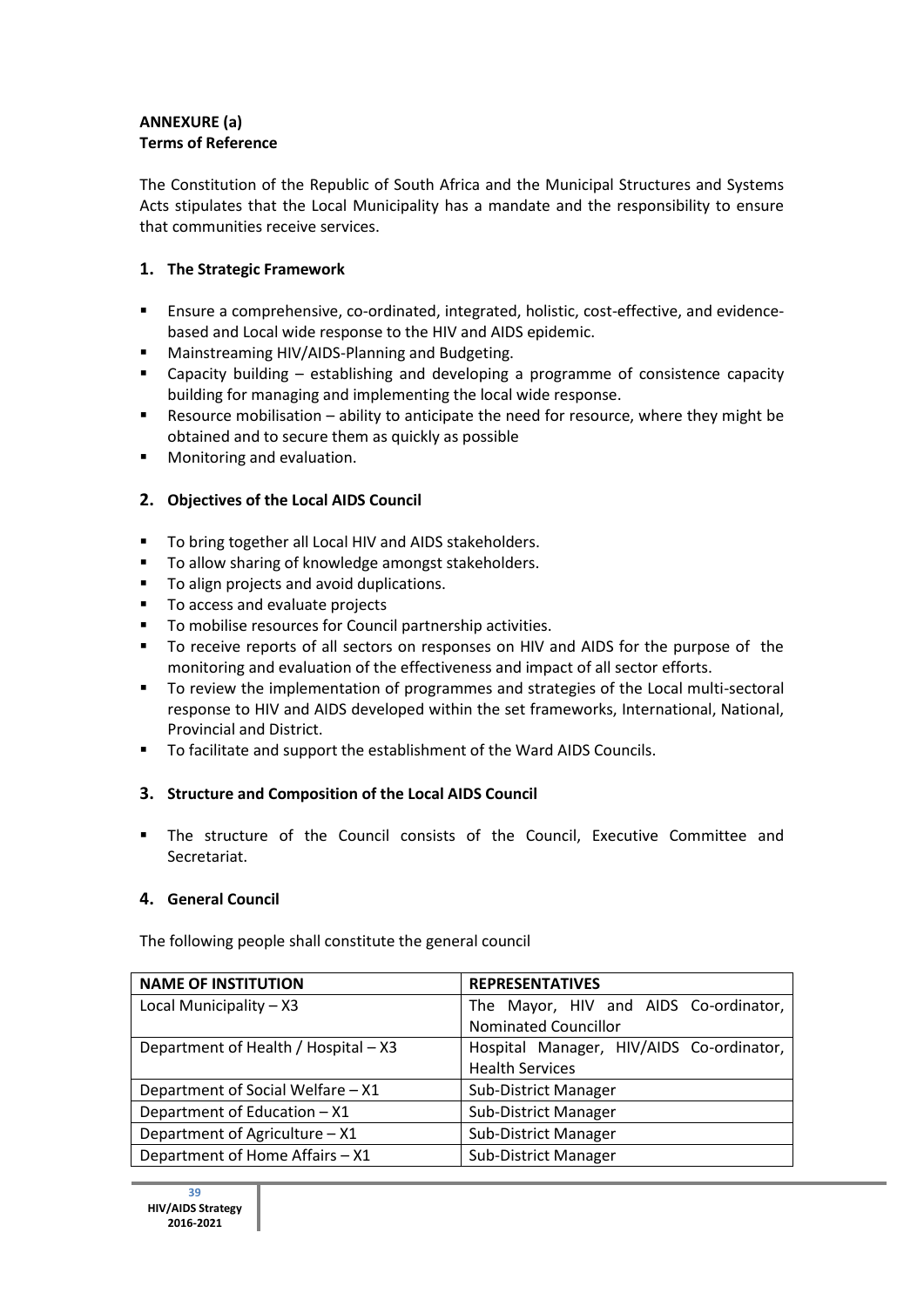# **ANNEXURE (a) Terms of Reference**

The Constitution of the Republic of South Africa and the Municipal Structures and Systems Acts stipulates that the Local Municipality has a mandate and the responsibility to ensure that communities receive services.

# **1. The Strategic Framework**

- Ensure a comprehensive, co-ordinated, integrated, holistic, cost-effective, and evidencebased and Local wide response to the HIV and AIDS epidemic.
- **E** Mainstreaming HIV/AIDS-Planning and Budgeting.
- Capacity building establishing and developing a programme of consistence capacity building for managing and implementing the local wide response.
- Resource mobilisation ability to anticipate the need for resource, where they might be obtained and to secure them as quickly as possible
- **Monitoring and evaluation.**

# **2. Objectives of the Local AIDS Council**

- **To bring together all Local HIV and AIDS stakeholders.**
- **To allow sharing of knowledge amongst stakeholders.**
- **To align projects and avoid duplications.**
- To access and evaluate projects
- **To mobilise resources for Council partnership activities.**
- To receive reports of all sectors on responses on HIV and AIDS for the purpose of the monitoring and evaluation of the effectiveness and impact of all sector efforts.
- To review the implementation of programmes and strategies of the Local multi-sectoral response to HIV and AIDS developed within the set frameworks, International, National, Provincial and District.
- To facilitate and support the establishment of the Ward AIDS Councils.

## **3. Structure and Composition of the Local AIDS Council**

 The structure of the Council consists of the Council, Executive Committee and Secretariat.

## **4. General Council**

The following people shall constitute the general council

| <b>NAME OF INSTITUTION</b>           | <b>REPRESENTATIVES</b>                   |
|--------------------------------------|------------------------------------------|
| Local Municipality - X3              | The Mayor, HIV and AIDS Co-ordinator,    |
|                                      | <b>Nominated Councillor</b>              |
| Department of Health / Hospital - X3 | Hospital Manager, HIV/AIDS Co-ordinator, |
|                                      | <b>Health Services</b>                   |
| Department of Social Welfare - X1    | Sub-District Manager                     |
| Department of Education - X1         | Sub-District Manager                     |
| Department of Agriculture - X1       | Sub-District Manager                     |
| Department of Home Affairs - X1      | Sub-District Manager                     |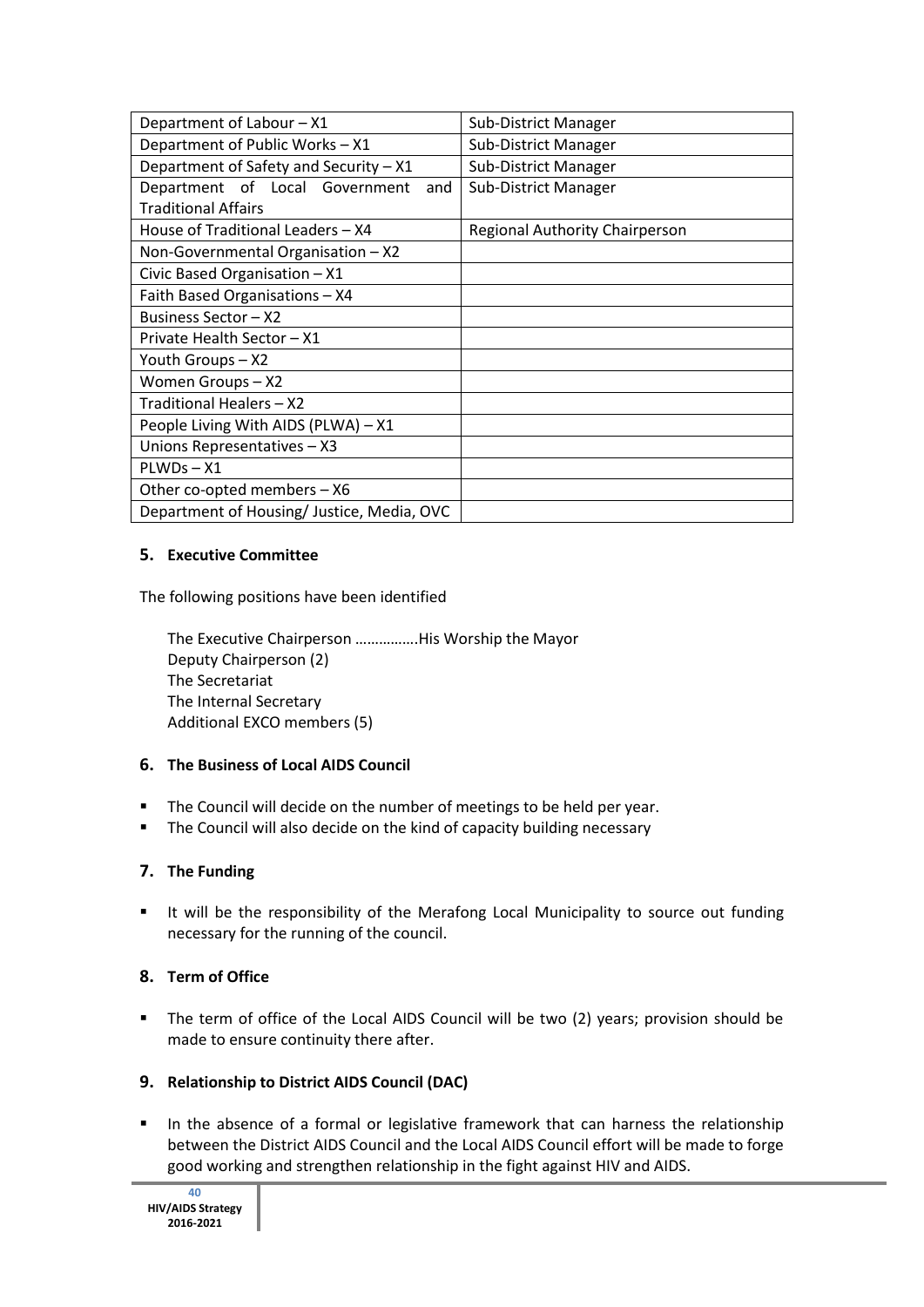| Department of Labour - X1                  | Sub-District Manager           |  |  |
|--------------------------------------------|--------------------------------|--|--|
| Department of Public Works - X1            | Sub-District Manager           |  |  |
| Department of Safety and Security - X1     | Sub-District Manager           |  |  |
| Department of Local Government<br>and      | Sub-District Manager           |  |  |
| <b>Traditional Affairs</b>                 |                                |  |  |
| House of Traditional Leaders - X4          | Regional Authority Chairperson |  |  |
| Non-Governmental Organisation - X2         |                                |  |  |
| Civic Based Organisation - X1              |                                |  |  |
| Faith Based Organisations - X4             |                                |  |  |
| Business Sector - X2                       |                                |  |  |
| Private Health Sector - X1                 |                                |  |  |
| Youth Groups - X2                          |                                |  |  |
| Women Groups-X2                            |                                |  |  |
| Traditional Healers - X2                   |                                |  |  |
| People Living With AIDS (PLWA) - X1        |                                |  |  |
| Unions Representatives - X3                |                                |  |  |
| PLWDs-X1                                   |                                |  |  |
| Other co-opted members - X6                |                                |  |  |
| Department of Housing/ Justice, Media, OVC |                                |  |  |

# **5. Executive Committee**

The following positions have been identified

The Executive Chairperson …………….His Worship the Mayor Deputy Chairperson (2) The Secretariat The Internal Secretary Additional EXCO members (5)

## **6. The Business of Local AIDS Council**

- The Council will decide on the number of meetings to be held per year.
- **The Council will also decide on the kind of capacity building necessary**

# **7. The Funding**

It will be the responsibility of the Merafong Local Municipality to source out funding necessary for the running of the council.

## **8. Term of Office**

 The term of office of the Local AIDS Council will be two (2) years; provision should be made to ensure continuity there after.

# **9. Relationship to District AIDS Council (DAC)**

In the absence of a formal or legislative framework that can harness the relationship between the District AIDS Council and the Local AIDS Council effort will be made to forge good working and strengthen relationship in the fight against HIV and AIDS.